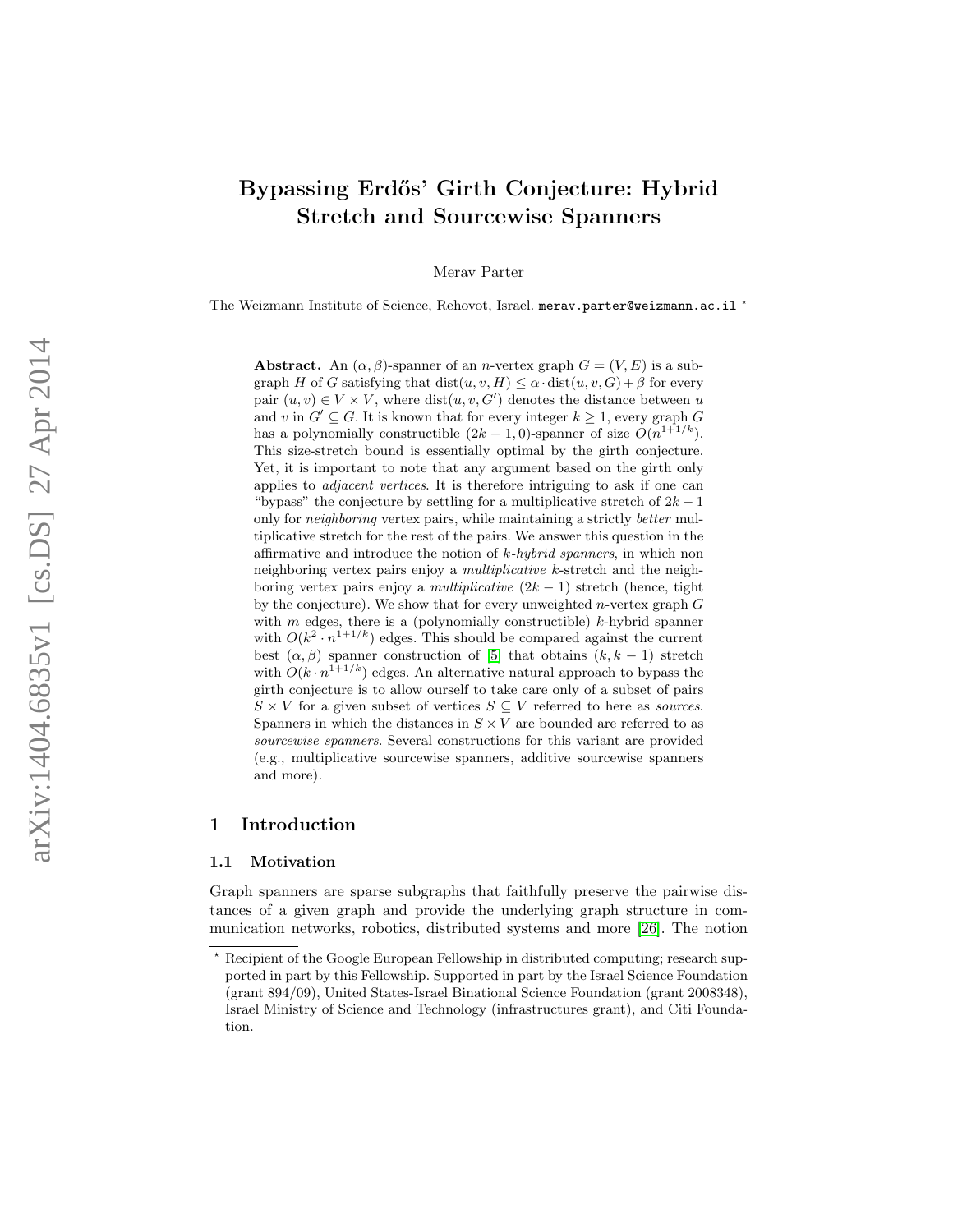# Bypassing Erdős' Girth Conjecture: Hybrid Stretch and Sourcewise Spanners

Merav Parter

The Weizmann Institute of Science, Rehovot, Israel. merav.parter@weizmann.ac.il \*

**Abstract.** An  $(\alpha, \beta)$ -spanner of an *n*-vertex graph  $G = (V, E)$  is a subgraph H of G satisfying that  $dist(u, v, H) \leq \alpha \cdot dist(u, v, G) + \beta$  for every pair  $(u, v) \in V \times V$ , where  $dist(u, v, G')$  denotes the distance between u and v in  $G' \subseteq G$ . It is known that for every integer  $k \geq 1$ , every graph G has a polynomially constructible  $(2k-1,0)$ -spanner of size  $O(n^{1+1/k})$ . This size-stretch bound is essentially optimal by the girth conjecture. Yet, it is important to note that any argument based on the girth only applies to adjacent vertices. It is therefore intriguing to ask if one can "bypass" the conjecture by settling for a multiplicative stretch of  $2k-1$ only for neighboring vertex pairs, while maintaining a strictly better multiplicative stretch for the rest of the pairs. We answer this question in the affirmative and introduce the notion of k-hybrid spanners, in which non neighboring vertex pairs enjoy a *multiplicative* k-stretch and the neighboring vertex pairs enjoy a *multiplicative*  $(2k - 1)$  stretch (hence, tight by the conjecture). We show that for every unweighted *n*-vertex graph  $G$ with *m* edges, there is a (polynomially constructible) *k*-hybrid spanner with  $O(k^2 \cdot n^{1+1/k})$  edges. This should be compared against the current best  $(\alpha, \beta)$  spanner construction of [\[5\]](#page-27-0) that obtains  $(k, k - 1)$  stretch with  $O(k \cdot n^{1+1/k})$  edges. An alternative natural approach to bypass the girth conjecture is to allow ourself to take care only of a subset of pairs  $S \times V$  for a given subset of vertices  $S \subseteq V$  referred to here as *sources*. Spanners in which the distances in  $S \times V$  are bounded are referred to as sourcewise spanners. Several constructions for this variant are provided (e.g., multiplicative sourcewise spanners, additive sourcewise spanners and more).

## 1 Introduction

## 1.1 Motivation

Graph spanners are sparse subgraphs that faithfully preserve the pairwise distances of a given graph and provide the underlying graph structure in communication networks, robotics, distributed systems and more [\[26\]](#page-27-1). The notion

Recipient of the Google European Fellowship in distributed computing; research supported in part by this Fellowship. Supported in part by the Israel Science Foundation (grant 894/09), United States-Israel Binational Science Foundation (grant 2008348), Israel Ministry of Science and Technology (infrastructures grant), and Citi Foundation.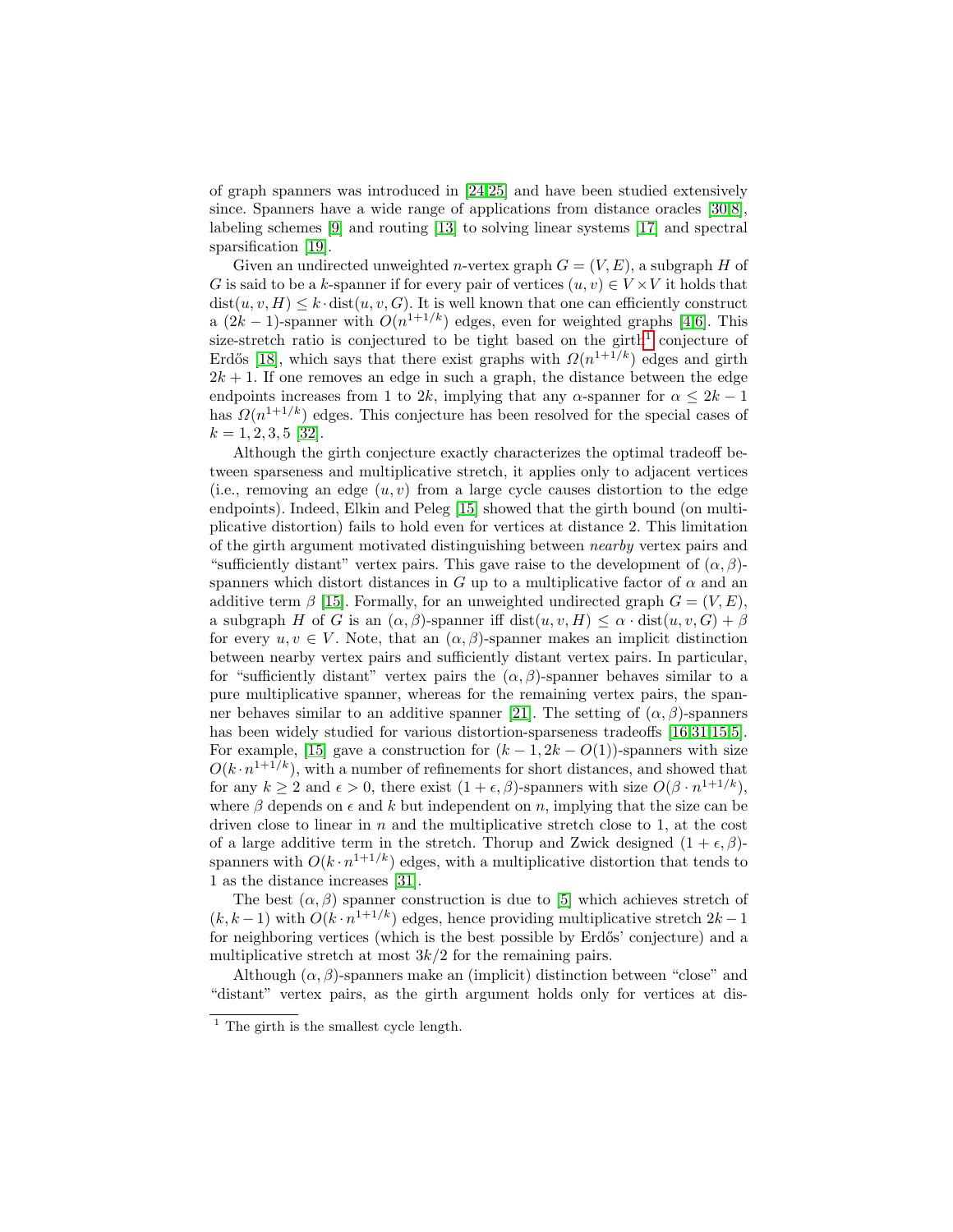of graph spanners was introduced in [\[24](#page-27-2)[,25\]](#page-27-3) and have been studied extensively since. Spanners have a wide range of applications from distance oracles [\[30,](#page-28-0)[8\]](#page-27-4), labeling schemes [\[9\]](#page-27-5) and routing [\[13\]](#page-27-6) to solving linear systems [\[17\]](#page-27-7) and spectral sparsification [\[19\]](#page-27-8).

Given an undirected unweighted *n*-vertex graph  $G = (V, E)$ , a subgraph H of G is said to be a k-spanner if for every pair of vertices  $(u, v) \in V \times V$  it holds that  $dist(u, v, H) \leq k \cdot dist(u, v, G)$ . It is well known that one can efficiently construct a  $(2k-1)$ -spanner with  $O(n^{1+1/k})$  edges, even for weighted graphs [\[4,](#page-27-9)[6\]](#page-26-0). This size-stretch ratio is conjectured to be tight based on the girth<sup>[1](#page-1-0)</sup> conjecture of Erdős [\[18\]](#page-27-10), which says that there exist graphs with  $\Omega(n^{1+1/k})$  edges and girth  $2k + 1$ . If one removes an edge in such a graph, the distance between the edge endpoints increases from 1 to 2k, implying that any  $\alpha$ -spanner for  $\alpha \leq 2k - 1$ has  $\Omega(n^{1+1/k})$  edges. This conjecture has been resolved for the special cases of  $k = 1, 2, 3, 5$  [\[32\]](#page-28-1).

Although the girth conjecture exactly characterizes the optimal tradeoff between sparseness and multiplicative stretch, it applies only to adjacent vertices (i.e., removing an edge  $(u, v)$  from a large cycle causes distortion to the edge endpoints). Indeed, Elkin and Peleg [\[15\]](#page-27-11) showed that the girth bound (on multiplicative distortion) fails to hold even for vertices at distance 2. This limitation of the girth argument motivated distinguishing between nearby vertex pairs and "sufficiently distant" vertex pairs. This gave raise to the development of  $(\alpha, \beta)$ spanners which distort distances in G up to a multiplicative factor of  $\alpha$  and an additive term  $\beta$  [\[15\]](#page-27-11). Formally, for an unweighted undirected graph  $G = (V, E)$ , a subgraph H of G is an  $(\alpha, \beta)$ -spanner iff dist $(u, v, H) \leq \alpha \cdot dist(u, v, G) + \beta$ for every  $u, v \in V$ . Note, that an  $(\alpha, \beta)$ -spanner makes an implicit distinction between nearby vertex pairs and sufficiently distant vertex pairs. In particular, for "sufficiently distant" vertex pairs the  $(\alpha, \beta)$ -spanner behaves similar to a pure multiplicative spanner, whereas for the remaining vertex pairs, the span-ner behaves similar to an additive spanner [\[21\]](#page-27-12). The setting of  $(\alpha, \beta)$ -spanners has been widely studied for various distortion-sparseness tradeoffs [\[16,](#page-27-13)[31,](#page-28-2)[15,](#page-27-11)[5\]](#page-27-0). For example, [\[15\]](#page-27-11) gave a construction for  $(k-1, 2k-0(1))$ -spanners with size  $O(k \cdot n^{1+1/k})$ , with a number of refinements for short distances, and showed that for any  $k \geq 2$  and  $\epsilon > 0$ , there exist  $(1 + \epsilon, \beta)$ -spanners with size  $O(\beta \cdot n^{1+1/k})$ , where  $\beta$  depends on  $\epsilon$  and k but independent on n, implying that the size can be driven close to linear in  $n$  and the multiplicative stretch close to 1, at the cost of a large additive term in the stretch. Thorup and Zwick designed  $(1 + \epsilon, \beta)$ spanners with  $O(k \cdot n^{1+1/k})$  edges, with a multiplicative distortion that tends to 1 as the distance increases [\[31\]](#page-28-2).

The best  $(\alpha, \beta)$  spanner construction is due to [\[5\]](#page-27-0) which achieves stretch of  $(k, k-1)$  with  $O(k \cdot n^{1+1/k})$  edges, hence providing multiplicative stretch  $2k-1$ for neighboring vertices (which is the best possible by Erdős' conjecture) and a multiplicative stretch at most  $3k/2$  for the remaining pairs.

Although  $(\alpha, \beta)$ -spanners make an (implicit) distinction between "close" and "distant" vertex pairs, as the girth argument holds only for vertices at dis-

<span id="page-1-0"></span> $\frac{1}{1}$  The girth is the smallest cycle length.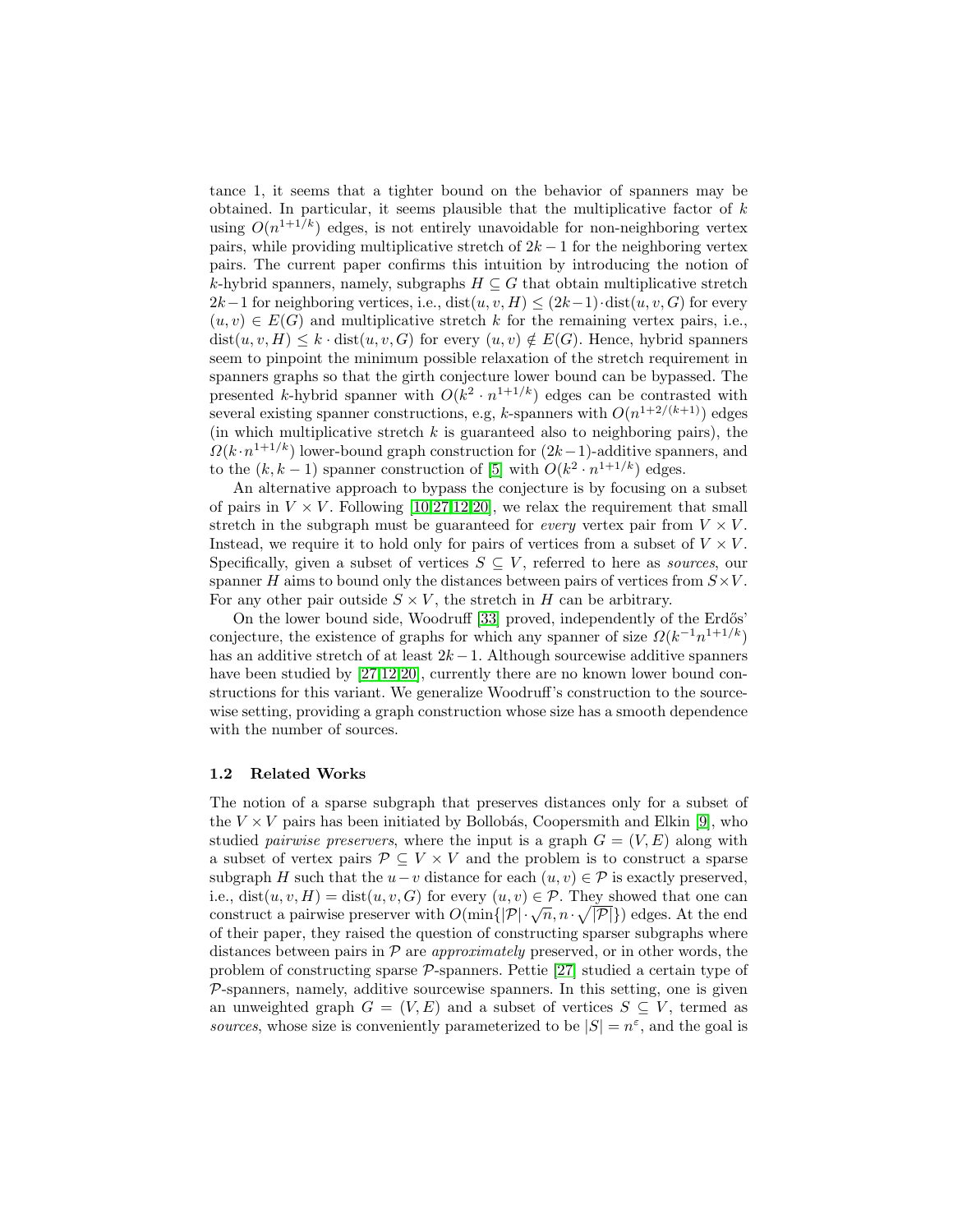tance 1, it seems that a tighter bound on the behavior of spanners may be obtained. In particular, it seems plausible that the multiplicative factor of  $k$ using  $O(n^{1+1/k})$  edges, is not entirely unavoidable for non-neighboring vertex pairs, while providing multiplicative stretch of  $2k - 1$  for the neighboring vertex pairs. The current paper confirms this intuition by introducing the notion of k-hybrid spanners, namely, subgraphs  $H \subseteq G$  that obtain multiplicative stretch  $2k-1$  for neighboring vertices, i.e., dist $(u, v, H) \leq (2k-1) \cdot dist(u, v, G)$  for every  $(u, v) \in E(G)$  and multiplicative stretch k for the remaining vertex pairs, i.e.,  $dist(u, v, H) \leq k \cdot dist(u, v, G)$  for every  $(u, v) \notin E(G)$ . Hence, hybrid spanners seem to pinpoint the minimum possible relaxation of the stretch requirement in spanners graphs so that the girth conjecture lower bound can be bypassed. The presented k-hybrid spanner with  $O(k^2 \cdot n^{1+1/k})$  edges can be contrasted with several existing spanner constructions, e.g, k-spanners with  $O(n^{1+2/(k+1)})$  edges (in which multiplicative stretch  $k$  is guaranteed also to neighboring pairs), the  $\Omega(k \cdot n^{1+1/k})$  lower-bound graph construction for  $(2k-1)$ -additive spanners, and to the  $(k, k-1)$  spanner construction of [\[5\]](#page-27-0) with  $O(k^2 \cdot n^{1+1/k})$  edges.

An alternative approach to bypass the conjecture is by focusing on a subset of pairs in  $V \times V$ . Following [\[10,](#page-27-14)[27](#page-28-3)[,12,](#page-27-15)[20\]](#page-27-16), we relax the requirement that small stretch in the subgraph must be guaranteed for *every* vertex pair from  $V \times V$ . Instead, we require it to hold only for pairs of vertices from a subset of  $V \times V$ . Specifically, given a subset of vertices  $S \subseteq V$ , referred to here as *sources*, our spanner H aims to bound only the distances between pairs of vertices from  $S \times V$ . For any other pair outside  $S \times V$ , the stretch in H can be arbitrary.

On the lower bound side, Woodruff [\[33\]](#page-28-4) proved, independently of the Erdős' conjecture, the existence of graphs for which any spanner of size  $\Omega(k^{-1}n^{1+1/k})$ has an additive stretch of at least  $2k - 1$ . Although sourcewise additive spanners have been studied by [\[27,](#page-28-3)[12,](#page-27-15)[20\]](#page-27-16), currently there are no known lower bound constructions for this variant. We generalize Woodruff's construction to the sourcewise setting, providing a graph construction whose size has a smooth dependence with the number of sources.

#### 1.2 Related Works

The notion of a sparse subgraph that preserves distances only for a subset of the  $V \times V$  pairs has been initiated by Bollobás, Coopersmith and Elkin [\[9\]](#page-27-5), who studied *pairwise preservers*, where the input is a graph  $G = (V, E)$  along with a subset of vertex pairs  $\mathcal{P} \subseteq V \times V$  and the problem is to construct a sparse subgraph H such that the  $u-v$  distance for each  $(u, v) \in \mathcal{P}$  is exactly preserved, i.e.,  $dist(u, v, H) = dist(u, v, G)$  for every  $(u, v) \in \mathcal{P}$ . They showed that one can r.e.,  $dist(u, v, H) = dist(u, v, G)$  for every  $(u, v) \in P$ . They showed that one can<br>construct a pairwise preserver with  $O(\min\{|\mathcal{P}|\cdot \sqrt{n}, n \cdot \sqrt{|\mathcal{P}|}\})$  edges. At the end of their paper, they raised the question of constructing sparser subgraphs where distances between pairs in  $P$  are *approximately* preserved, or in other words, the problem of constructing sparse  $P$ -spanners. Pettie [\[27\]](#page-28-3) studied a certain type of  $P$ -spanners, namely, additive sourcewise spanners. In this setting, one is given an unweighted graph  $G = (V, E)$  and a subset of vertices  $S \subseteq V$ , termed as sources, whose size is conveniently parameterized to be  $|S| = n^{\varepsilon}$ , and the goal is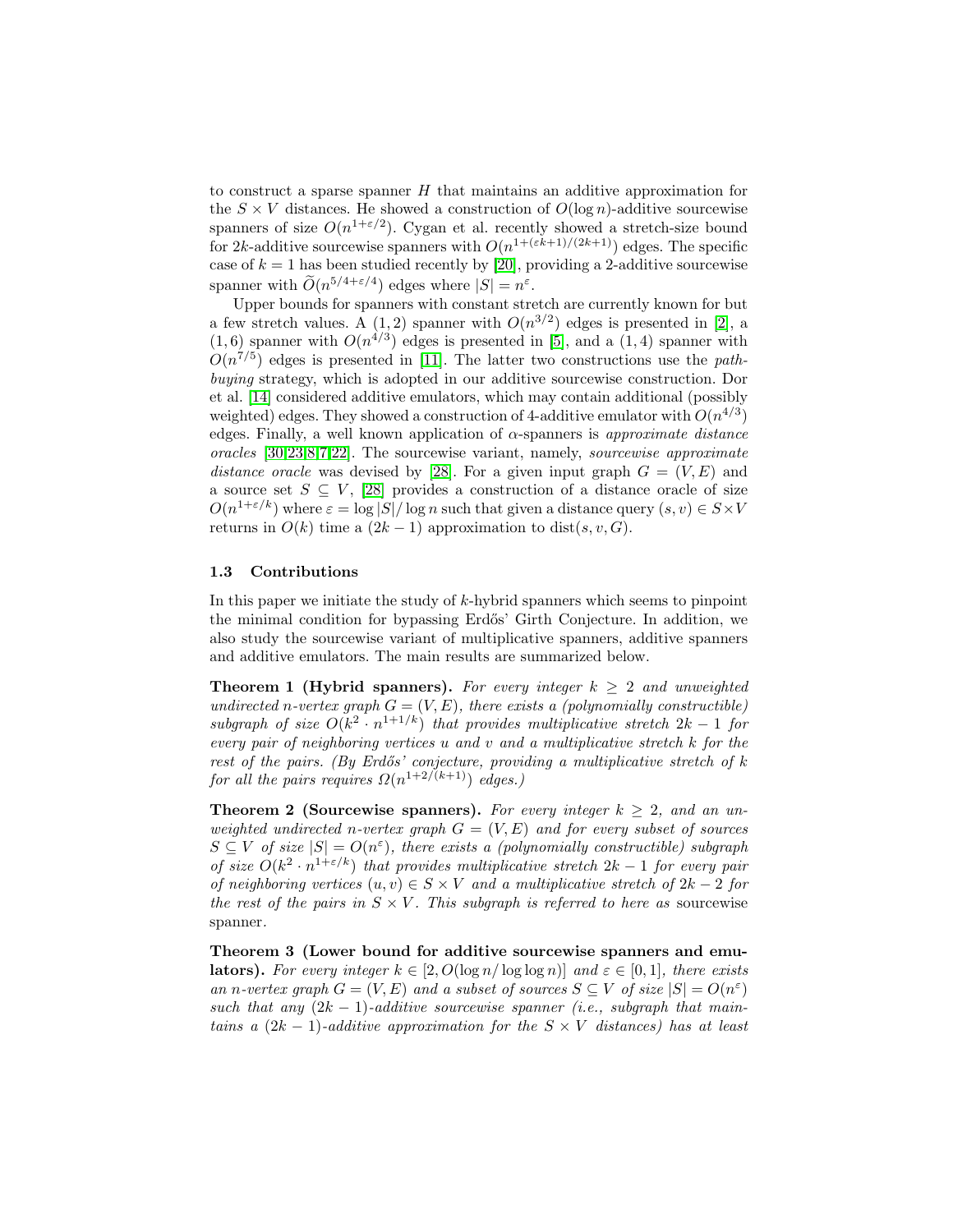to construct a sparse spanner H that maintains an additive approximation for the  $S \times V$  distances. He showed a construction of  $O(\log n)$ -additive sourcewise spanners of size  $O(n^{1+\epsilon/2})$ . Cygan et al. recently showed a stretch-size bound for 2k-additive sourcewise spanners with  $O(n^{1+(\varepsilon k+1)/(2k+1)})$  edges. The specific case of  $k = 1$  has been studied recently by [\[20\]](#page-27-16), providing a 2-additive sourcewise spanner with  $O(n^{5/4+\epsilon/4})$  edges where  $|S| = n^{\epsilon}$ .

Upper bounds for spanners with constant stretch are currently known for but a few stretch values. A  $(1,2)$  spanner with  $O(n^{3/2})$  edges is presented in [\[2\]](#page-27-17), a  $(1,6)$  spanner with  $O(n^{4/3})$  edges is presented in [\[5\]](#page-27-0), and a  $(1,4)$  spanner with  $O(n^{7/5})$  edges is presented in [\[11\]](#page-27-18). The latter two constructions use the pathbuying strategy, which is adopted in our additive sourcewise construction. Dor et al. [\[14\]](#page-27-19) considered additive emulators, which may contain additional (possibly weighted) edges. They showed a construction of 4-additive emulator with  $O(n^{4/3})$ edges. Finally, a well known application of  $\alpha$ -spanners is approximate distance oracles [\[30,](#page-28-0)[23,](#page-27-20)[8,](#page-27-4)[7](#page-27-21)[,22\]](#page-27-22). The sourcewise variant, namely, sourcewise approximate distance oracle was devised by [\[28\]](#page-28-5). For a given input graph  $G = (V, E)$  and a source set  $S \subseteq V$ , [\[28\]](#page-28-5) provides a construction of a distance oracle of size  $O(n^{1+\varepsilon/k})$  where  $\varepsilon = \log |S|/\log n$  such that given a distance query  $(s, v) \in S \times V$ returns in  $O(k)$  time a  $(2k-1)$  approximation to dist $(s, v, G)$ .

## 1.3 Contributions

In this paper we initiate the study of k-hybrid spanners which seems to pinpoint the minimal condition for bypassing Erd˝os' Girth Conjecture. In addition, we also study the sourcewise variant of multiplicative spanners, additive spanners and additive emulators. The main results are summarized below.

<span id="page-3-1"></span>**Theorem 1 (Hybrid spanners).** For every integer  $k \geq 2$  and unweighted undirected n-vertex graph  $G = (V, E)$ , there exists a (polynomially constructible) subgraph of size  $O(k^2 \cdot n^{1+1/k})$  that provides multiplicative stretch  $2k-1$  for every pair of neighboring vertices u and v and a multiplicative stretch  $k$  for the rest of the pairs. (By Erdős' conjecture, providing a multiplicative stretch of  $k$ for all the pairs requires  $\Omega(n^{1+2/(k+1)})$  edges.)

<span id="page-3-2"></span>**Theorem 2 (Sourcewise spanners).** For every integer  $k \geq 2$ , and an unweighted undirected n-vertex graph  $G = (V, E)$  and for every subset of sources  $S \subseteq V$  of size  $|S| = O(n^{\varepsilon})$ , there exists a (polynomially constructible) subgraph of size  $O(k^2 \cdot n^{1+\epsilon/k})$  that provides multiplicative stretch  $2k-1$  for every pair of neighboring vertices  $(u, v) \in S \times V$  and a multiplicative stretch of  $2k - 2$  for the rest of the pairs in  $S \times V$ . This subgraph is referred to here as sourcewise spanner.

<span id="page-3-0"></span>Theorem 3 (Lower bound for additive sourcewise spanners and emu**lators).** For every integer  $k \in [2, O(\log n / \log \log n)]$  and  $\varepsilon \in [0, 1]$ , there exists an n-vertex graph  $G = (V, E)$  and a subset of sources  $S \subseteq V$  of size  $|S| = O(n^{\varepsilon})$ such that any  $(2k - 1)$ -additive sourcewise spanner (i.e., subgraph that maintains a  $(2k-1)$ -additive approximation for the  $S \times V$  distances) has at least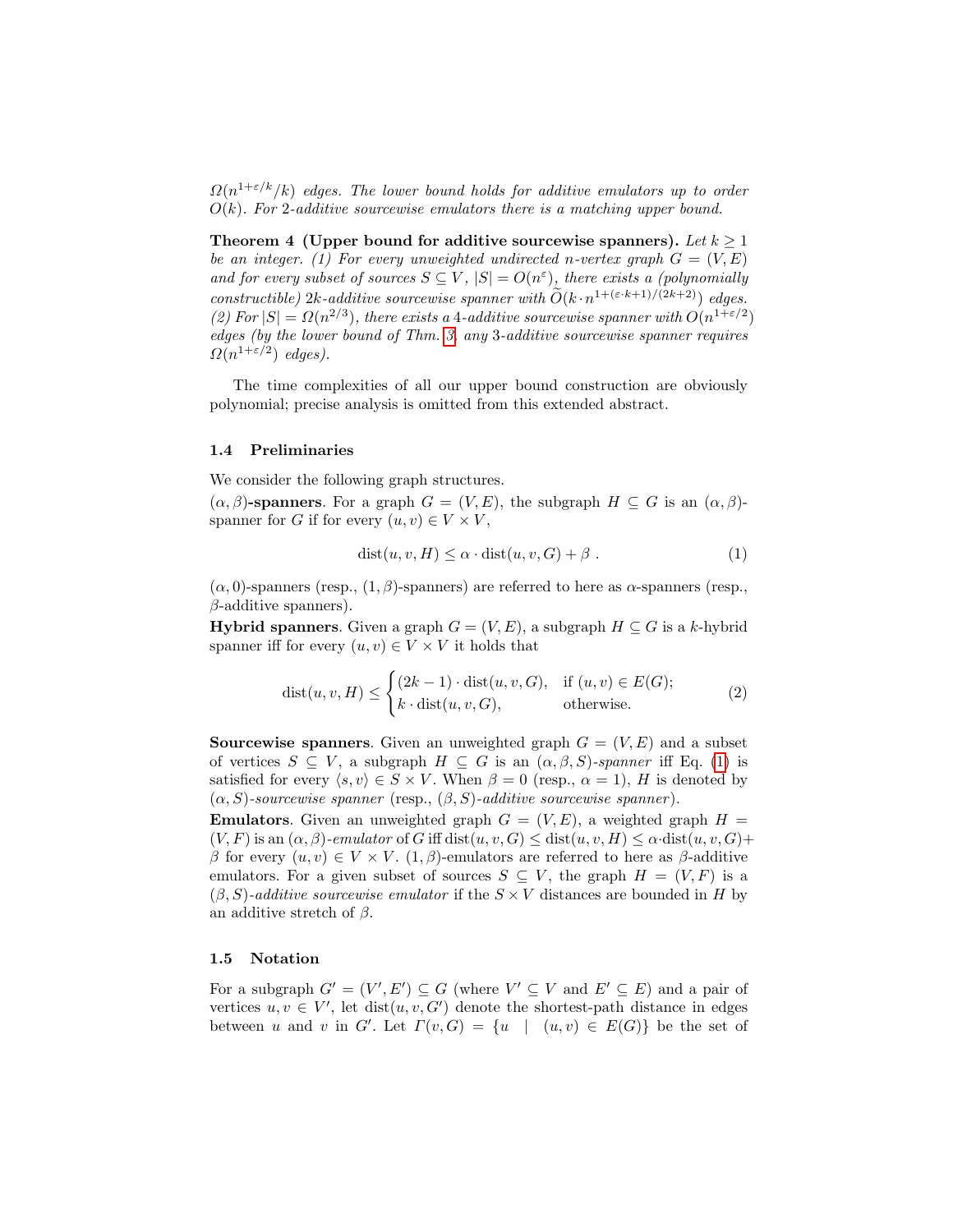$\Omega(n^{1+\varepsilon/k}/k)$  edges. The lower bound holds for additive emulators up to order  $O(k)$ . For 2-additive sourcewise emulators there is a matching upper bound.

Theorem 4 (Upper bound for additive sourcewise spanners). Let  $k \geq 1$ be an integer. (1) For every unweighted undirected n-vertex graph  $G = (V, E)$ and for every subset of sources  $S \subseteq V$ ,  $|S| = O(n^{\epsilon})$ , there exists a (polynomially constructible) 2k-additive sourcewise spanner with  $\widetilde{O}(k \cdot n^{1+(\varepsilon \cdot k+1)/(2k+2)})$  edges. (2) For  $|S| = \Omega(n^{2/3})$ , there exists a 4-additive sourcewise spanner with  $O(n^{1+\epsilon/2})$ edges (by the lower bound of Thm. [3,](#page-3-0) any 3-additive sourcewise spanner requires  $\Omega(n^{1+\varepsilon/2})$  edges).

The time complexities of all our upper bound construction are obviously polynomial; precise analysis is omitted from this extended abstract.

#### 1.4 Preliminaries

We consider the following graph structures.

 $(\alpha, \beta)$ -spanners. For a graph  $G = (V, E)$ , the subgraph  $H \subseteq G$  is an  $(\alpha, \beta)$ spanner for G if for every  $(u, v) \in V \times V$ ,

<span id="page-4-0"></span>
$$
dist(u, v, H) \le \alpha \cdot dist(u, v, G) + \beta.
$$
 (1)

 $(\alpha, 0)$ -spanners (resp.,  $(1, \beta)$ -spanners) are referred to here as  $\alpha$ -spanners (resp.,  $\beta$ -additive spanners).

**Hybrid spanners.** Given a graph  $G = (V, E)$ , a subgraph  $H \subseteq G$  is a k-hybrid spanner iff for every  $(u, v) \in V \times V$  it holds that

$$
dist(u, v, H) \le \begin{cases} (2k - 1) \cdot dist(u, v, G), & \text{if } (u, v) \in E(G); \\ k \cdot dist(u, v, G), & \text{otherwise.} \end{cases}
$$
(2)

**Sourcewise spanners.** Given an unweighted graph  $G = (V, E)$  and a subset of vertices  $S \subseteq V$ , a subgraph  $H \subseteq G$  is an  $(\alpha, \beta, S)$ -spanner iff Eq. [\(1\)](#page-4-0) is satisfied for every  $\langle s, v \rangle \in S \times V$ . When  $\beta = 0$  (resp.,  $\alpha = 1$ ), H is denoted by  $(\alpha, S)$ -sourcewise spanner (resp.,  $(\beta, S)$ -additive sourcewise spanner).

**Emulators.** Given an unweighted graph  $G = (V, E)$ , a weighted graph  $H =$  $(V, F)$  is an  $(\alpha, \beta)$ -emulator of G iff dist $(u, v, G) \leq$  dist $(u, v, H) \leq \alpha$ ·dist $(u, v, G)$ + β for every  $(u, v) \in V \times V$ .  $(1, \beta)$ -emulators are referred to here as β-additive emulators. For a given subset of sources  $S \subseteq V$ , the graph  $H = (V, F)$  is a  $(\beta, S)$ -additive sourcewise emulator if the  $S \times V$  distances are bounded in H by an additive stretch of  $\beta$ .

#### 1.5 Notation

For a subgraph  $G' = (V', E') \subseteq G$  (where  $V' \subseteq V$  and  $E' \subseteq E$ ) and a pair of vertices  $u, v \in V'$ , let dist $(u, v, G')$  denote the shortest-path distance in edges between u and v in G'. Let  $\Gamma(v, G) = \{u \mid (u, v) \in E(G)\}\)$  be the set of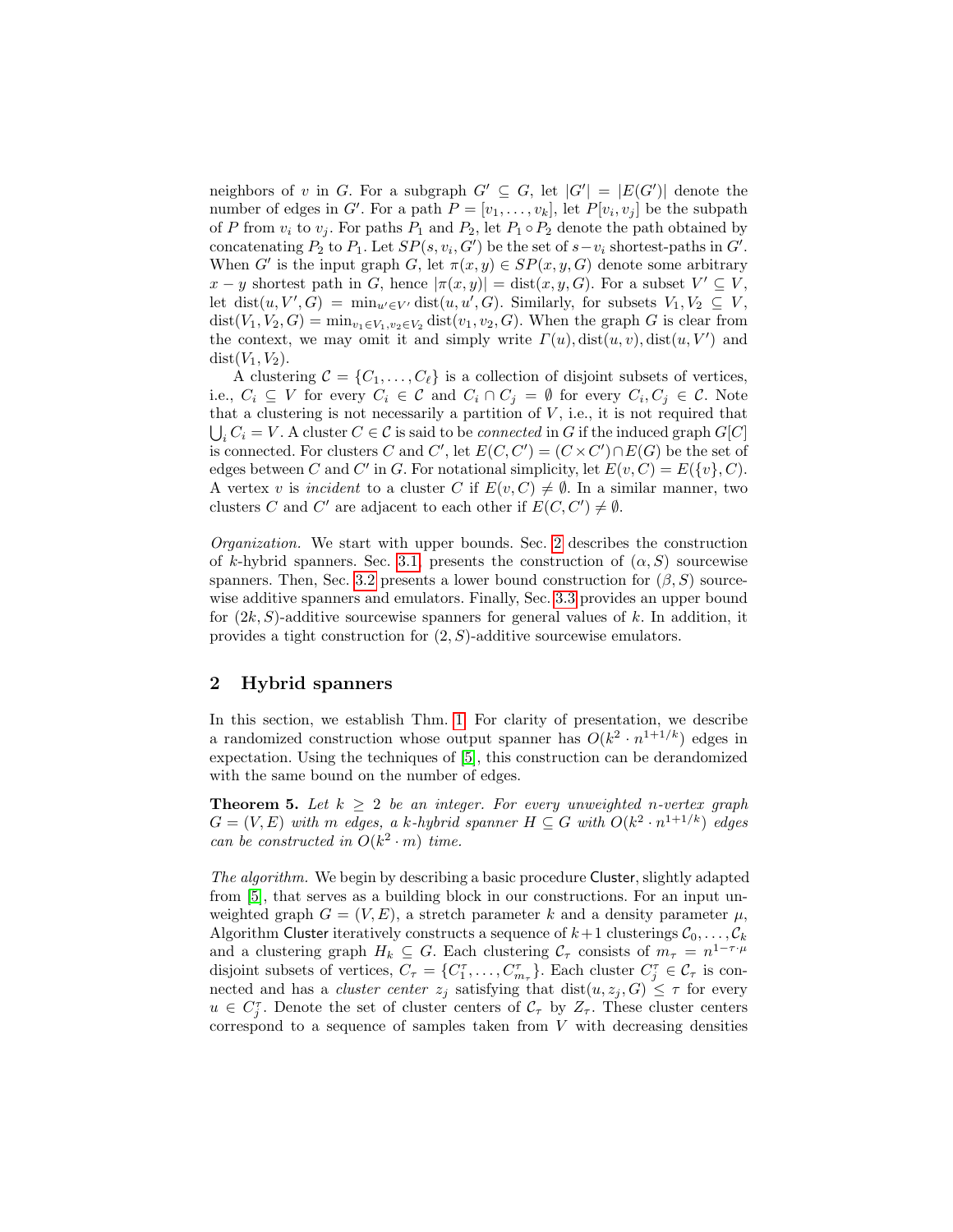neighbors of v in G. For a subgraph  $G' \subseteq G$ , let  $|G'| = |E(G')|$  denote the number of edges in G'. For a path  $P = [v_1, \ldots, v_k]$ , let  $P[v_i, v_j]$  be the subpath of P from  $v_i$  to  $v_j$ . For paths  $P_1$  and  $P_2$ , let  $P_1 \circ P_2$  denote the path obtained by concatenating  $P_2$  to  $P_1$ . Let  $SP(s, v_i, G')$  be the set of  $s - v_i$  shortest-paths in  $G'$ . When G' is the input graph G, let  $\pi(x, y) \in SP(x, y, G)$  denote some arbitrary  $x - y$  shortest path in G, hence  $|\pi(x, y)| = \text{dist}(x, y, G)$ . For a subset  $V' \subseteq V$ , let dist $(u, V', G) = \min_{u' \in V'} \text{dist}(u, u', G)$ . Similarly, for subsets  $V_1, V_2 \subseteq V$ , dist $(V_1, V_2, G) = \min_{v_1 \in V_1, v_2 \in V_2} \text{dist}(v_1, v_2, G)$ . When the graph G is clear from the context, we may omit it and simply write  $\Gamma(u)$ ,  $dist(u, v)$ ,  $dist(u, V')$  and  $dist(V_1, V_2)$ .

A clustering  $\mathcal{C} = \{C_1, \ldots, C_\ell\}$  is a collection of disjoint subsets of vertices, i.e.,  $C_i \subseteq V$  for every  $C_i \in \mathcal{C}$  and  $C_i \cap C_j = \emptyset$  for every  $C_i, C_j \in \mathcal{C}$ . Note that a clustering is not necessarily a partition of  $V$ , i.e., it is not required that  $\bigcup_i C_i = V$ . A cluster  $C \in \mathcal{C}$  is said to be *connected* in G if the induced graph  $G[C]$ is connected. For clusters C and C', let  $E(C, C') = (C \times C') \cap E(G)$  be the set of edges between C and C' in G. For notational simplicity, let  $E(v, C) = E({v}, C)$ . A vertex v is incident to a cluster C if  $E(v, C) \neq \emptyset$ . In a similar manner, two clusters C and C' are adjacent to each other if  $E(C, C') \neq \emptyset$ .

Organization. We start with upper bounds. Sec. [2](#page-5-0) describes the construction of k-hybrid spanners. Sec. [3.1,](#page-14-0) presents the construction of  $(\alpha, S)$  sourcewise spanners. Then, Sec. [3.2](#page-18-0) presents a lower bound construction for  $(\beta, S)$  sourcewise additive spanners and emulators. Finally, Sec. [3.3](#page-20-0) provides an upper bound for  $(2k, S)$ -additive sourcewise spanners for general values of k. In addition, it provides a tight construction for  $(2, S)$ -additive sourcewise emulators.

# <span id="page-5-0"></span>2 Hybrid spanners

In this section, we establish Thm. [1.](#page-3-1) For clarity of presentation, we describe a randomized construction whose output spanner has  $O(k^2 \cdot n^{1+1/k})$  edges in expectation. Using the techniques of [\[5\]](#page-27-0), this construction can be derandomized with the same bound on the number of edges.

<span id="page-5-1"></span>**Theorem 5.** Let  $k \geq 2$  be an integer. For every unweighted n-vertex graph  $G = (V, E)$  with m edges, a k-hybrid spanner  $H \subseteq G$  with  $O(k^2 \cdot n^{1+1/k})$  edges can be constructed in  $O(k^2 \cdot m)$  time.

The algorithm. We begin by describing a basic procedure Cluster, slightly adapted from [\[5\]](#page-27-0), that serves as a building block in our constructions. For an input unweighted graph  $G = (V, E)$ , a stretch parameter k and a density parameter  $\mu$ , Algorithm Cluster iteratively constructs a sequence of  $k+1$  clusterings  $C_0, \ldots, C_k$ and a clustering graph  $H_k \subseteq G$ . Each clustering  $C_\tau$  consists of  $m_\tau = n^{1-\tau \cdot \mu}$ disjoint subsets of vertices,  $C_{\tau} = \{C_1^{\tau}, \ldots, C_{m_{\tau}}^{\tau}\}\.$  Each cluster  $C_j^{\tau} \in C_{\tau}$  is connected and has a *cluster center*  $z_j$  satisfying that  $dist(u, z_j, G) \leq \tau$  for every  $u \in C_1^{\tau}$ . Denote the set of cluster centers of  $\mathcal{C}_{\tau}$  by  $Z_{\tau}$ . These cluster centers correspond to a sequence of samples taken from  $V$  with decreasing densities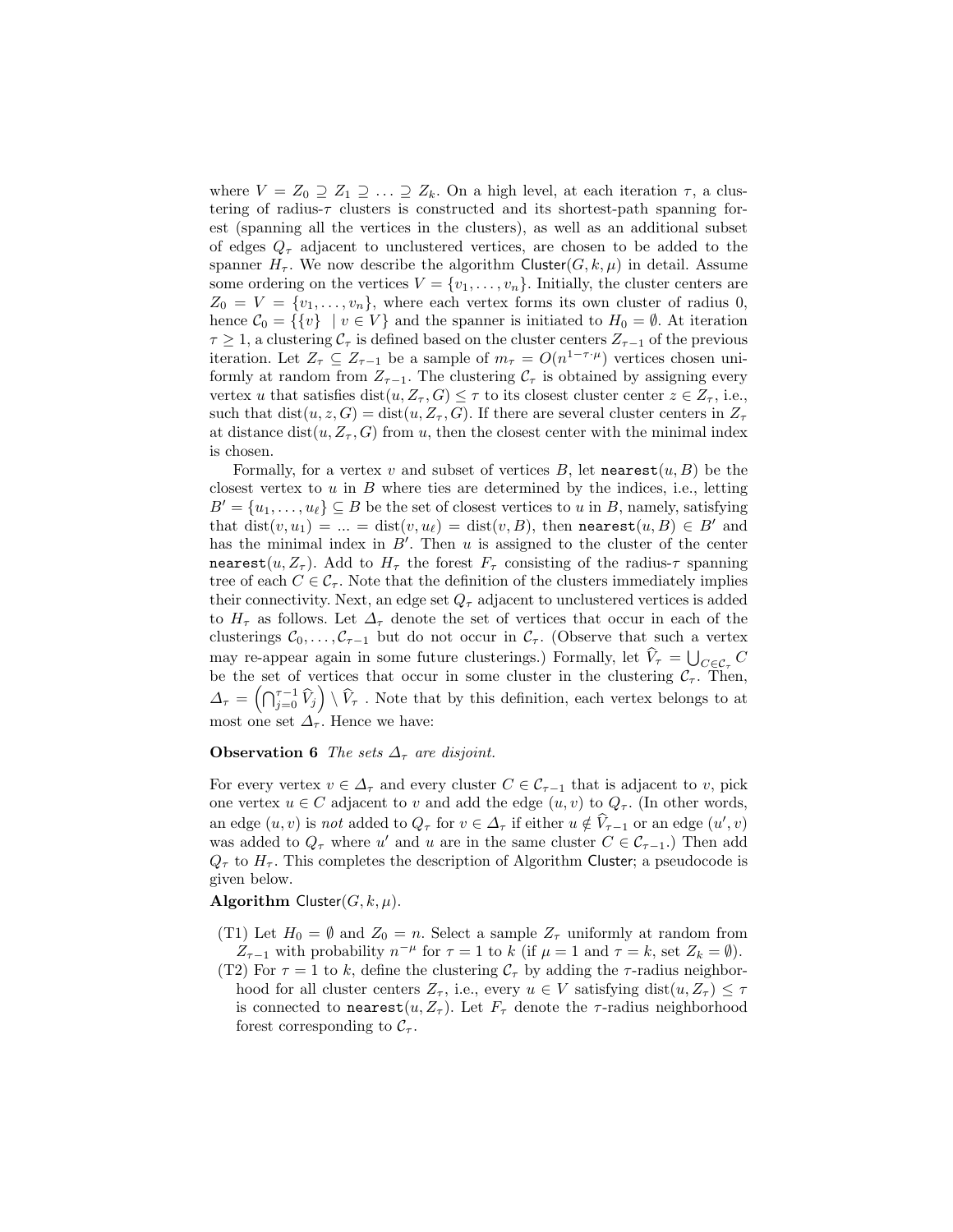where  $V = Z_0 \supseteq Z_1 \supseteq \ldots \supseteq Z_k$ . On a high level, at each iteration  $\tau$ , a clustering of radius- $\tau$  clusters is constructed and its shortest-path spanning forest (spanning all the vertices in the clusters), as well as an additional subset of edges  $Q_{\tau}$  adjacent to unclustered vertices, are chosen to be added to the spanner  $H_{\tau}$ . We now describe the algorithm Cluster(G, k,  $\mu$ ) in detail. Assume some ordering on the vertices  $V = \{v_1, \ldots, v_n\}$ . Initially, the cluster centers are  $Z_0 = V = \{v_1, \ldots, v_n\}$ , where each vertex forms its own cluster of radius 0, hence  $C_0 = \{ \{v\} \mid v \in V \}$  and the spanner is initiated to  $H_0 = \emptyset$ . At iteration  $\tau \geq 1$ , a clustering  $\mathcal{C}_{\tau}$  is defined based on the cluster centers  $Z_{\tau-1}$  of the previous iteration. Let  $Z_{\tau} \subseteq Z_{\tau-1}$  be a sample of  $m_{\tau} = O(n^{1-\tau \cdot \mu})$  vertices chosen uniformly at random from  $Z_{\tau-1}$ . The clustering  $C_{\tau}$  is obtained by assigning every vertex u that satisfies  $dist(u, Z_\tau, G) \leq \tau$  to its closest cluster center  $z \in Z_\tau$ , i.e., such that  $dist(u, z, G) = dist(u, Z_\tau, G)$ . If there are several cluster centers in  $Z_\tau$ at distance dist(u,  $Z_{\tau}$ , G) from u, then the closest center with the minimal index is chosen.

Formally, for a vertex v and subset of vertices  $B$ , let nearest $(u, B)$  be the closest vertex to  $u$  in  $B$  where ties are determined by the indices, i.e., letting  $B' = \{u_1, \ldots, u_\ell\} \subseteq B$  be the set of closest vertices to u in B, namely, satisfying that  $dist(v, u_1) = ... = dist(v, u_\ell) = dist(v, B)$ , then nearest $(u, B) \in B'$  and has the minimal index in  $B'$ . Then u is assigned to the cluster of the center nearest(u,  $Z_{\tau}$ ). Add to  $H_{\tau}$  the forest  $F_{\tau}$  consisting of the radius- $\tau$  spanning tree of each  $C \in \mathcal{C}_{\tau}$ . Note that the definition of the clusters immediately implies their connectivity. Next, an edge set  $Q_{\tau}$  adjacent to unclustered vertices is added to  $H_{\tau}$  as follows. Let  $\Delta_{\tau}$  denote the set of vertices that occur in each of the clusterings  $C_0, \ldots, C_{\tau-1}$  but do not occur in  $C_{\tau}$ . (Observe that such a vertex may re-appear again in some future clusterings.) Formally, let  $V_{\tau} = \bigcup_{C \in \mathcal{C}_{\tau}} C$ be the set of vertices that occur in some cluster in the clustering  $C_{\tau}$ . Then,  $\Delta_{\tau} = \left(\bigcap_{j=0}^{\tau-1} \widehat{V}_j\right) \setminus \widehat{V}_{\tau}$  . Note that by this definition, each vertex belongs to at most one set  $\Delta_{\tau}$ . Hence we have:

## **Observation 6** The sets  $\Delta_{\tau}$  are disjoint.

For every vertex  $v \in \Delta_{\tau}$  and every cluster  $C \in \mathcal{C}_{\tau-1}$  that is adjacent to v, pick one vertex  $u \in C$  adjacent to v and add the edge  $(u, v)$  to  $Q_{\tau}$ . (In other words, an edge  $(u, v)$  is not added to  $Q_{\tau}$  for  $v \in \Delta_{\tau}$  if either  $u \notin \hat{V}_{\tau-1}$  or an edge  $(u', v)$ was added to  $Q_{\tau}$  where u' and u are in the same cluster  $C \in C_{\tau-1}$ .) Then add  $Q_{\tau}$  to  $H_{\tau}$ . This completes the description of Algorithm Cluster; a pseudocode is given below.

## Algorithm Cluster $(G, k, \mu)$ .

- (T1) Let  $H_0 = \emptyset$  and  $Z_0 = n$ . Select a sample  $Z_{\tau}$  uniformly at random from  $Z_{\tau-1}$  with probability  $n^{-\mu}$  for  $\tau = 1$  to k (if  $\mu = 1$  and  $\tau = k$ , set  $Z_k = \emptyset$ ).
- (T2) For  $\tau = 1$  to k, define the clustering  $\mathcal{C}_{\tau}$  by adding the  $\tau$ -radius neighborhood for all cluster centers  $Z_{\tau}$ , i.e., every  $u \in V$  satisfying dist $(u, Z_{\tau}) \leq \tau$ is connected to nearest $(u, Z_\tau)$ . Let  $F_\tau$  denote the  $\tau$ -radius neighborhood forest corresponding to  $\mathcal{C}_{\tau}$ .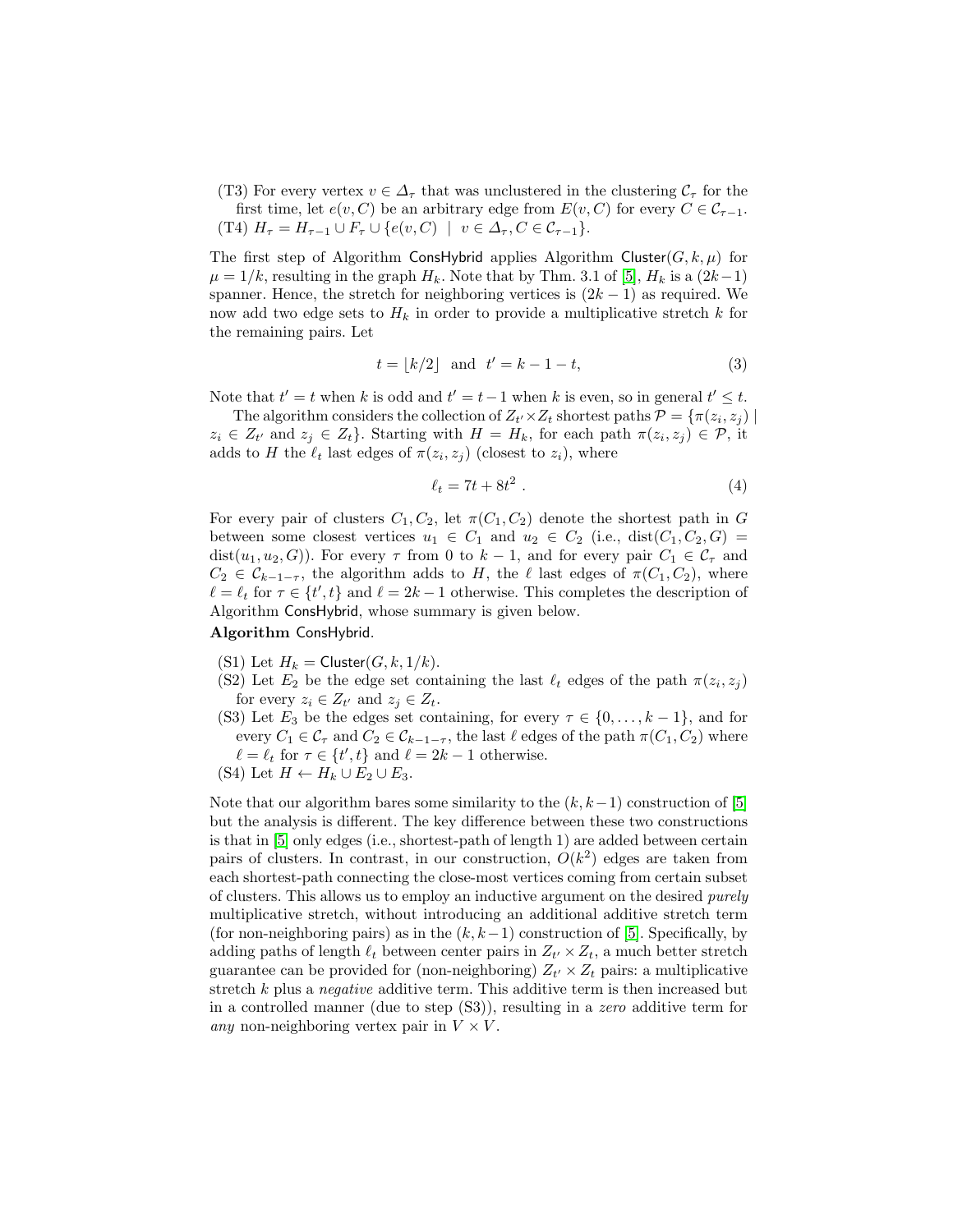(T3) For every vertex  $v \in \Delta_{\tau}$  that was unclustered in the clustering  $C_{\tau}$  for the first time, let  $e(v, C)$  be an arbitrary edge from  $E(v, C)$  for every  $C \in C_{\tau-1}$ . (T4)  $H_{\tau} = H_{\tau-1} \cup F_{\tau} \cup \{e(v, C) \mid v \in \Delta_{\tau}, C \in \mathcal{C}_{\tau-1}\}.$ 

The first step of Algorithm ConsHybrid applies Algorithm Cluster( $G, k, \mu$ ) for  $\mu = 1/k$ , resulting in the graph  $H_k$ . Note that by Thm. 3.1 of [\[5\]](#page-27-0),  $H_k$  is a  $(2k-1)$ spanner. Hence, the stretch for neighboring vertices is  $(2k-1)$  as required. We now add two edge sets to  $H_k$  in order to provide a multiplicative stretch k for the remaining pairs. Let

<span id="page-7-1"></span>
$$
t = \lfloor k/2 \rfloor \quad \text{and} \quad t' = k - 1 - t,\tag{3}
$$

Note that  $t' = t$  when k is odd and  $t' = t - 1$  when k is even, so in general  $t' \leq t$ .

The algorithm considers the collection of  $Z_{t'} \times Z_t$  shortest paths  $\mathcal{P} = \{ \pi(z_i, z_j) \mid$  $z_i \in Z_{t'}$  and  $z_j \in Z_t$ . Starting with  $H = H_k$ , for each path  $\pi(z_i, z_j) \in \mathcal{P}$ , it adds to H the  $\ell_t$  last edges of  $\pi(z_i, z_j)$  (closest to  $z_i$ ), where

<span id="page-7-0"></span>
$$
\ell_t = 7t + 8t^2 \tag{4}
$$

For every pair of clusters  $C_1, C_2$ , let  $\pi(C_1, C_2)$  denote the shortest path in G between some closest vertices  $u_1 \in C_1$  and  $u_2 \in C_2$  (i.e., dist $(C_1, C_2, G)$ ) dist $(u_1, u_2, G)$ ). For every  $\tau$  from 0 to  $k - 1$ , and for every pair  $C_1 \in \mathcal{C}_{\tau}$  and  $C_2 \in \mathcal{C}_{k-1-\tau}$ , the algorithm adds to H, the  $\ell$  last edges of  $\pi(C_1, C_2)$ , where  $\ell = \ell_t$  for  $\tau \in \{t', t\}$  and  $\ell = 2k - 1$  otherwise. This completes the description of Algorithm ConsHybrid, whose summary is given below.

## Algorithm ConsHybrid.

- (S1) Let  $H_k =$  Cluster $(G, k, 1/k)$ .
- (S2) Let  $E_2$  be the edge set containing the last  $\ell_t$  edges of the path  $\pi(z_i, z_j)$ for every  $z_i \in Z_{t'}$  and  $z_j \in Z_t$ .
- (S3) Let  $E_3$  be the edges set containing, for every  $\tau \in \{0, \ldots, k-1\}$ , and for every  $C_1 \in \mathcal{C}_{\tau}$  and  $C_2 \in \mathcal{C}_{k-1-\tau}$ , the last  $\ell$  edges of the path  $\pi(C_1, C_2)$  where  $\ell = \ell_t$  for  $\tau \in \{t', t\}$  and  $\ell = 2k - 1$  otherwise.
- (S4) Let  $H \leftarrow H_k \cup E_2 \cup E_3$ .

Note that our algorithm bares some similarity to the  $(k, k-1)$  construction of [\[5\]](#page-27-0) but the analysis is different. The key difference between these two constructions is that in [\[5\]](#page-27-0) only edges (i.e., shortest-path of length 1) are added between certain pairs of clusters. In contrast, in our construction,  $O(k^2)$  edges are taken from each shortest-path connecting the close-most vertices coming from certain subset of clusters. This allows us to employ an inductive argument on the desired purely multiplicative stretch, without introducing an additional additive stretch term (for non-neighboring pairs) as in the  $(k, k-1)$  construction of [\[5\]](#page-27-0). Specifically, by adding paths of length  $\ell_t$  between center pairs in  $Z_{t'} \times Z_t$ , a much better stretch guarantee can be provided for (non-neighboring)  $Z_{t'} \times Z_t$  pairs: a multiplicative stretch k plus a negative additive term. This additive term is then increased but in a controlled manner (due to step (S3)), resulting in a zero additive term for any non-neighboring vertex pair in  $V \times V$ .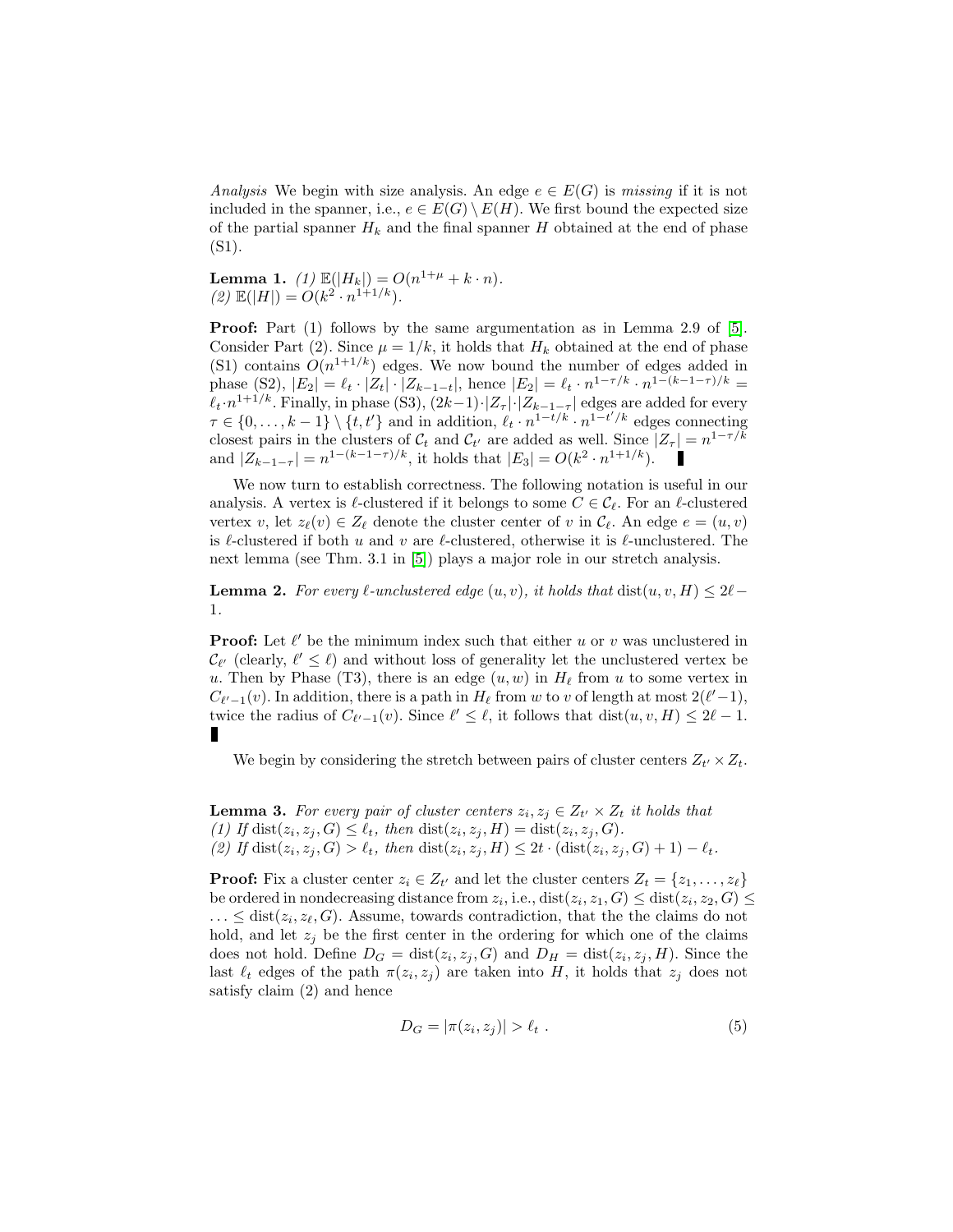Analysis We begin with size analysis. An edge  $e \in E(G)$  is missing if it is not included in the spanner, i.e.,  $e \in E(G) \setminus E(H)$ . We first bound the expected size of the partial spanner  $H_k$  and the final spanner H obtained at the end of phase (S1).

<span id="page-8-3"></span>**Lemma 1.** (1)  $\mathbb{E}(|H_k|) = O(n^{1+\mu} + k \cdot n)$ . (2)  $\mathbb{E}(|H|) = O(k^2 \cdot n^{1+1/k}).$ 

Proof: Part (1) follows by the same argumentation as in Lemma 2.9 of [\[5\]](#page-27-0). Consider Part (2). Since  $\mu = 1/k$ , it holds that  $H_k$  obtained at the end of phase (S1) contains  $O(n^{1+1/k})$  edges. We now bound the number of edges added in phase (S2),  $|E_2| = \ell_t \cdot |Z_t| \cdot |Z_{k-1-t}|$ , hence  $|E_2| = \ell_t \cdot n^{1-\tau/k} \cdot n^{1-(k-1-\tau)/k}$  $\ell_t \cdot n^{1+1/k}$ . Finally, in phase (S3),  $(2k-1)\cdot |Z_{\tau}|\cdot |Z_{k-1-\tau}|$  edges are added for every  $\tau \in \{0, \ldots, k-1\} \setminus \{t, t'\}$  and in addition,  $\ell_t \cdot n^{1-t/k} \cdot n^{1-t'/k}$  edges connecting closest pairs in the clusters of  $C_t$  and  $C_{t'}$  are added as well. Since  $|Z_\tau| = n^{1-\tau/k}$ and  $|Z_{k-1-\tau}| = n^{1-(k-1-\tau)/k}$ , it holds that  $|E_3| = O(k^2 \cdot n^{1+1/k})$ .

We now turn to establish correctness. The following notation is useful in our analysis. A vertex is  $\ell$ -clustered if it belongs to some  $C \in \mathcal{C}_{\ell}$ . For an  $\ell$ -clustered vertex v, let  $z_{\ell}(v) \in Z_{\ell}$  denote the cluster center of v in  $\mathcal{C}_{\ell}$ . An edge  $e = (u, v)$ is  $\ell$ -clustered if both u and v are  $\ell$ -clustered, otherwise it is  $\ell$ -unclustered. The next lemma (see Thm. 3.1 in [\[5\]](#page-27-0)) plays a major role in our stretch analysis.

<span id="page-8-0"></span>**Lemma 2.** For every  $\ell$ -unclustered edge  $(u, v)$ , it holds that dist $(u, v, H) \leq 2\ell$ 1.

**Proof:** Let  $\ell'$  be the minimum index such that either u or v was unclustered in  $\mathcal{C}_{\ell'}$  (clearly,  $\ell' \leq \ell$ ) and without loss of generality let the unclustered vertex be u. Then by Phase (T3), there is an edge  $(u, w)$  in  $H_\ell$  from u to some vertex in  $C_{\ell'-1}(v)$ . In addition, there is a path in  $H_{\ell}$  from w to v of length at most  $2(\ell'-1)$ , twice the radius of  $C_{\ell'-1}(v)$ . Since  $\ell' \leq \ell$ , it follows that  $dist(u, v, H) \leq 2\ell - 1$ . П

<span id="page-8-2"></span>We begin by considering the stretch between pairs of cluster centers  $Z_{t'} \times Z_{t}$ .

**Lemma 3.** For every pair of cluster centers  $z_i, z_j \in Z_{t'} \times Z_t$  it holds that (1) If  $dist(z_i, z_j, G) \le \ell_t$ , then  $dist(z_i, z_j, H) = dist(z_i, z_j, G)$ . (2) If  $dist(z_i, z_j, G) > \ell_t$ , then  $dist(z_i, z_j, H) \leq 2t \cdot (dist(z_i, z_j, G) + 1) - \ell_t$ .

**Proof:** Fix a cluster center  $z_i \in Z_{t'}$  and let the cluster centers  $Z_t = \{z_1, \ldots, z_\ell\}$ be ordered in nondecreasing distance from  $z_i$ , i.e.,  $dist(z_i, z_1, G) \leq dist(z_i, z_2, G) \leq$  $\ldots \leq$  dist $(z_i, z_\ell, G)$ . Assume, towards contradiction, that the the claims do not hold, and let  $z_i$  be the first center in the ordering for which one of the claims does not hold. Define  $D_G = \text{dist}(z_i, z_j, G)$  and  $D_H = \text{dist}(z_i, z_j, H)$ . Since the last  $\ell_t$  edges of the path  $\pi(z_i, z_j)$  are taken into H, it holds that  $z_j$  does not satisfy claim (2) and hence

<span id="page-8-1"></span>
$$
D_G = |\pi(z_i, z_j)| > \ell_t . \tag{5}
$$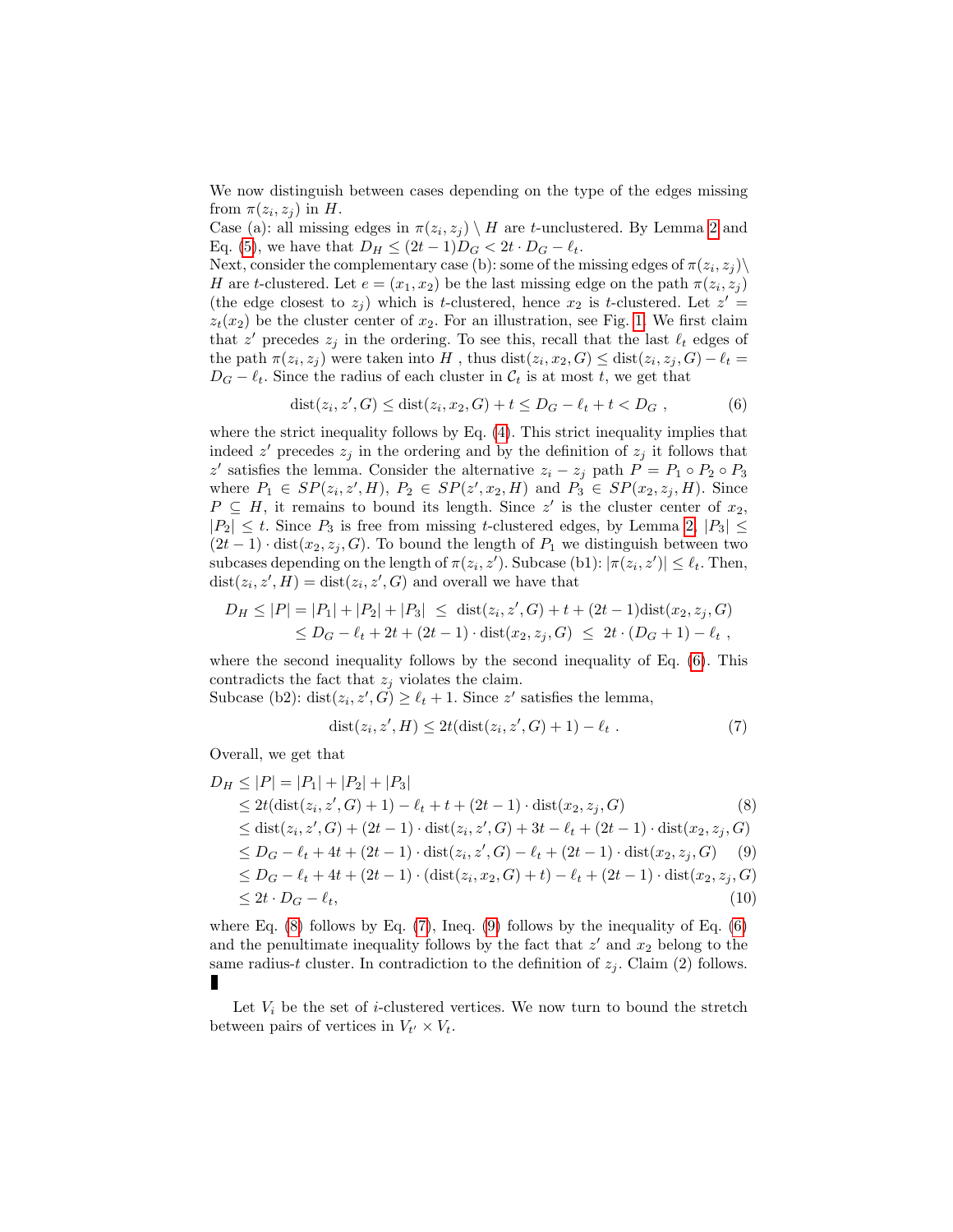We now distinguish between cases depending on the type of the edges missing from  $\pi(z_i, z_j)$  in H.

Case (a): all missing edges in  $\pi(z_i, z_j) \setminus H$  are t-unclustered. By Lemma [2](#page-8-0) and Eq. [\(5\)](#page-8-1), we have that  $D_H \leq (2t-1)D_G < 2t \cdot D_G - \ell_t$ .

Next, consider the complementary case (b): some of the missing edges of  $\pi(z_i, z_j) \setminus$ H are t-clustered. Let  $e = (x_1, x_2)$  be the last missing edge on the path  $\pi(z_i, z_j)$ (the edge closest to  $z_j$ ) which is t-clustered, hence  $x_2$  is t-clustered. Let  $z' =$  $z_t(x_2)$  be the cluster center of  $x_2$ . For an illustration, see Fig. [1.](#page-10-0) We first claim that z' precedes  $z_j$  in the ordering. To see this, recall that the last  $\ell_t$  edges of the path  $\pi(z_i, z_j)$  were taken into H, thus  $dist(z_i, x_2, G) \leq dist(z_i, z_j, G) - \ell_t =$  $D_G - \ell_t$ . Since the radius of each cluster in  $\mathcal{C}_t$  is at most t, we get that

<span id="page-9-0"></span>
$$
dist(z_i, z', G) \leq dist(z_i, x_2, G) + t \leq D_G - \ell_t + t < D_G , \tag{6}
$$

where the strict inequality follows by Eq. [\(4\)](#page-7-0). This strict inequality implies that indeed  $z'$  precedes  $z_j$  in the ordering and by the definition of  $z_j$  it follows that z' satisfies the lemma. Consider the alternative  $z_i - z_j$  path  $P = P_1 \circ P_2 \circ P_3$ where  $P_1 \in SP(z_i, z', H)$ ,  $P_2 \in SP(z', x_2, H)$  and  $P_3 \in SP(x_2, z_j, H)$ . Since  $P \subseteq H$ , it remains to bound its length. Since z' is the cluster center of  $x_2$ ,  $|P_2| \leq t$ . Since  $P_3$  is free from missing t-clustered edges, by Lemma [2,](#page-8-0)  $|P_3| \leq$  $(2t-1)$  · dist $(x_2, z_i, G)$ . To bound the length of  $P_1$  we distinguish between two subcases depending on the length of  $\pi(z_i, z')$ . Subcase (b1):  $|\pi(z_i, z')| \leq \ell_t$ . Then,  $dist(z_i, z', H) = dist(z_i, z', G)$  and overall we have that

$$
D_H \le |P| = |P_1| + |P_2| + |P_3| \le \text{dist}(z_i, z', G) + t + (2t - 1)\text{dist}(x_2, z_j, G)
$$
  

$$
\le D_G - \ell_t + 2t + (2t - 1) \cdot \text{dist}(x_2, z_j, G) \le 2t \cdot (D_G + 1) - \ell_t,
$$

where the second inequality follows by the second inequality of Eq. [\(6\)](#page-9-0). This contradicts the fact that  $z_i$  violates the claim.

Subcase (b2): dist $(z_i, z', G) \ge \ell_t + 1$ . Since z' satisfies the lemma,

<span id="page-9-2"></span>
$$
dist(z_i, z', H) \le 2t (dist(z_i, z', G) + 1) - \ell_t . \tag{7}
$$

Overall, we get that

<span id="page-9-1"></span>
$$
D_H \le |P| = |P_1| + |P_2| + |P_3|
$$
  
\n
$$
\le 2t(\text{dist}(z_i, z', G) + 1) - \ell_t + t + (2t - 1) \cdot \text{dist}(x_2, z_j, G)
$$
 (8)  
\n
$$
\le \text{dist}(z_i, z', G) + (2t - 1) \cdot \text{dist}(z_i, z', G) + 3t - \ell_t + (2t - 1) \cdot \text{dist}(x_2, z_j, G)
$$
  
\n
$$
\le D_G - \ell_t + 4t + (2t - 1) \cdot \text{dist}(z_i, z', G) - \ell_t + (2t - 1) \cdot \text{dist}(x_2, z_j, G)
$$
 (9)  
\n
$$
\le D_G - \ell_t + 4t + (2t - 1) \cdot (\text{dist}(z_i, x_2, G) + t) - \ell_t + (2t - 1) \cdot \text{dist}(x_2, z_j, G)
$$
  
\n
$$
\le 2t \cdot D_G - \ell_t,
$$
 (10)

where Eq.  $(8)$  follows by Eq.  $(7)$ , Ineq.  $(9)$  follows by the inequality of Eq.  $(6)$ and the penultimate inequality follows by the fact that  $z'$  and  $x_2$  belong to the same radius-t cluster. In contradiction to the definition of  $z_j$ . Claim (2) follows. П

<span id="page-9-3"></span>Let  $V_i$  be the set of *i*-clustered vertices. We now turn to bound the stretch between pairs of vertices in  $V_{t'} \times V_t$ .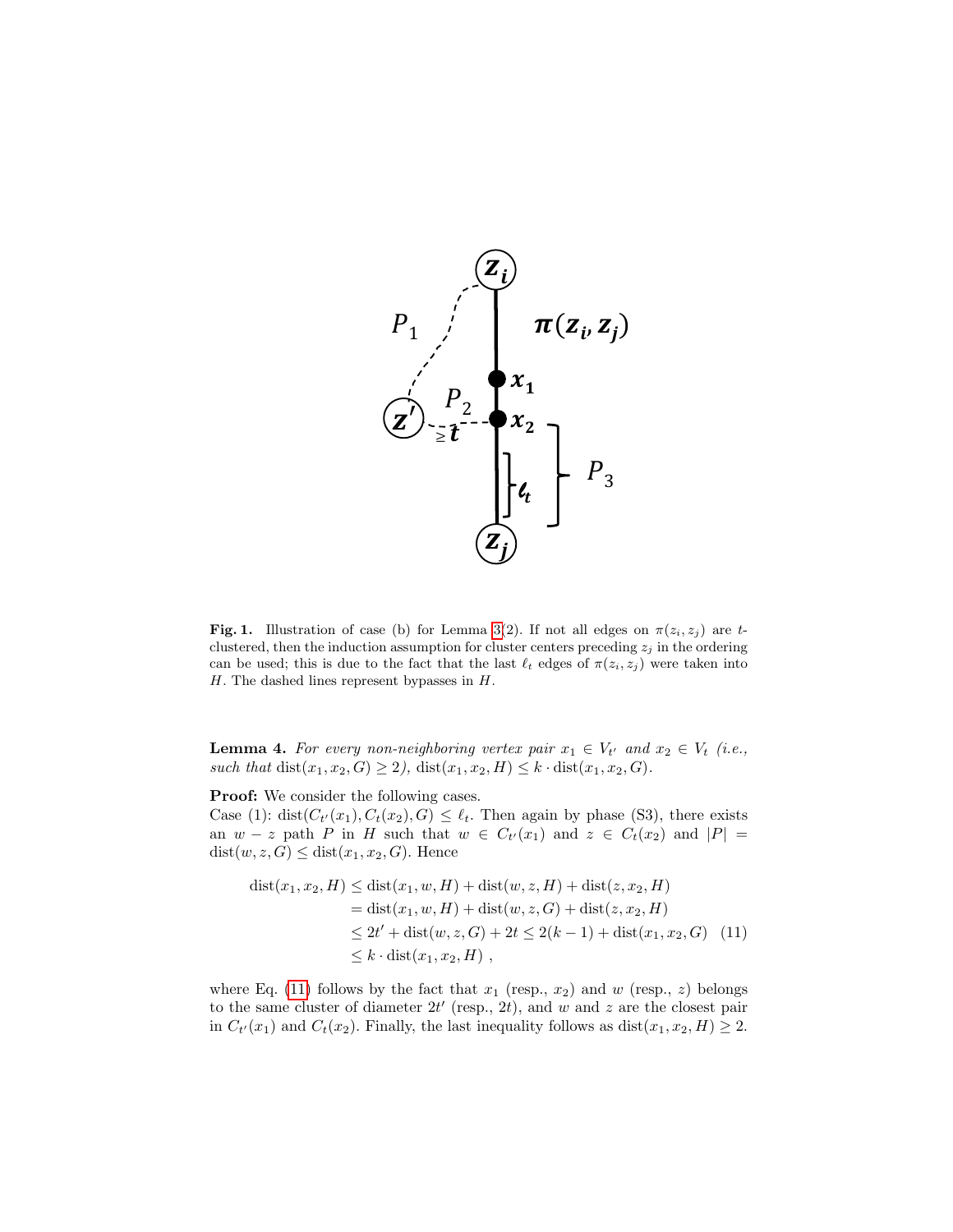

<span id="page-10-0"></span>Fig. 1. Illustration of case (b) for Lemma [3\(](#page-8-2)2). If not all edges on  $\pi(z_i, z_j)$  are tclustered, then the induction assumption for cluster centers preceding  $z_j$  in the ordering can be used; this is due to the fact that the last  $\ell_t$  edges of  $\pi(z_i, z_j)$  were taken into  $H$ . The dashed lines represent bypasses in  $H$ .

**Lemma 4.** For every non-neighboring vertex pair  $x_1 \in V_{t'}$  and  $x_2 \in V_t$  (i.e., such that  $dist(x_1, x_2, G) \ge 2$ ,  $dist(x_1, x_2, H) \le k \cdot dist(x_1, x_2, G)$ .

Proof: We consider the following cases.

Case (1): dist $(C_{t'}(x_1), C_t(x_2), G) \leq \ell_t$ . Then again by phase (S3), there exists an  $w - z$  path P in H such that  $w \in C_{t'}(x_1)$  and  $z \in C_t(x_2)$  and  $|P| =$  $dist(w, z, G) \leq dist(x_1, x_2, G)$ . Hence

<span id="page-10-1"></span>
$$
dist(x_1, x_2, H) \leq dist(x_1, w, H) + dist(w, z, H) + dist(z, x_2, H)
$$
  
= 
$$
dist(x_1, w, H) + dist(w, z, G) + dist(z, x_2, H)
$$
  

$$
\leq 2t' + dist(w, z, G) + 2t \leq 2(k - 1) + dist(x_1, x_2, G)
$$
 (11)  

$$
\leq k \cdot dist(x_1, x_2, H)
$$
,

where Eq. [\(11\)](#page-10-1) follows by the fact that  $x_1$  (resp.,  $x_2$ ) and w (resp., z) belongs to the same cluster of diameter  $2t'$  (resp.,  $2t$ ), and w and z are the closest pair in  $C_{t'}(x_1)$  and  $C_t(x_2)$ . Finally, the last inequality follows as  $dist(x_1, x_2, H) \geq 2$ .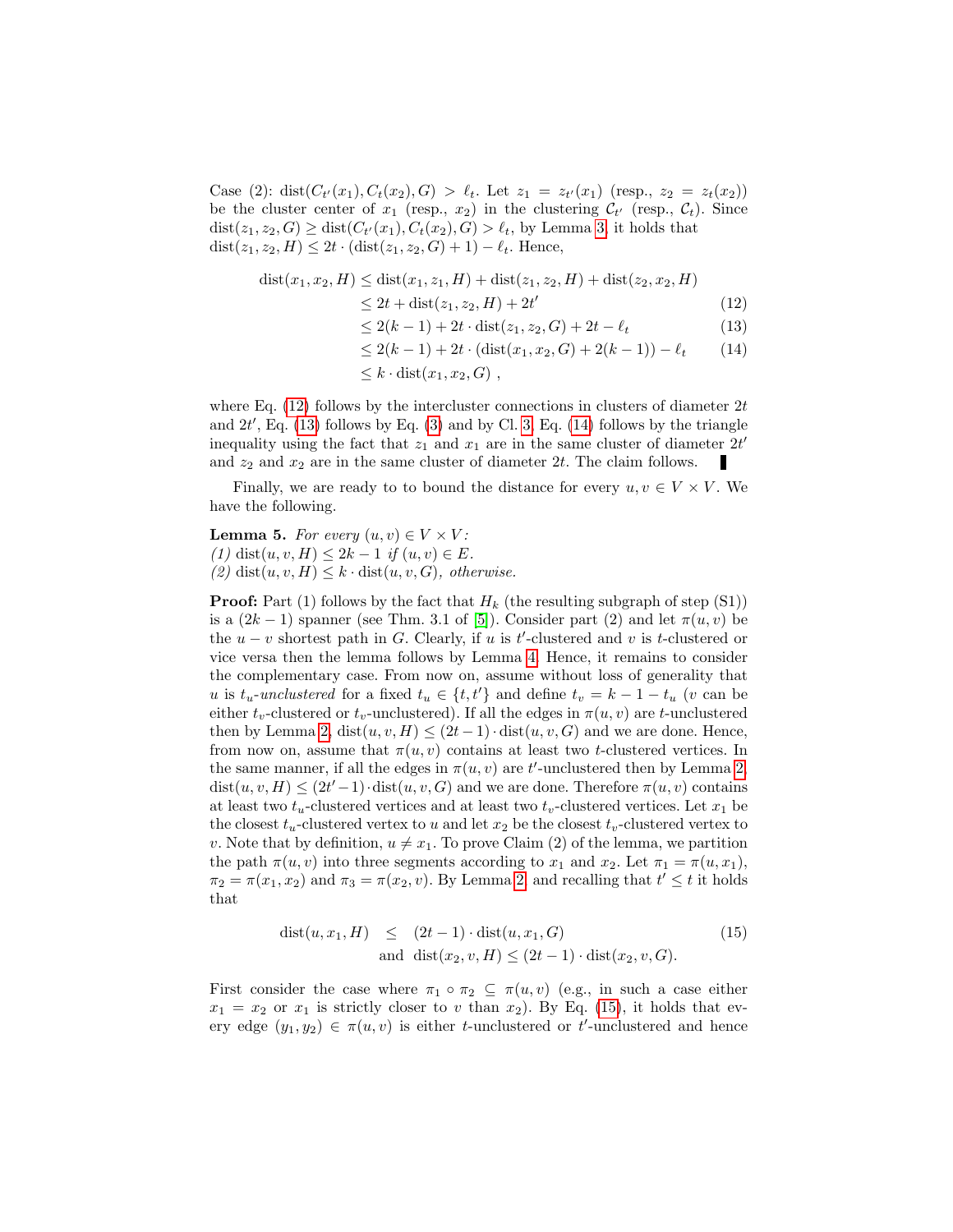Case (2): dist $(C_{t'}(x_1), C_t(x_2), G) > \ell_t$ . Let  $z_1 = z_{t'}(x_1)$  (resp.,  $z_2 = z_t(x_2)$ ) be the cluster center of  $x_1$  (resp.,  $x_2$ ) in the clustering  $\mathcal{C}_{t'}$  (resp.,  $\mathcal{C}_t$ ). Since  $dist(z_1, z_2, G) \geq dist(C_{t'}(x_1), C_t(x_2), G) > \ell_t$ , by Lemma [3,](#page-8-2) it holds that dist $(z_1, z_2, H) \leq 2t \cdot (\text{dist}(z_1, z_2, G) + 1) - \ell_t$ . Hence,

<span id="page-11-0"></span>
$$
dist(x_1, x_2, H) \leq dist(x_1, z_1, H) + dist(z_1, z_2, H) + dist(z_2, x_2, H)
$$
  
\n
$$
\leq 2t + dist(z_1, z_2, H) + 2t'
$$
\n(12)  
\n
$$
\leq 2(k - 1) + 2t \cdot dist(z_1, z_2, G) + 2t - \ell_t
$$
\n(13)  
\n
$$
\leq 2(k - 1) + 2t \cdot (dist(x_1, x_2, G) + 2(k - 1)) - \ell_t
$$
\n(14)  
\n
$$
\leq k \cdot dist(x_1, x_2, G)
$$

where Eq.  $(12)$  follows by the intercluster connections in clusters of diameter  $2t$ and  $2t'$ , Eq. [\(13\)](#page-11-0) follows by Eq. [\(3\)](#page-7-1) and by Cl. [3,](#page-8-2) Eq. [\(14\)](#page-11-0) follows by the triangle inequality using the fact that  $z_1$  and  $x_1$  are in the same cluster of diameter  $2t'$ and  $z_2$  and  $x_2$  are in the same cluster of diameter 2t. The claim follows. п

<span id="page-11-2"></span>Finally, we are ready to to bound the distance for every  $u, v \in V \times V$ . We have the following.

**Lemma 5.** For every  $(u, v) \in V \times V$ : (1) dist(u, v, H)  $\leq 2k-1$  if  $(u, v) \in E$ . (2) dist $(u, v, H) \leq k \cdot \text{dist}(u, v, G)$ , otherwise.

**Proof:** Part (1) follows by the fact that  $H_k$  (the resulting subgraph of step (S1)) is a  $(2k-1)$  spanner (see Thm. 3.1 of [\[5\]](#page-27-0)). Consider part (2) and let  $\pi(u, v)$  be the  $u - v$  shortest path in G. Clearly, if u is t'-clustered and v is t-clustered or vice versa then the lemma follows by Lemma [4.](#page-9-3) Hence, it remains to consider the complementary case. From now on, assume without loss of generality that u is  $t_u$ -unclustered for a fixed  $t_u \in \{t, t'\}$  and define  $t_v = k - 1 - t_u$  (v can be either  $t_v$ -clustered or  $t_v$ -unclustered). If all the edges in  $\pi(u, v)$  are t-unclustered then by Lemma [2,](#page-8-0) dist $(u, v, H) \leq (2t-1) \cdot dist(u, v, G)$  and we are done. Hence, from now on, assume that  $\pi(u, v)$  contains at least two t-clustered vertices. In the same manner, if all the edges in  $\pi(u, v)$  are t'-unclustered then by Lemma [2,](#page-8-0)  $dist(u, v, H) \leq (2t'-1) \cdot dist(u, v, G)$  and we are done. Therefore  $\pi(u, v)$  contains at least two  $t_u$ -clustered vertices and at least two  $t_v$ -clustered vertices. Let  $x_1$  be the closest  $t_u$ -clustered vertex to u and let  $x_2$  be the closest  $t_v$ -clustered vertex to v. Note that by definition,  $u \neq x_1$ . To prove Claim (2) of the lemma, we partition the path  $\pi(u, v)$  into three segments according to  $x_1$  and  $x_2$ . Let  $\pi_1 = \pi(u, x_1)$ ,  $\pi_2 = \pi(x_1, x_2)$  and  $\pi_3 = \pi(x_2, v)$ . By Lemma [2,](#page-8-0) and recalling that  $t' \leq t$  it holds that

<span id="page-11-1"></span>
$$
dist(u, x_1, H) \le (2t - 1) \cdot dist(u, x_1, G)
$$
  
and 
$$
dist(x_2, v, H) \le (2t - 1) \cdot dist(x_2, v, G).
$$
 (15)

First consider the case where  $\pi_1 \circ \pi_2 \subseteq \pi(u, v)$  (e.g., in such a case either  $x_1 = x_2$  or  $x_1$  is strictly closer to v than  $x_2$ ). By Eq. [\(15\)](#page-11-1), it holds that every edge  $(y_1, y_2) \in \pi(u, v)$  is either t-unclustered or t'-unclustered and hence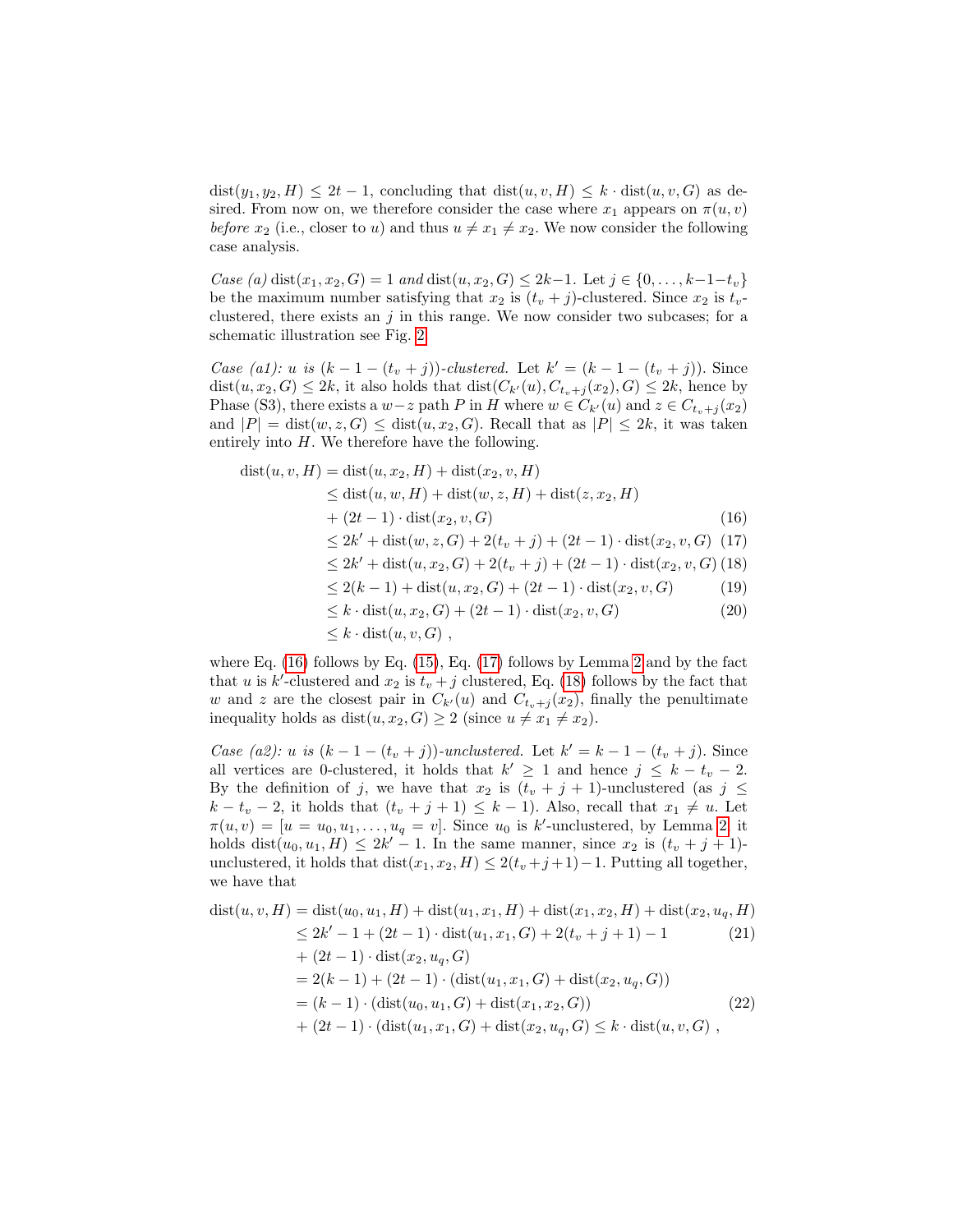$dist(y_1, y_2, H) \leq 2t - 1$ , concluding that  $dist(u, v, H) \leq k \cdot dist(u, v, G)$  as desired. From now on, we therefore consider the case where  $x_1$  appears on  $\pi(u, v)$ before  $x_2$  (i.e., closer to u) and thus  $u \neq x_1 \neq x_2$ . We now consider the following case analysis.

Case (a) dist $(x_1, x_2, G) = 1$  and dist $(u, x_2, G) \le 2k-1$ . Let  $j \in \{0, ..., k-1-t_v\}$ be the maximum number satisfying that  $x_2$  is  $(t_v + j)$ -clustered. Since  $x_2$  is  $t_v$ clustered, there exists an  $j$  in this range. We now consider two subcases; for a schematic illustration see Fig. [2.](#page-13-0)

Case (a1): u is  $(k-1-(t_v+j))$ -clustered. Let  $k' = (k-1-(t_v+j))$ . Since  $dist(u, x_2, G) \leq 2k$ , it also holds that  $dist(C_{k'}(u), C_{t_v+j}(x_2), G) \leq 2k$ , hence by Phase (S3), there exists a  $w-z$  path P in H where  $w \in C_{k'}(u)$  and  $z \in C_{t_v+j}(x_2)$ and  $|P| = \text{dist}(w, z, G) \leq \text{dist}(u, x_2, G)$ . Recall that as  $|P| \leq 2k$ , it was taken entirely into  $H$ . We therefore have the following.

<span id="page-12-0"></span>
$$
dist(u, v, H) = dist(u, x2, H) + dist(x2, v, H)\n\leq dist(u, w, H) + dist(w, z, H) + dist(z, x2, H) \n+ (2t - 1) \cdot dist(x2, v, G) \n(16)\n\leq 2k' + dist(w, z, G) + 2(tv + j) + (2t - 1) \cdot dist(x2, v, G) \n(17)\n\leq 2k' + dist(u, x2, G) + 2(tv + j) + (2t - 1) \cdot dist(x2, v, G) \n(18)\n\leq 2(k - 1) + dist(u, x2, G) + (2t - 1) \cdot dist(x2, v, G) \n(19)\n\leq k \cdot dist(u, x2, G) + (2t - 1) \cdot dist(x2, v, G) \n(20)\n\leq k \cdot dist(u, v, G)
$$

where Eq.  $(16)$  follows by Eq.  $(15)$ , Eq.  $(17)$  follows by Lemma [2](#page-8-0) and by the fact that u is k'-clustered and  $x_2$  is  $t_v + j$  clustered, Eq. [\(18\)](#page-12-0) follows by the fact that w and z are the closest pair in  $C_{k'}(u)$  and  $C_{t_{v+1}}(x_2)$ , finally the penultimate inequality holds as  $dist(u, x_2, G) \geq 2$  (since  $u \neq x_1 \neq x_2$ ).

Case (a2): u is  $(k - 1 - (t_v + j))$ -unclustered. Let  $k' = k - 1 - (t_v + j)$ . Since all vertices are 0-clustered, it holds that  $k' \geq 1$  and hence  $j \leq k - t_v - 2$ . By the definition of j, we have that  $x_2$  is  $(t_v + j + 1)$ -unclustered (as  $j \leq$  $k - t_v - 2$ , it holds that  $(t_v + j + 1) \leq k - 1$ ). Also, recall that  $x_1 \neq u$ . Let  $\pi(u, v) = [u = u_0, u_1, \dots, u_q = v]$ . Since  $u_0$  is k'-unclustered, by Lemma [2,](#page-8-0) it holds dist $(u_0, u_1, H) \leq 2k' - 1$ . In the same manner, since  $x_2$  is  $(t_v + j + 1)$ unclustered, it holds that  $dist(x_1, x_2, H) \leq 2(t_v + j + 1) - 1$ . Putting all together, we have that

<span id="page-12-1"></span>
$$
dist(u, v, H) = dist(u_0, u_1, H) + dist(u_1, x_1, H) + dist(x_1, x_2, H) + dist(x_2, u_q, H)
$$
  
\n
$$
\leq 2k' - 1 + (2t - 1) \cdot dist(u_1, x_1, G) + 2(t_v + j + 1) - 1
$$
\n(21)  
\n
$$
+ (2t - 1) \cdot dist(x_2, u_q, G)
$$
  
\n
$$
= 2(k - 1) + (2t - 1) \cdot (dist(u_1, x_1, G) + dist(x_2, u_q, G))
$$
  
\n
$$
= (k - 1) \cdot (dist(u_0, u_1, G) + dist(x_1, x_2, G))
$$
\n(22)  
\n
$$
+ (2t - 1) \cdot (dist(u_1, x_1, G) + dist(x_2, u_q, G) \leq k \cdot dist(u, v, G),
$$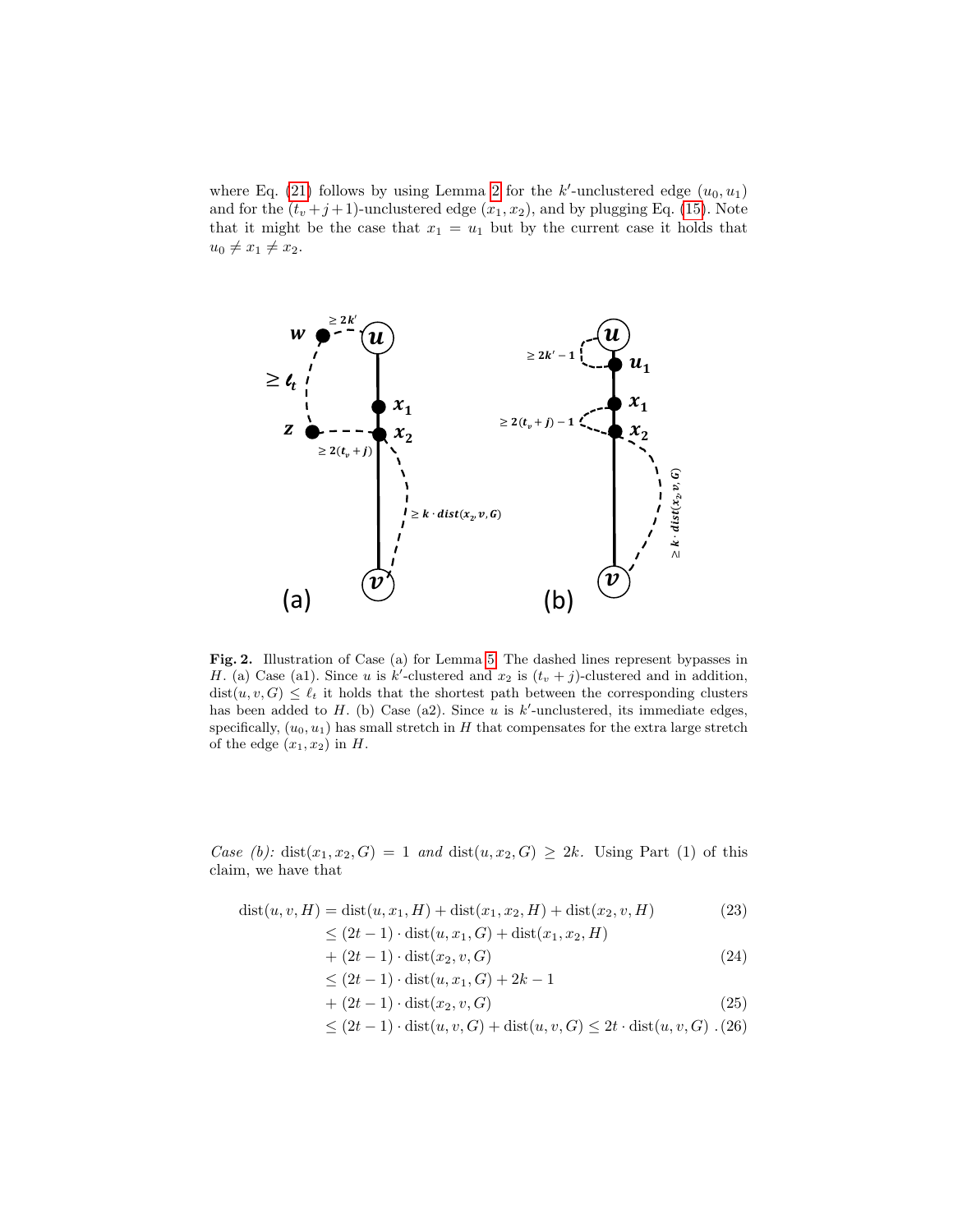where Eq. [\(21\)](#page-12-1) follows by using Lemma [2](#page-8-0) for the  $k'$ -unclustered edge  $(u_0, u_1)$ and for the  $(t_v + j + 1)$ -unclustered edge  $(x_1, x_2)$ , and by plugging Eq. [\(15\)](#page-11-1). Note that it might be the case that  $x_1 = u_1$  but by the current case it holds that  $u_0 \neq x_1 \neq x_2.$ 



<span id="page-13-0"></span>Fig. 2. Illustration of Case (a) for Lemma [5.](#page-11-2) The dashed lines represent bypasses in H. (a) Case (a1). Since u is k'-clustered and  $x_2$  is  $(t_v + j)$ -clustered and in addition,  $dist(u, v, G) \leq \ell_t$  it holds that the shortest path between the corresponding clusters has been added to H. (b) Case (a2). Since u is  $k'$ -unclustered, its immediate edges, specifically,  $(u_0, u_1)$  has small stretch in H that compensates for the extra large stretch of the edge  $(x_1, x_2)$  in H.

Case (b): dist $(x_1, x_2, G) = 1$  and dist $(u, x_2, G) \geq 2k$ . Using Part (1) of this claim, we have that

<span id="page-13-1"></span>
$$
dist(u, v, H) = dist(u, x_1, H) + dist(x_1, x_2, H) + dist(x_2, v, H)
$$
\n(23)

$$
\leq (2t-1) \cdot dist(u, x_1, G) + dist(x_1, x_2, H)
$$

$$
+(2t-1)\cdot dist(x_2,v,G) \tag{24}
$$

$$
\leq (2t-1) \cdot dist(u, x_1, G) + 2k - 1
$$

$$
+ (2t - 1) \cdot \text{dist}(x_2, v, G) \tag{25}
$$

$$
\leq (2t-1) \cdot dist(u, v, G) + dist(u, v, G) \leq 2t \cdot dist(u, v, G) \cdot (26)
$$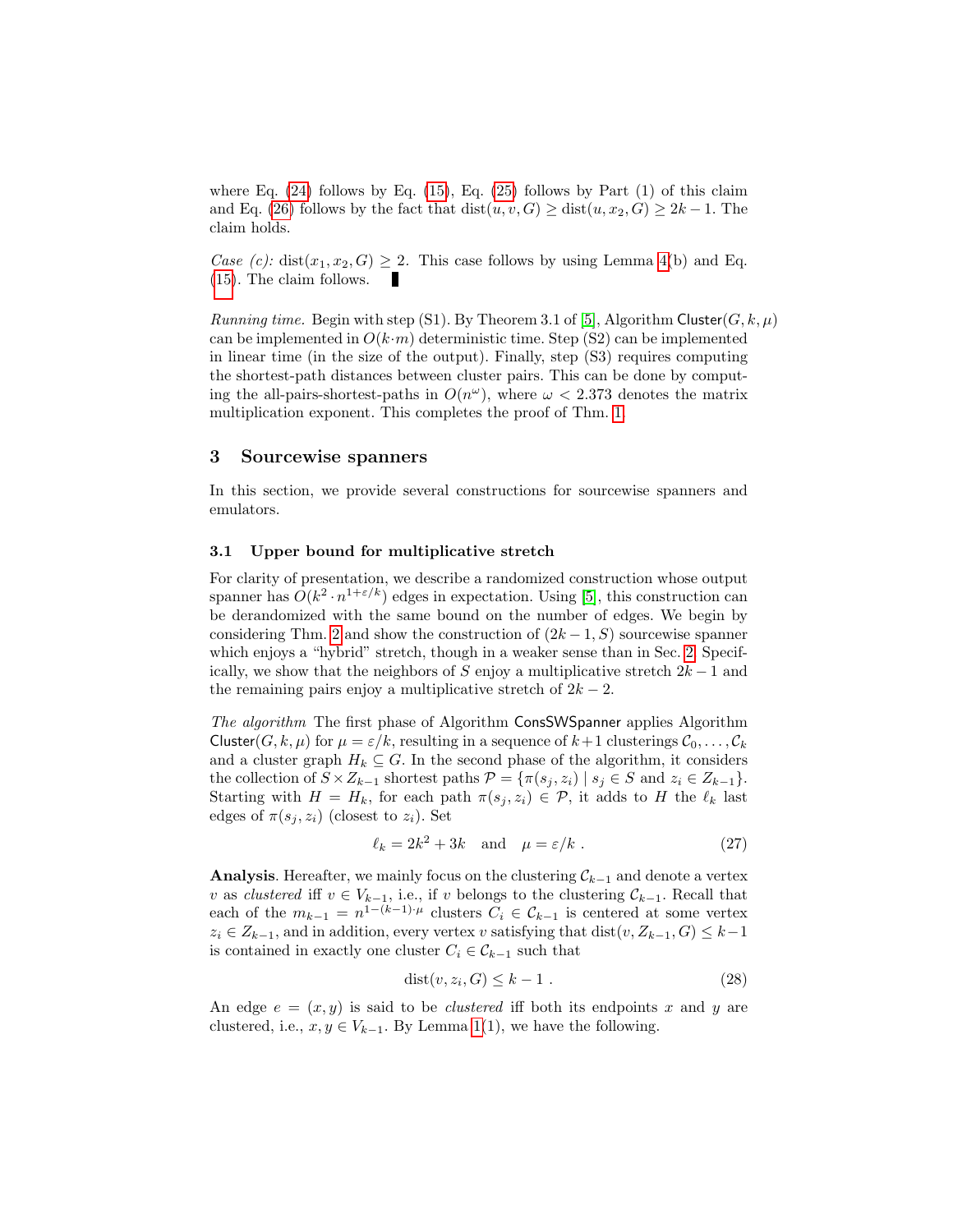where Eq.  $(24)$  follows by Eq.  $(15)$ , Eq.  $(25)$  follows by Part  $(1)$  of this claim and Eq. [\(26\)](#page-13-1) follows by the fact that  $dist(u, v, G) \geq dist(u, x_2, G) \geq 2k - 1$ . The claim holds.

Case (c): dist $(x_1, x_2, G) \geq 2$ . This case follows by using Lemma [4\(](#page-9-3)b) and Eq. [\(15\)](#page-11-1). The claim follows.

Running time. Begin with step (S1). By Theorem 3.1 of [\[5\]](#page-27-0), Algorithm Cluster( $G, k, \mu$ ) can be implemented in  $O(k \cdot m)$  deterministic time. Step (S2) can be implemented in linear time (in the size of the output). Finally, step (S3) requires computing the shortest-path distances between cluster pairs. This can be done by computing the all-pairs-shortest-paths in  $O(n^{\omega})$ , where  $\omega < 2.373$  denotes the matrix multiplication exponent. This completes the proof of Thm. [1.](#page-3-1)

#### 3 Sourcewise spanners

In this section, we provide several constructions for sourcewise spanners and emulators.

## <span id="page-14-0"></span>3.1 Upper bound for multiplicative stretch

For clarity of presentation, we describe a randomized construction whose output spanner has  $O(k^2 \cdot n^{1+\epsilon/k})$  edges in expectation. Using [\[5\]](#page-27-0), this construction can be derandomized with the same bound on the number of edges. We begin by considering Thm. [2](#page-3-2) and show the construction of  $(2k-1, S)$  sourcewise spanner which enjoys a "hybrid" stretch, though in a weaker sense than in Sec. [2.](#page-5-0) Specifically, we show that the neighbors of S enjoy a multiplicative stretch  $2k-1$  and the remaining pairs enjoy a multiplicative stretch of  $2k - 2$ .

The algorithm The first phase of Algorithm ConsSWSpanner applies Algorithm Cluster(G, k,  $\mu$ ) for  $\mu = \varepsilon/k$ , resulting in a sequence of  $k+1$  clusterings  $C_0, \ldots, C_k$ and a cluster graph  $H_k \subseteq G$ . In the second phase of the algorithm, it considers the collection of  $S \times Z_{k-1}$  shortest paths  $\mathcal{P} = \{\pi(s_i, z_i) \mid s_i \in S \text{ and } z_i \in Z_{k-1}\}.$ Starting with  $H = H_k$ , for each path  $\pi(s_i, z_i) \in \mathcal{P}$ , it adds to H the  $\ell_k$  last edges of  $\pi(s_i, z_i)$  (closest to  $z_i$ ). Set

<span id="page-14-2"></span>
$$
\ell_k = 2k^2 + 3k \quad \text{and} \quad \mu = \varepsilon/k \tag{27}
$$

**Analysis.** Hereafter, we mainly focus on the clustering  $\mathcal{C}_{k-1}$  and denote a vertex v as clustered iff  $v \in V_{k-1}$ , i.e., if v belongs to the clustering  $\mathcal{C}_{k-1}$ . Recall that each of the  $m_{k-1} = n^{1-(k-1)\cdot \mu}$  clusters  $C_i \in \mathcal{C}_{k-1}$  is centered at some vertex  $z_i \in Z_{k-1}$ , and in addition, every vertex v satisfying that  $dist(v, Z_{k-1}, G) \leq k-1$ is contained in exactly one cluster  $C_i \in \mathcal{C}_{k-1}$  such that

<span id="page-14-1"></span>
$$
dist(v, z_i, G) \le k - 1.
$$
\n<sup>(28)</sup>

An edge  $e = (x, y)$  is said to be *clustered* iff both its endpoints x and y are clustered, i.e.,  $x, y \in V_{k-1}$ . By Lemma [1\(](#page-8-3)1), we have the following.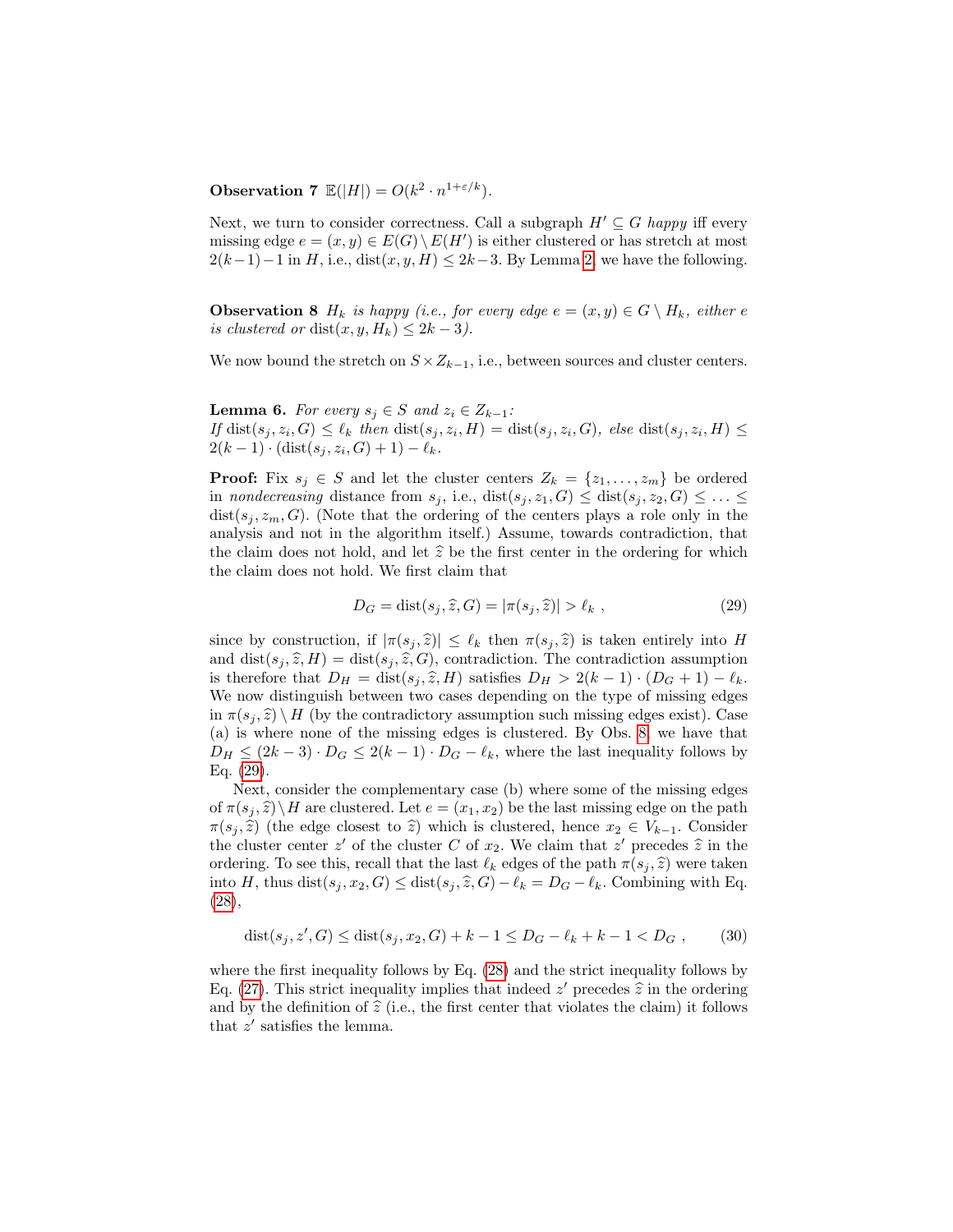**Observation 7**  $\mathbb{E}(|H|) = O(k^2 \cdot n^{1+\epsilon/k}).$ 

Next, we turn to consider correctness. Call a subgraph  $H' \subseteq G$  happy iff every missing edge  $e = (x, y) \in E(G) \setminus E(H')$  is either clustered or has stretch at most  $2(k-1)-1$  in H, i.e., dist $(x, y, H) \leq 2k-3$ . By Lemma [2,](#page-8-0) we have the following.

<span id="page-15-0"></span>**Observation 8**  $H_k$  is happy (i.e., for every edge  $e = (x, y) \in G \setminus H_k$ , either e is clustered or dist $(x, y, H_k) \leq 2k - 3$ ).

<span id="page-15-3"></span>We now bound the stretch on  $S \times Z_{k-1}$ , i.e., between sources and cluster centers.

**Lemma 6.** For every  $s_j \in S$  and  $z_i \in Z_{k-1}$ : If  $dist(s_j, z_i, G) \leq \ell_k$  then  $dist(s_j, z_i, H) = dist(s_j, z_i, G)$ , else  $dist(s_j, z_i, H) \leq$  $2(k-1) \cdot (\text{dist}(s_j, z_i, G) + 1) - \ell_k.$ 

**Proof:** Fix  $s_j \in S$  and let the cluster centers  $Z_k = \{z_1, \ldots, z_m\}$  be ordered in nondecreasing distance from  $s_j$ , i.e.,  $dist(s_j, z_1, G) \leq dist(s_j, z_2, G) \leq \ldots \leq$  $dist(s_i, z_m, G)$ . (Note that the ordering of the centers plays a role only in the analysis and not in the algorithm itself.) Assume, towards contradiction, that the claim does not hold, and let  $\hat{z}$  be the first center in the ordering for which the claim does not hold. We first claim that

<span id="page-15-1"></span>
$$
D_G = \text{dist}(s_j, \hat{z}, G) = |\pi(s_j, \hat{z})| > \ell_k ,
$$
\n(29)

since by construction, if  $|\pi(s_j, \hat{z})| \leq \ell_k$  then  $\pi(s_j, \hat{z})$  is taken entirely into H and  $dist(s_j, \hat{z}, H) = dist(s_j, \hat{z}, G)$ , contradiction. The contradiction assumption is therefore that  $D_H = \text{dist}(s_i, \hat{z}, H)$  satisfies  $D_H > 2(k - 1) \cdot (D_G + 1) - \ell_k$ . We now distinguish between two cases depending on the type of missing edges in  $\pi(s_i, \hat{z}) \backslash H$  (by the contradictory assumption such missing edges exist). Case (a) is where none of the missing edges is clustered. By Obs. [8,](#page-15-0) we have that  $D_H \leq (2k-3) \cdot D_G \leq 2(k-1) \cdot D_G - \ell_k$ , where the last inequality follows by Eq. [\(29\)](#page-15-1).

Next, consider the complementary case (b) where some of the missing edges of  $\pi(s_i, \hat{z})\backslash H$  are clustered. Let  $e = (x_1, x_2)$  be the last missing edge on the path  $\pi(s_j, \hat{z})$  (the edge closest to  $\hat{z}$ ) which is clustered, hence  $x_2 \in V_{k-1}$ . Consider the cluster center z' of the cluster C of  $x_2$ . We claim that z' precedes  $\hat{z}$  in the ordering. To see this, recall that the last  $\ell$ , edges of the path  $\pi(e, \hat{z})$  were taken ordering. To see this, recall that the last  $\ell_k$  edges of the path  $\pi(s_j, \hat{z})$  were taken into H, thus dist $(s_j, x_2, G) \leq$  dist $(s_j, \hat{z}, G) - \ell_k = D_G - \ell_k$ . Combining with Eq. [\(28\)](#page-14-1),

<span id="page-15-2"></span>
$$
dist(s_j, z', G) \leq dist(s_j, x_2, G) + k - 1 \leq D_G - \ell_k + k - 1 < D_G \tag{30}
$$

where the first inequality follows by Eq. [\(28\)](#page-14-1) and the strict inequality follows by Eq. [\(27\)](#page-14-2). This strict inequality implies that indeed  $z'$  precedes  $\hat{z}$  in the ordering and by the definition of  $\hat{z}$  (i.e., the first center that violates the claim) it follows and by the definition of  $\hat{z}$  (i.e., the first center that violates the claim) it follows that  $z'$  satisfies the lemma.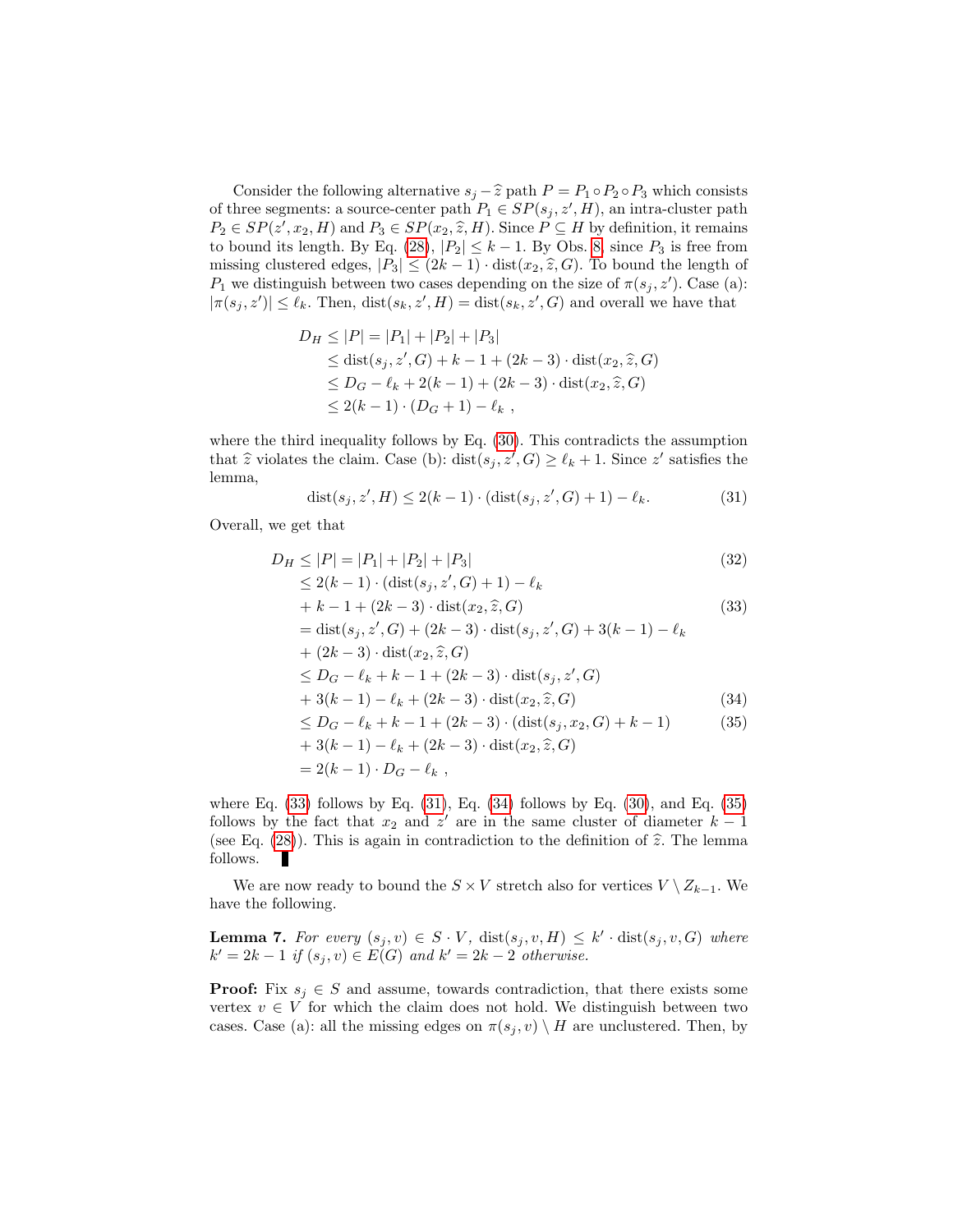Consider the following alternative  $s_j - \hat{z}$  path  $P = P_1 \circ P_2 \circ P_3$  which consists of three segments: a source-center path  $P_1 \in SP(s_j, z', H)$ , an intra-cluster path  $P_2 \in SP(z', x_2, H)$  and  $P_3 \in SP(x_2, \hat{z}, H)$ . Since  $P \subseteq H$  by definition, it remains to bound its length. By Eq. (28),  $|P_1| < k - 1$ , By Obs. 8, since  $P_2$  is free from to bound its length. By Eq. [\(28\)](#page-14-1),  $|P_2| \leq k - 1$ . By Obs. [8,](#page-15-0) since  $P_3$  is free from missing clustered edges,  $|P_3| \leq (2k-1) \cdot \text{dist}(x_2, \hat{z}, G)$ . To bound the length of  $P_1$  we distinguish between two cases depending on the size of  $\pi(s_j, z')$ . Case (a):  $|\pi(s_j, z')| \leq \ell_k$ . Then,  $dist(s_k, z', H) = dist(s_k, z', G)$  and overall we have that

$$
D_H \le |P| = |P_1| + |P_2| + |P_3|
$$
  
\n
$$
\le \text{dist}(s_j, z', G) + k - 1 + (2k - 3) \cdot \text{dist}(x_2, \hat{z}, G)
$$
  
\n
$$
\le D_G - \ell_k + 2(k - 1) + (2k - 3) \cdot \text{dist}(x_2, \hat{z}, G)
$$
  
\n
$$
\le 2(k - 1) \cdot (D_G + 1) - \ell_k,
$$

where the third inequality follows by Eq. [\(30\)](#page-15-2). This contradicts the assumption that  $\hat{z}$  violates the claim. Case (b): dist $(s_j, z', G) \ge \ell_k + 1$ . Since  $z'$  satisfies the lemma,

<span id="page-16-1"></span>
$$
dist(s_j, z', H) \le 2(k - 1) \cdot (dist(s_j, z', G) + 1) - \ell_k.
$$
 (31)

Overall, we get that

<span id="page-16-0"></span>
$$
D_H \le |P| = |P_1| + |P_2| + |P_3|
$$
\n
$$
\le 2(k - 1) \cdot (\text{dist}(s_j, z', G) + 1) - \ell_k
$$
\n
$$
+ k - 1 + (2k - 3) \cdot \text{dist}(x_2, \hat{z}, G)
$$
\n
$$
= \text{dist}(s_j, z', G) + (2k - 3) \cdot \text{dist}(s_j, z', G) + 3(k - 1) - \ell_k
$$
\n
$$
+ (2k - 3) \cdot \text{dist}(x_2, \hat{z}, G)
$$
\n
$$
\le D_G - \ell_k + k - 1 + (2k - 3) \cdot \text{dist}(s_j, z', G)
$$
\n
$$
+ 3(k - 1) - \ell_k + (2k - 3) \cdot \text{dist}(x_2, \hat{z}, G)
$$
\n
$$
\le D_G - \ell_k + k - 1 + (2k - 3) \cdot (\text{dist}(s_j, x_2, G) + k - 1)
$$
\n
$$
+ 3(k - 1) - \ell_k + (2k - 3) \cdot \text{dist}(x_2, \hat{z}, G)
$$
\n
$$
= 2(k - 1) \cdot D_G - \ell_k,
$$
\n(35)

where Eq.  $(33)$  follows by Eq.  $(31)$ , Eq.  $(34)$  follows by Eq.  $(30)$ , and Eq.  $(35)$ follows by the fact that  $x_2$  and  $z'$  are in the same cluster of diameter  $k-1$ (see Eq. [\(28\)](#page-14-1)). This is again in contradiction to the definition of  $\hat{z}$ . The lemma follows.

We are now ready to bound the  $S \times V$  stretch also for vertices  $V \setminus Z_{k-1}$ . We have the following.

**Lemma 7.** For every  $(s_j, v) \in S \cdot V$ ,  $dist(s_j, v, H) \leq k' \cdot dist(s_j, v, G)$  where  $k' = 2k - 1$  if  $(s_j, v) \in E(G)$  and  $k' = 2k - 2$  otherwise.

**Proof:** Fix  $s_i \in S$  and assume, towards contradiction, that there exists some vertex  $v \in V$  for which the claim does not hold. We distinguish between two cases. Case (a): all the missing edges on  $\pi(s_j, v) \setminus H$  are unclustered. Then, by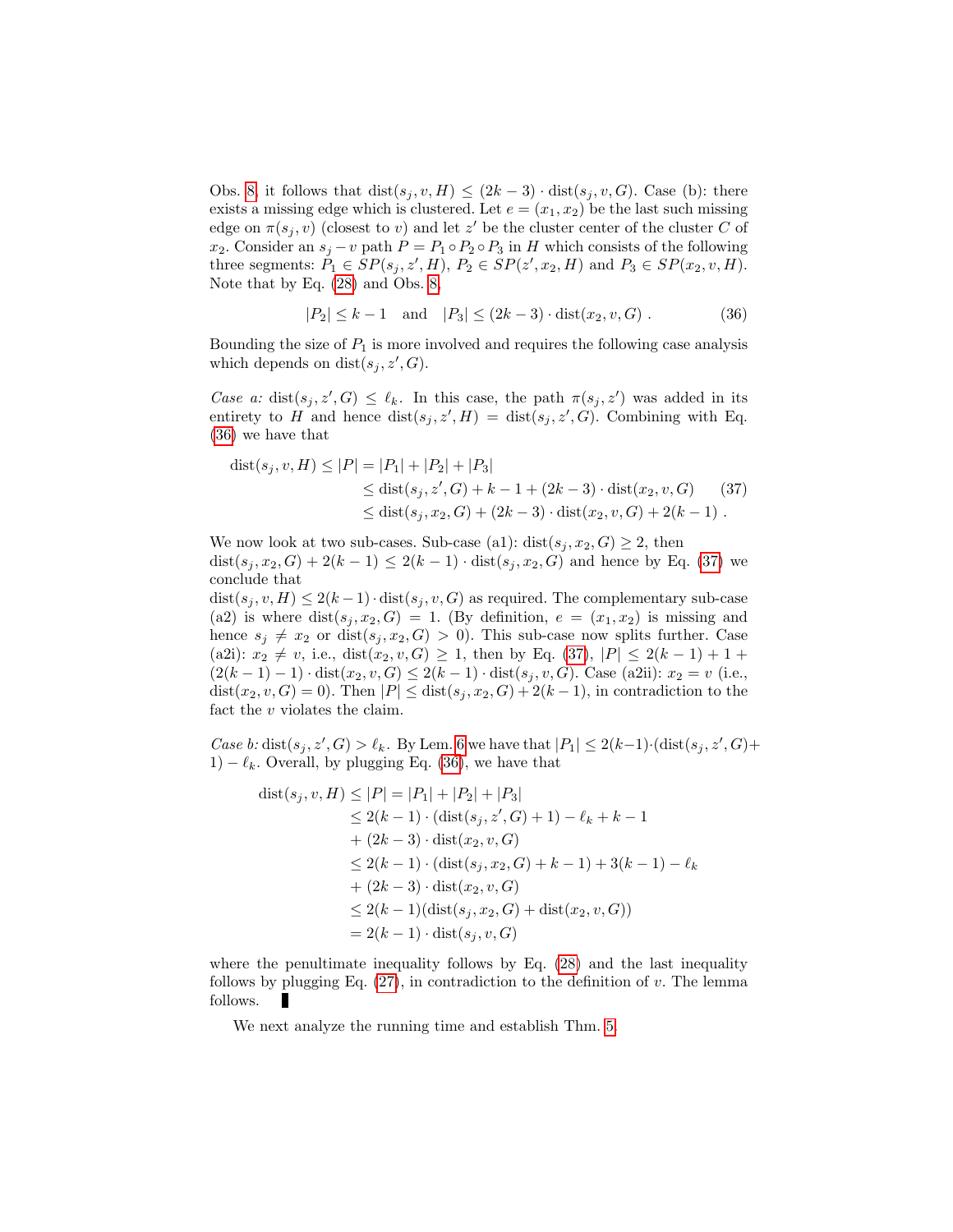Obs. [8,](#page-15-0) it follows that  $dist(s_i, v, H) \leq (2k-3) \cdot dist(s_i, v, G)$ . Case (b): there exists a missing edge which is clustered. Let  $e = (x_1, x_2)$  be the last such missing edge on  $\pi(s_j, v)$  (closest to v) and let z' be the cluster center of the cluster C of x<sub>2</sub>. Consider an  $s_j - v$  path  $P = P_1 \circ P_2 \circ P_3$  in H which consists of the following three segments:  $P_1 \in SP(s_j, z', H), P_2 \in SP(z', x_2, H)$  and  $P_3 \in SP(x_2, v, H)$ . Note that by Eq. [\(28\)](#page-14-1) and Obs. [8,](#page-15-0)

<span id="page-17-0"></span>
$$
|P_2| \le k - 1 \quad \text{and} \quad |P_3| \le (2k - 3) \cdot \text{dist}(x_2, v, G) \tag{36}
$$

Bounding the size of  $P_1$  is more involved and requires the following case analysis which depends on  $dist(s_j, z', G)$ .

Case a: dist $(s_j, z', G) \leq \ell_k$ . In this case, the path  $\pi(s_j, z')$  was added in its entirety to H and hence  $dist(s_j, z', H) = dist(s_j, z', G)$ . Combining with Eq. [\(36\)](#page-17-0) we have that

<span id="page-17-1"></span>
$$
dist(s_j, v, H) \le |P| = |P_1| + |P_2| + |P_3|
$$
  
\n
$$
\le dist(s_j, z', G) + k - 1 + (2k - 3) \cdot dist(x_2, v, G)
$$
 (37)  
\n
$$
\le dist(s_j, x_2, G) + (2k - 3) \cdot dist(x_2, v, G) + 2(k - 1).
$$

We now look at two sub-cases. Sub-case (a1):  $dist(s_i, x_2, G) \geq 2$ , then dist(s<sub>i</sub>, x<sub>2</sub>, G) + 2(k – 1) ≤ 2(k – 1) · dist(s<sub>i</sub>, x<sub>2</sub>, G) and hence by Eq. [\(37\)](#page-17-1) we conclude that

 $dist(s_j, v, H) \leq 2(k-1) \cdot dist(s_j, v, G)$  as required. The complementary sub-case (a2) is where  $dist(s_j, x_2, G) = 1$ . (By definition,  $e = (x_1, x_2)$  is missing and hence  $s_j \neq x_2$  or  $dist(s_j, x_2, G) > 0$ . This sub-case now splits further. Case (a2i):  $x_2 \neq v$ , i.e.,  $dist(x_2, v, G) \geq 1$ , then by Eq. [\(37\)](#page-17-1),  $|P| \leq 2(k-1)+1+1$  $(2(k-1)-1) \cdot dist(x_2, v, G) \leq 2(k-1) \cdot dist(s_j, v, G)$ . Case (a2ii):  $x_2 = v$  (i.e.,  $dist(x_2, v, G) = 0$ . Then  $|P| \leq dist(s_j, x_2, G) + 2(k-1)$ , in contradiction to the fact the  $v$  violates the claim.

Case b: dist $(s_j, z', G) > \ell_k$ . By Lem. [6](#page-15-3) we have that  $|P_1| \leq 2(k-1) \cdot (\text{dist}(s_j, z', G)) +$ 1)  $-\ell_k$ . Overall, by plugging Eq. [\(36\)](#page-17-0), we have that

<span id="page-17-2"></span>
$$
dist(s_j, v, H) \le |P| = |P_1| + |P_2| + |P_3|
$$
  
\n
$$
\le 2(k - 1) \cdot (dist(s_j, z', G) + 1) - \ell_k + k - 1
$$
  
\n
$$
+ (2k - 3) \cdot dist(x_2, v, G)
$$
  
\n
$$
\le 2(k - 1) \cdot (dist(s_j, x_2, G) + k - 1) + 3(k - 1) - \ell_k
$$
  
\n
$$
+ (2k - 3) \cdot dist(x_2, v, G)
$$
  
\n
$$
\le 2(k - 1)(dist(s_j, x_2, G) + dist(x_2, v, G))
$$
  
\n
$$
= 2(k - 1) \cdot dist(s_j, v, G)
$$

where the penultimate inequality follows by Eq.  $(28)$  and the last inequality follows by plugging Eq.  $(27)$ , in contradiction to the definition of v. The lemma follows.

We next analyze the running time and establish Thm. [5.](#page-5-1)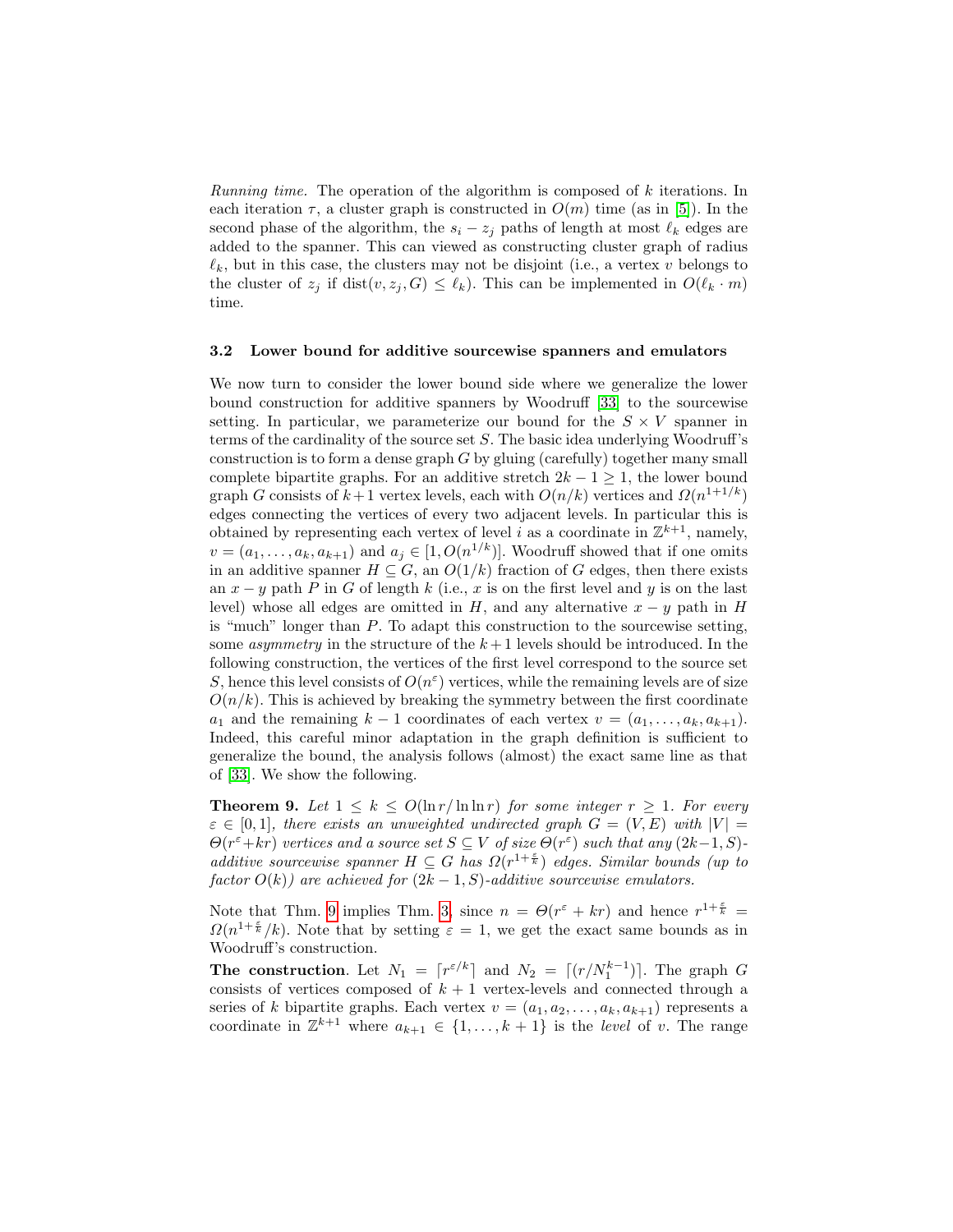Running time. The operation of the algorithm is composed of k iterations. In each iteration  $\tau$ , a cluster graph is constructed in  $O(m)$  time (as in [\[5\]](#page-27-0)). In the second phase of the algorithm, the  $s_i - z_j$  paths of length at most  $\ell_k$  edges are added to the spanner. This can viewed as constructing cluster graph of radius  $\ell_k$ , but in this case, the clusters may not be disjoint (i.e., a vertex v belongs to the cluster of  $z_i$  if dist $(v, z_i, G) \leq \ell_k$ ). This can be implemented in  $O(\ell_k \cdot m)$ time.

#### <span id="page-18-0"></span>3.2 Lower bound for additive sourcewise spanners and emulators

We now turn to consider the lower bound side where we generalize the lower bound construction for additive spanners by Woodruff [\[33\]](#page-28-4) to the sourcewise setting. In particular, we parameterize our bound for the  $S \times V$  spanner in terms of the cardinality of the source set  $S$ . The basic idea underlying Woodruff's construction is to form a dense graph G by gluing (carefully) together many small complete bipartite graphs. For an additive stretch  $2k - 1 \geq 1$ , the lower bound graph G consists of  $k+1$  vertex levels, each with  $O(n/k)$  vertices and  $\Omega(n^{1+1/k})$ edges connecting the vertices of every two adjacent levels. In particular this is obtained by representing each vertex of level i as a coordinate in  $\mathbb{Z}^{k+1}$ , namely,  $v = (a_1, \ldots, a_k, a_{k+1})$  and  $a_j \in [1, O(n^{1/k})]$ . Woodruff showed that if one omits in an additive spanner  $H \subseteq G$ , an  $O(1/k)$  fraction of G edges, then there exists an  $x - y$  path P in G of length k (i.e., x is on the first level and y is on the last level) whose all edges are omitted in H, and any alternative  $x - y$  path in H is "much" longer than  $P$ . To adapt this construction to the sourcewise setting, some *asymmetry* in the structure of the  $k+1$  levels should be introduced. In the following construction, the vertices of the first level correspond to the source set S, hence this level consists of  $O(n^{\epsilon})$  vertices, while the remaining levels are of size  $O(n/k)$ . This is achieved by breaking the symmetry between the first coordinate  $a_1$  and the remaining  $k-1$  coordinates of each vertex  $v = (a_1, \ldots, a_k, a_{k+1}).$ Indeed, this careful minor adaptation in the graph definition is sufficient to generalize the bound, the analysis follows (almost) the exact same line as that of [\[33\]](#page-28-4). We show the following.

<span id="page-18-1"></span>**Theorem 9.** Let  $1 \leq k \leq O(\ln r/\ln \ln r)$  for some integer  $r \geq 1$ . For every  $\varepsilon \in [0,1]$ , there exists an unweighted undirected graph  $G = (V, E)$  with  $|V| =$  $\Theta(r^{\varepsilon}+kr)$  vertices and a source set  $S \subseteq V$  of size  $\Theta(r^{\varepsilon})$  such that any  $(2k-1, S)$ additive sourcewise spanner  $H \subseteq G$  has  $\Omega(r^{1+\frac{\epsilon}{k}})$  edges. Similar bounds (up to factor  $O(k)$ ) are achieved for  $(2k-1, S)$ -additive sourcewise emulators.

Note that Thm. [9](#page-18-1) implies Thm. [3,](#page-3-0) since  $n = \Theta(r^{\varepsilon} + kr)$  and hence  $r^{1+\frac{\varepsilon}{k}} =$  $\Omega(n^{1+\frac{\varepsilon}{k}}/k)$ . Note that by setting  $\varepsilon = 1$ , we get the exact same bounds as in Woodruff's construction.

The construction. Let  $N_1 = \lceil r^{\varepsilon/k} \rceil$  and  $N_2 = \lceil (r/N_1^{k-1}) \rceil$ . The graph G consists of vertices composed of  $k + 1$  vertex-levels and connected through a series of k bipartite graphs. Each vertex  $v = (a_1, a_2, \ldots, a_k, a_{k+1})$  represents a coordinate in  $\mathbb{Z}^{k+1}$  where  $a_{k+1} \in \{1, ..., k+1\}$  is the level of v. The range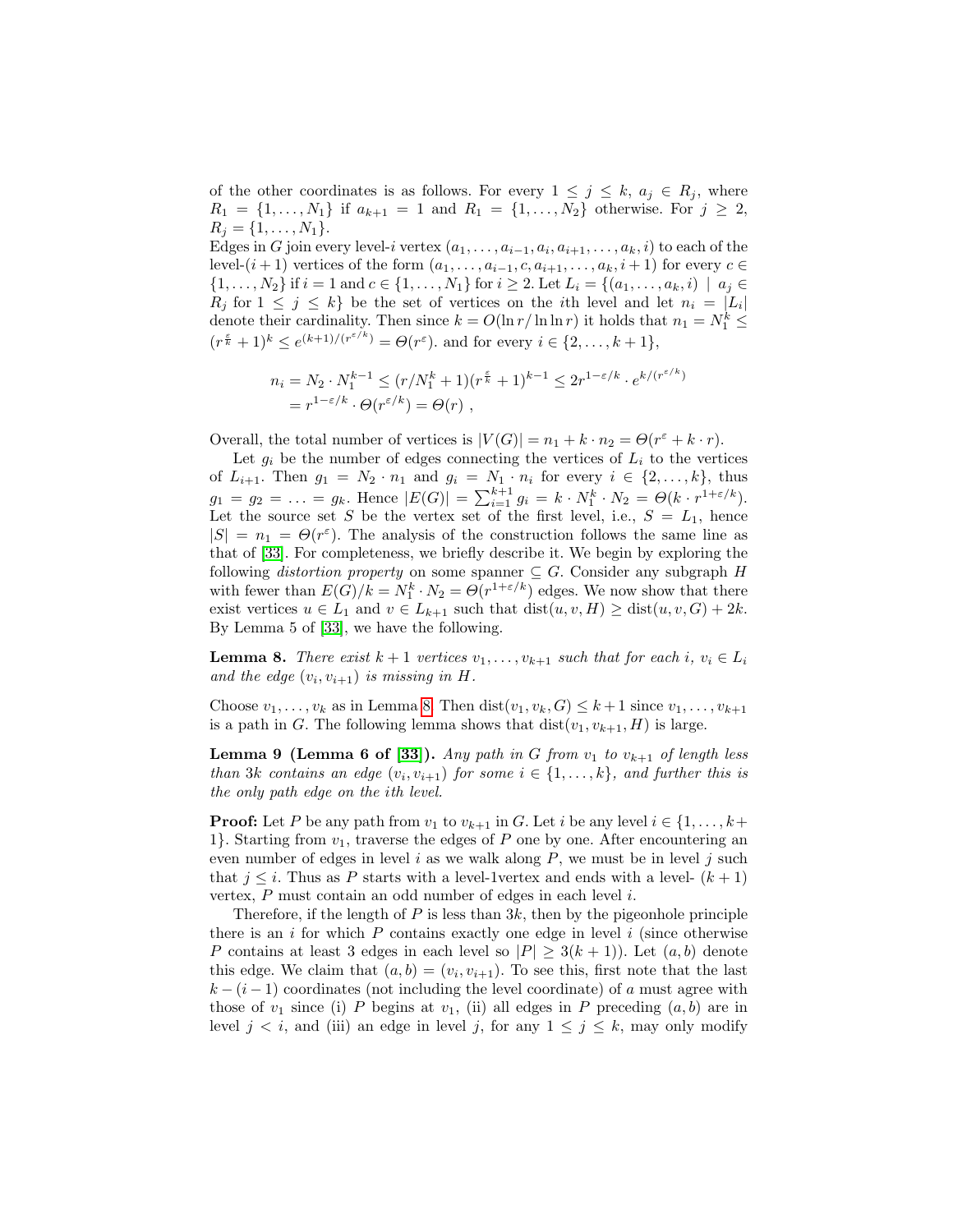of the other coordinates is as follows. For every  $1 \leq j \leq k$ ,  $a_j \in R_j$ , where  $R_1 = \{1, ..., N_1\}$  if  $a_{k+1} = 1$  and  $R_1 = \{1, ..., N_2\}$  otherwise. For  $j \ge 2$ ,  $R_j = \{1, \ldots, N_1\}.$ 

Edges in G join every level-i vertex  $(a_1, \ldots, a_{i-1}, a_i, a_{i+1}, \ldots, a_k, i)$  to each of the level- $(i + 1)$  vertices of the form  $(a_1, \ldots, a_{i-1}, c, a_{i+1}, \ldots, a_k, i+1)$  for every  $c \in$  $\{1,\ldots,N_2\}$  if  $i=1$  and  $c \in \{1,\ldots,N_1\}$  for  $i \geq 2$ . Let  $L_i = \{(a_1,\ldots,a_k,i) \mid a_i \in$  $R_j$  for  $1 \leq j \leq k$  be the set of vertices on the *i*th level and let  $n_i = |L_i|$ denote their cardinality. Then since  $k = O(\ln r / \ln \ln r)$  it holds that  $n_1 = N_1^k \leq$  $(r^{\frac{\varepsilon}{k}}+1)^k \leq e^{(k+1)/(r^{\varepsilon/k})} = \Theta(r^{\varepsilon})$  and for every  $i \in \{2,\ldots,k+1\}$ ,

$$
n_i = N_2 \cdot N_1^{k-1} \le (r/N_1^k + 1)(r^{\frac{\varepsilon}{k}} + 1)^{k-1} \le 2r^{1-\varepsilon/k} \cdot e^{k/(r^{\varepsilon/k})}
$$
  
=  $r^{1-\varepsilon/k} \cdot \Theta(r^{\varepsilon/k}) = \Theta(r)$ ,

Overall, the total number of vertices is  $|V(G)| = n_1 + k \cdot n_2 = \Theta(r^{\varepsilon} + k \cdot r)$ .

Let  $g_i$  be the number of edges connecting the vertices of  $L_i$  to the vertices of  $L_{i+1}$ . Then  $g_1 = N_2 \cdot n_1$  and  $g_i = N_1 \cdot n_i$  for every  $i \in \{2, \ldots, k\}$ , thus  $g_1 = g_2 = \ldots = g_k$ . Hence  $|E(G)| = \sum_{i=1}^{k+1} g_i = k \cdot N_1^k \cdot N_2 = \Theta(k \cdot r^{1+\epsilon/k})$ . Let the source set S be the vertex set of the first level, i.e.,  $S = L_1$ , hence  $|S| = n_1 = \Theta(r^{\epsilon})$ . The analysis of the construction follows the same line as that of [\[33\]](#page-28-4). For completeness, we briefly describe it. We begin by exploring the following *distortion property* on some spanner  $\subseteq G$ . Consider any subgraph H with fewer than  $E(G)/k = N_1^k \cdot N_2 = \Theta(r^{1+\varepsilon/k})$  edges. We now show that there exist vertices  $u \in L_1$  and  $v \in L_{k+1}$  such that  $dist(u, v, H) \geq dist(u, v, G) + 2k$ . By Lemma 5 of [\[33\]](#page-28-4), we have the following.

<span id="page-19-0"></span>**Lemma 8.** There exist  $k + 1$  vertices  $v_1, \ldots, v_{k+1}$  such that for each  $i, v_i \in L_i$ and the edge  $(v_i, v_{i+1})$  is missing in H.

Choose  $v_1, \ldots, v_k$  as in Lemma [8.](#page-19-0) Then  $dist(v_1, v_k, G) \leq k+1$  since  $v_1, \ldots, v_{k+1}$ is a path in G. The following lemma shows that  $dist(v_1, v_{k+1}, H)$  is large.

**Lemma 9 (Lemma 6 of [\[33\]](#page-28-4)).** Any path in G from  $v_1$  to  $v_{k+1}$  of length less than 3k contains an edge  $(v_i, v_{i+1})$  for some  $i \in \{1, ..., k\}$ , and further this is the only path edge on the ith level.

**Proof:** Let P be any path from  $v_1$  to  $v_{k+1}$  in G. Let i be any level  $i \in \{1, \ldots, k+\}$ 1}. Starting from  $v_1$ , traverse the edges of P one by one. After encountering an even number of edges in level  $i$  as we walk along  $P$ , we must be in level  $j$  such that  $j \leq i$ . Thus as P starts with a level-1vertex and ends with a level-  $(k+1)$ vertex, P must contain an odd number of edges in each level i.

Therefore, if the length of P is less than  $3k$ , then by the pigeonhole principle there is an  $i$  for which  $P$  contains exactly one edge in level  $i$  (since otherwise P contains at least 3 edges in each level so  $|P| \geq 3(k+1)$ . Let  $(a, b)$  denote this edge. We claim that  $(a, b) = (v_i, v_{i+1})$ . To see this, first note that the last  $k - (i - 1)$  coordinates (not including the level coordinate) of a must agree with those of  $v_1$  since (i) P begins at  $v_1$ , (ii) all edges in P preceding  $(a, b)$  are in level  $j < i$ , and (iii) an edge in level j, for any  $1 \le j \le k$ , may only modify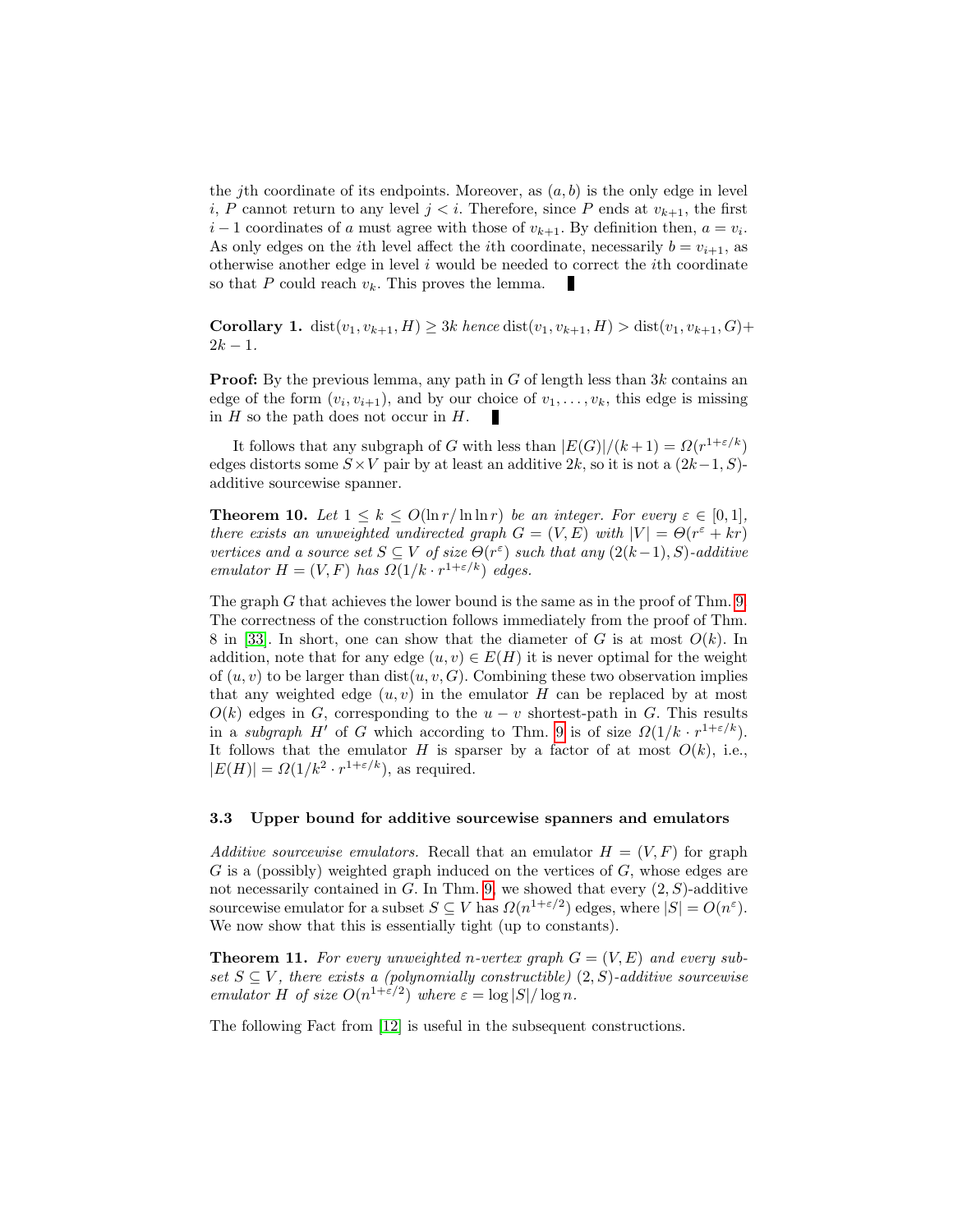the jth coordinate of its endpoints. Moreover, as  $(a, b)$  is the only edge in level i, P cannot return to any level  $j < i$ . Therefore, since P ends at  $v_{k+1}$ , the first  $i-1$  coordinates of a must agree with those of  $v_{k+1}$ . By definition then,  $a = v_i$ . As only edges on the *i*th level affect the *i*th coordinate, necessarily  $b = v_{i+1}$ , as otherwise another edge in level  $i$  would be needed to correct the  $i$ th coordinate so that P could reach  $v_k$ . This proves the lemma.

**Corollary 1.** dist $(v_1, v_{k+1}, H) \geq 3k$  hence  $dist(v_1, v_{k+1}, H) > dist(v_1, v_{k+1}, G) +$  $2k - 1$ .

**Proof:** By the previous lemma, any path in  $G$  of length less than  $3k$  contains an edge of the form  $(v_i, v_{i+1})$ , and by our choice of  $v_1, \ldots, v_k$ , this edge is missing in  $H$  so the path does not occur in  $H$ .

It follows that any subgraph of G with less than  $|E(G)|/(k+1) = \Omega(r^{1+\epsilon/k})$ edges distorts some  $S \times V$  pair by at least an additive 2k, so it is not a  $(2k-1, S)$ additive sourcewise spanner.

**Theorem 10.** Let  $1 \leq k \leq O(\ln r / \ln \ln r)$  be an integer. For every  $\varepsilon \in [0,1]$ , there exists an unweighted undirected graph  $G = (V, E)$  with  $|V| = \Theta(r^{\varepsilon} + kr)$ vertices and a source set  $S \subseteq V$  of size  $\Theta(r^{\varepsilon})$  such that any  $(2(k-1), S)$ -additive emulator  $H = (V, F)$  has  $\Omega(1/k \cdot r^{1+\epsilon/k})$  edges.

The graph G that achieves the lower bound is the same as in the proof of Thm. [9.](#page-18-1) The correctness of the construction follows immediately from the proof of Thm. 8 in [\[33\]](#page-28-4). In short, one can show that the diameter of G is at most  $O(k)$ . In addition, note that for any edge  $(u, v) \in E(H)$  it is never optimal for the weight of  $(u, v)$  to be larger than  $dist(u, v, G)$ . Combining these two observation implies that any weighted edge  $(u, v)$  in the emulator H can be replaced by at most  $O(k)$  edges in G, corresponding to the  $u - v$  shortest-path in G. This results in a subgraph H' of G which according to Thm. [9](#page-18-1) is of size  $\Omega(1/k \cdot r^{1+\epsilon/k})$ . It follows that the emulator H is sparser by a factor of at most  $O(k)$ , i.e.,  $|E(H)| = \Omega(1/k^2 \cdot r^{1+\epsilon/k})$ , as required.

#### <span id="page-20-0"></span>3.3 Upper bound for additive sourcewise spanners and emulators

Additive sourcewise emulators. Recall that an emulator  $H = (V, F)$  for graph  $G$  is a (possibly) weighted graph induced on the vertices of  $G$ , whose edges are not necessarily contained in  $G$ . In Thm. [9,](#page-18-1) we showed that every  $(2, S)$ -additive sourcewise emulator for a subset  $S \subseteq V$  has  $\Omega(n^{1+\varepsilon/2})$  edges, where  $|S| = O(n^{\varepsilon})$ . We now show that this is essentially tight (up to constants).

<span id="page-20-1"></span>**Theorem 11.** For every unweighted n-vertex graph  $G = (V, E)$  and every subset  $S \subseteq V$ , there exists a (polynomially constructible)  $(2, S)$ -additive sourcewise emulator H of size  $O(n^{1+\epsilon/2})$  where  $\epsilon = \log |S| / \log n$ .

<span id="page-20-2"></span>The following Fact from [\[12\]](#page-27-15) is useful in the subsequent constructions.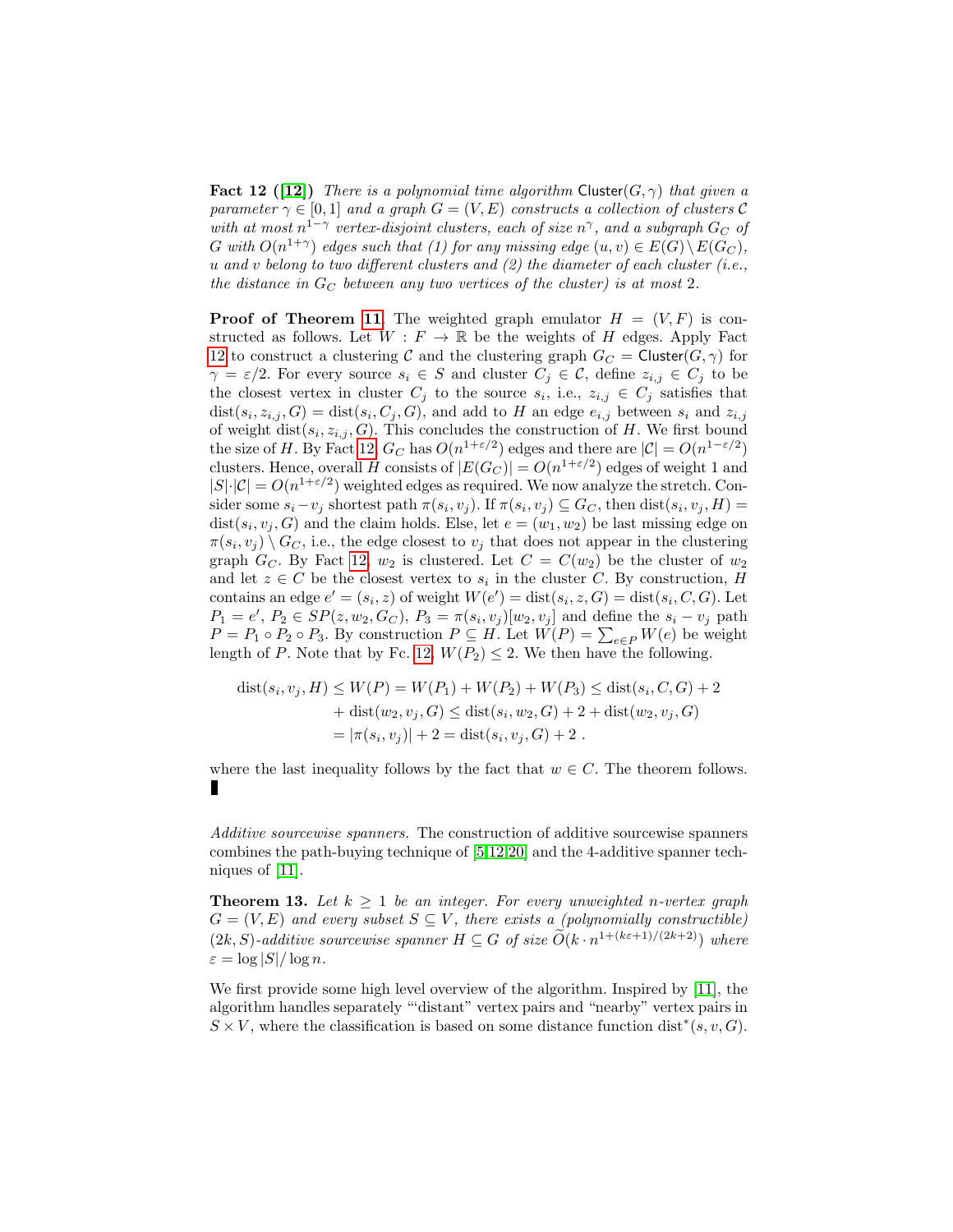**Fact 12 ([\[12\]](#page-27-15))** There is a polynomial time algorithm Cluster( $G, \gamma$ ) that given a parameter  $\gamma \in [0,1]$  and a graph  $G = (V, E)$  constructs a collection of clusters C with at most  $n^{1-\gamma}$  vertex-disjoint clusters, each of size  $n^{\gamma}$ , and a subgraph  $G_C$  of G with  $O(n^{1+\gamma})$  edges such that (1) for any missing edge  $(u, v) \in E(G) \setminus E(G_C)$ , u and  $v$  belong to two different clusters and  $(2)$  the diameter of each cluster (i.e., the distance in  $G_C$  between any two vertices of the cluster) is at most 2.

**Proof of Theorem [11](#page-20-1).** The weighted graph emulator  $H = (V, F)$  is constructed as follows. Let  $W : F \to \mathbb{R}$  be the weights of H edges. Apply Fact [12](#page-20-2) to construct a clustering C and the clustering graph  $G_C = Cluster(G, \gamma)$  for  $\gamma = \varepsilon/2$ . For every source  $s_i \in S$  and cluster  $C_j \in \mathcal{C}$ , define  $z_{i,j} \in C_j$  to be the closest vertex in cluster  $C_j$  to the source  $s_i$ , i.e.,  $z_{i,j} \in C_j$  satisfies that  $dist(s_i, z_{i,j}, G) = dist(s_i, C_j, G)$ , and add to H an edge  $e_{i,j}$  between  $s_i$  and  $z_{i,j}$ of weight  $dist(s_i, z_{i,j}, G)$ . This concludes the construction of H. We first bound the size of H. By Fact [12,](#page-20-2)  $G_C$  has  $O(n^{1+\epsilon/2})$  edges and there are  $|\mathcal{C}| = O(n^{1-\epsilon/2})$ clusters. Hence, overall H consists of  $|E(G_C)| = O(n^{1+\epsilon/2})$  edges of weight 1 and  $|S|\cdot|\mathcal{C}| = O(n^{1+\varepsilon/2})$  weighted edges as required. We now analyze the stretch. Consider some  $s_i - v_j$  shortest path  $\pi(s_i, v_j)$ . If  $\pi(s_i, v_j) \subseteq G_C$ , then  $dist(s_i, v_j, H) =$  $dist(s_i, v_j, G)$  and the claim holds. Else, let  $e = (w_1, w_2)$  be last missing edge on  $\pi(s_i, v_j) \setminus G_C$ , i.e., the edge closest to  $v_j$  that does not appear in the clustering graph  $G_C$ . By Fact [12,](#page-20-2)  $w_2$  is clustered. Let  $C = C(w_2)$  be the cluster of  $w_2$ and let  $z \in C$  be the closest vertex to  $s_i$  in the cluster C. By construction, H contains an edge  $e' = (s_i, z)$  of weight  $W(e') = \text{dist}(s_i, z, G) = \text{dist}(s_i, C, G)$ . Let  $P_1 = e', P_2 \in SP(z, w_2, G_C), P_3 = \pi(s_i, v_j)[w_2, v_j]$  and define the  $s_i - v_j$  path  $P = P_1 \circ P_2 \circ P_3$ . By construction  $P \subseteq H$ . Let  $W(P) = \sum_{e \in P} W(e)$  be weight length of P. Note that by Fc. [12,](#page-20-2)  $W(P_2) \leq 2$ . We then have the following.

$$
dist(s_i, v_j, H) \le W(P) = W(P_1) + W(P_2) + W(P_3) \le dist(s_i, C, G) + 2
$$
  
+ 
$$
dist(w_2, v_j, G) \le dist(s_i, w_2, G) + 2 + dist(w_2, v_j, G)
$$
  
=  $|\pi(s_i, v_j)| + 2 = dist(s_i, v_j, G) + 2$ .

where the last inequality follows by the fact that  $w \in C$ . The theorem follows. П

<span id="page-21-0"></span>Additive sourcewise spanners. The construction of additive sourcewise spanners combines the path-buying technique of [\[5,](#page-27-0)[12,](#page-27-15)[20\]](#page-27-16) and the 4-additive spanner techniques of [\[11\]](#page-27-18).

**Theorem 13.** Let  $k \geq 1$  be an integer. For every unweighted n-vertex graph  $G = (V, E)$  and every subset  $S \subseteq V$ , there exists a (polynomially constructible)  $(2k, S)$ -additive sourcewise spanner  $H \subseteq G$  of size  $\widetilde{O}(k \cdot n^{1 + (k\varepsilon + 1)/(2k+2)})$  where  $\varepsilon = \log |S| / \log n$ .

We first provide some high level overview of the algorithm. Inspired by [\[11\]](#page-27-18), the algorithm handles separately "'distant" vertex pairs and "nearby" vertex pairs in  $S \times V$ , where the classification is based on some distance function dist<sup>\*</sup>(s, v, G).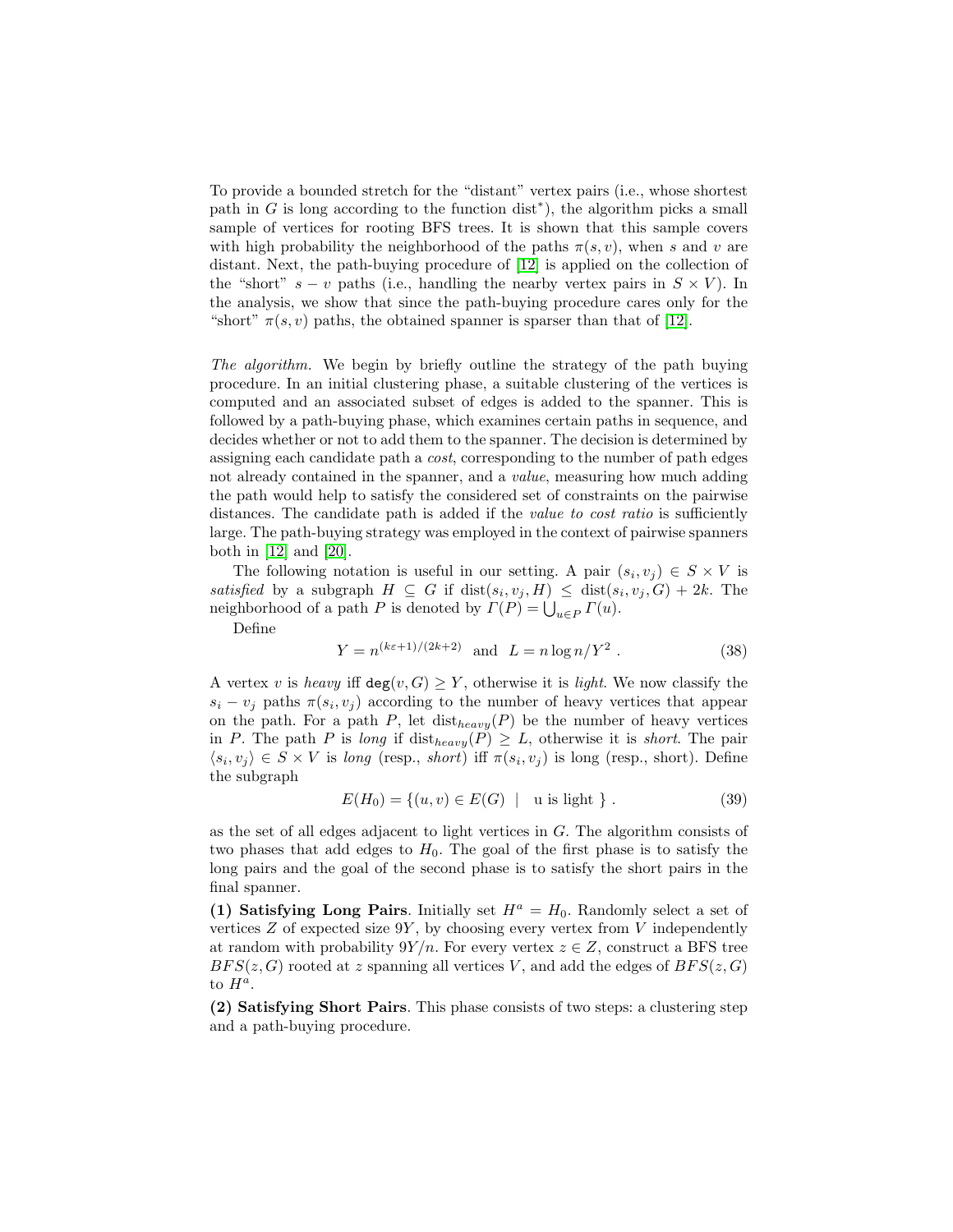To provide a bounded stretch for the "distant" vertex pairs (i.e., whose shortest path in  $G$  is long according to the function dist<sup>\*</sup>), the algorithm picks a small sample of vertices for rooting BFS trees. It is shown that this sample covers with high probability the neighborhood of the paths  $\pi(s, v)$ , when s and v are distant. Next, the path-buying procedure of [\[12\]](#page-27-15) is applied on the collection of the "short"  $s - v$  paths (i.e., handling the nearby vertex pairs in  $S \times V$ ). In the analysis, we show that since the path-buying procedure cares only for the "short"  $\pi(s, v)$  paths, the obtained spanner is sparser than that of [\[12\]](#page-27-15).

The algorithm. We begin by briefly outline the strategy of the path buying procedure. In an initial clustering phase, a suitable clustering of the vertices is computed and an associated subset of edges is added to the spanner. This is followed by a path-buying phase, which examines certain paths in sequence, and decides whether or not to add them to the spanner. The decision is determined by assigning each candidate path a cost, corresponding to the number of path edges not already contained in the spanner, and a *value*, measuring how much adding the path would help to satisfy the considered set of constraints on the pairwise distances. The candidate path is added if the *value to cost ratio* is sufficiently large. The path-buying strategy was employed in the context of pairwise spanners both in [\[12\]](#page-27-15) and [\[20\]](#page-27-16).

The following notation is useful in our setting. A pair  $(s_i, v_j) \in S \times V$  is satisfied by a subgraph  $H \subseteq G$  if  $dist(s_i, v_j, H) \leq dist(s_i, v_j, G) + 2k$ . The neighborhood of a path P is denoted by  $\Gamma(P) = \bigcup_{u \in P} \Gamma(u)$ .

Define

$$
Y = n^{(k\varepsilon + 1)/(2k+2)} \text{ and } L = n \log n / Y^2. \tag{38}
$$

A vertex v is heavy iff  $deg(v, G) \geq Y$ , otherwise it is *light*. We now classify the  $s_i - v_j$  paths  $\pi(s_i, v_j)$  according to the number of heavy vertices that appear on the path. For a path P, let  $dist_{heavy}(P)$  be the number of heavy vertices in P. The path P is long if  $dist_{heavy}(P) \geq L$ , otherwise it is *short*. The pair  $\langle s_i, v_j \rangle \in S \times V$  is long (resp., short) iff  $\pi(s_i, v_j)$  is long (resp., short). Define the subgraph

$$
E(H_0) = \{(u, v) \in E(G) \mid u \text{ is light }\}.
$$
 (39)

as the set of all edges adjacent to light vertices in  $G$ . The algorithm consists of two phases that add edges to  $H_0$ . The goal of the first phase is to satisfy the long pairs and the goal of the second phase is to satisfy the short pairs in the final spanner.

(1) Satisfying Long Pairs. Initially set  $H^a = H_0$ . Randomly select a set of vertices  $Z$  of expected size  $9Y$ , by choosing every vertex from  $V$  independently at random with probability  $9Y/n$ . For every vertex  $z \in Z$ , construct a BFS tree  $BFS(z, G)$  rooted at z spanning all vertices V, and add the edges of  $BFS(z, G)$ to  $H^a$ .

(2) Satisfying Short Pairs. This phase consists of two steps: a clustering step and a path-buying procedure.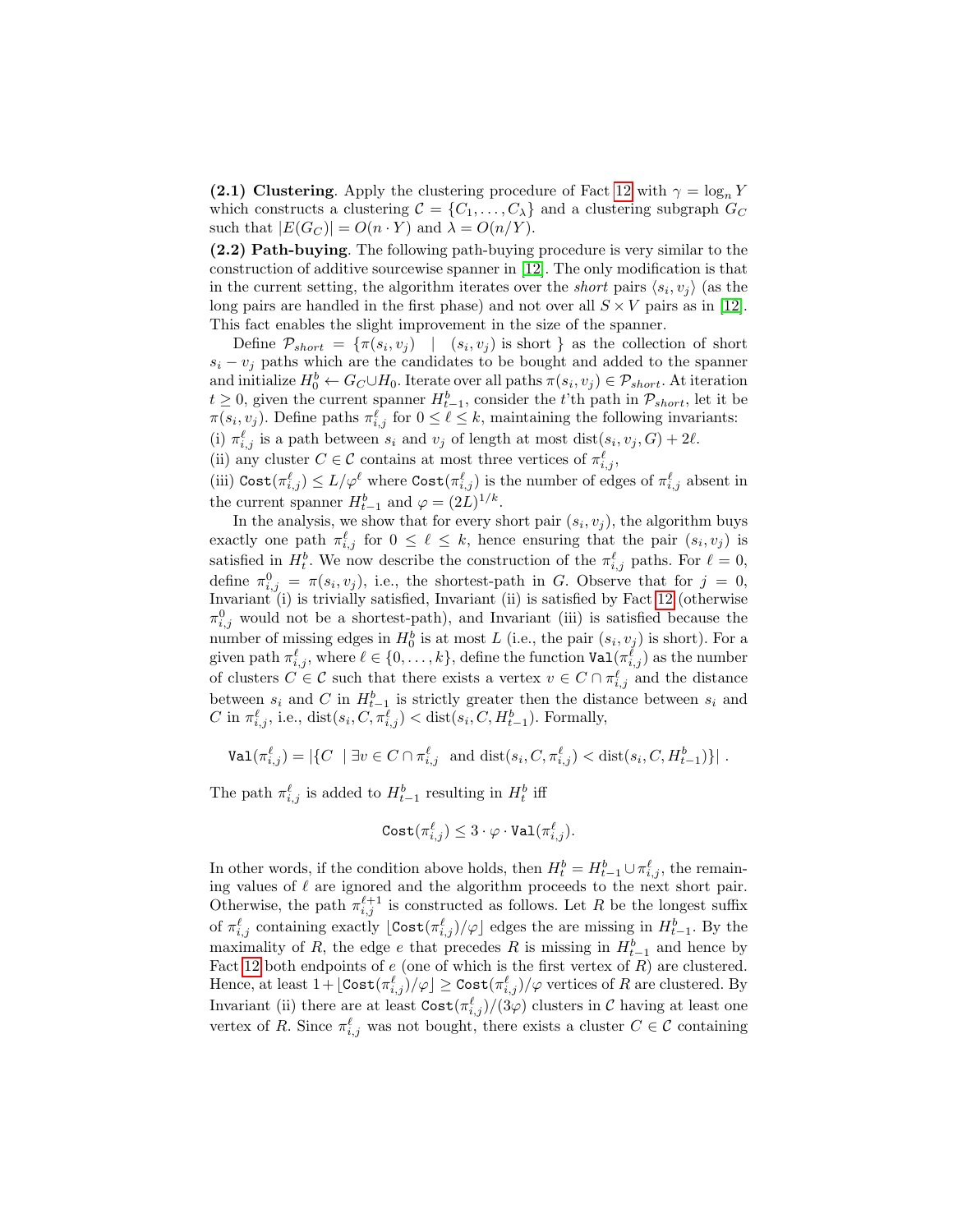(2.1) Clustering. Apply the clustering procedure of Fact [12](#page-20-2) with  $\gamma = \log_n Y$ which constructs a clustering  $C = \{C_1, \ldots, C_{\lambda}\}\$ and a clustering subgraph  $G_C$ such that  $|E(G_C)| = O(n \cdot Y)$  and  $\lambda = O(n/Y)$ .

(2.2) Path-buying. The following path-buying procedure is very similar to the construction of additive sourcewise spanner in [\[12\]](#page-27-15). The only modification is that in the current setting, the algorithm iterates over the *short* pairs  $\langle s_i, v_j \rangle$  (as the long pairs are handled in the first phase) and not over all  $S \times V$  pairs as in [\[12\]](#page-27-15). This fact enables the slight improvement in the size of the spanner.

Define  $\mathcal{P}_{short} = \{\pi(s_i, v_j) \mid (s_i, v_j) \text{ is short }\}$  as the collection of short  $s_i - v_j$  paths which are the candidates to be bought and added to the spanner and initialize  $H_0^b \leftarrow G_C \cup H_0$ . Iterate over all paths  $\pi(s_i, v_j) \in \mathcal{P}_{short}$ . At iteration  $t \geq 0$ , given the current spanner  $H_{t-1}^b$ , consider the t'th path in  $\mathcal{P}_{short}$ , let it be  $\pi(s_i, v_j)$ . Define paths  $\pi_{i,j}^{\ell}$  for  $0 \leq \ell \leq k$ , maintaining the following invariants: (i)  $\pi_{i,j}^{\ell}$  is a path between  $s_i$  and  $v_j$  of length at most dist $(s_i, v_j, G) + 2\ell$ . (ii) any cluster  $C \in \mathcal{C}$  contains at most three vertices of  $\pi_{i,j}^{\ell}$ ,

(iii)  $\text{Cost}(\pi_{i,j}^{\ell}) \le L/\varphi^{\ell}$  where  $\text{Cost}(\pi_{i,j}^{\ell})$  is the number of edges of  $\pi_{i,j}^{\ell}$  absent in the current spanner  $H_{t-1}^b$  and  $\varphi = (2L)^{1/k}$ .

In the analysis, we show that for every short pair  $(s_i, v_j)$ , the algorithm buys exactly one path  $\pi_{i,j}^{\ell}$  for  $0 \leq \ell \leq k$ , hence ensuring that the pair  $(s_i, v_j)$  is satisfied in  $H_t^b$ . We now describe the construction of the  $\pi_{i,j}^{\ell}$  paths. For  $\ell = 0$ , define  $\pi_{i,j}^0 = \pi(s_i, v_j)$ , i.e., the shortest-path in G. Observe that for  $j = 0$ , Invariant (i) is trivially satisfied, Invariant (ii) is satisfied by Fact [12](#page-20-2) (otherwise  $\pi_{i,j}^0$  would not be a shortest-path), and Invariant (iii) is satisfied because the number of missing edges in  $H_0^b$  is at most L (i.e., the pair  $(s_i, v_j)$  is short). For a given path  $\pi_{i,j}^{\ell}$ , where  $\ell \in \{0, \ldots, k\}$ , define the function  $\mathtt{Val}(\pi_{i,j}^{\ell})$  as the number of clusters  $C \in \mathcal{C}$  such that there exists a vertex  $v \in C \cap \pi_{i,j}^{\ell}$  and the distance between  $s_i$  and C in  $H_{t-1}^b$  is strictly greater then the distance between  $s_i$  and C in  $\pi_{i,j}^{\ell}$ , i.e.,  $dist(s_i, C, \pi_{i,j}^{\ell}) < dist(s_i, C, H_{t-1}^b)$ . Formally,

$$
\text{Val}(\pi_{i,j}^{\ell}) = |\{ C \mid \exists v \in C \cap \pi_{i,j}^{\ell} \text{ and } \text{dist}(s_i, C, \pi_{i,j}^{\ell}) < \text{dist}(s_i, C, H_{t-1}^b) \}|.
$$

The path  $\pi_{i,j}^{\ell}$  is added to  $H_{t-1}^{b}$  resulting in  $H_{t}^{b}$  iff

$$
\text{Cost}(\pi_{i,j}^{\ell}) \leq 3 \cdot \varphi \cdot \text{Val}(\pi_{i,j}^{\ell}).
$$

In other words, if the condition above holds, then  $H_t^b = H_{t-1}^b \cup \pi_{i,j}^\ell$ , the remaining values of  $\ell$  are ignored and the algorithm proceeds to the next short pair. Otherwise, the path  $\pi_{i,j}^{\ell+1}$  is constructed as follows. Let R be the longest suffix of  $\pi_{i,j}^{\ell}$  containing exactly  $\lfloor \text{Cost}(\pi_{i,j}^{\ell})/\varphi \rfloor$  edges the are missing in  $H_{t-1}^{b}$ . By the maximality of R, the edge e that precedes R is missing in  $H_{t-1}^b$  and hence by Fact [12](#page-20-2) both endpoints of  $e$  (one of which is the first vertex of  $R$ ) are clustered. Hence, at least  $1 + \lfloor \textsf{Cost}(\pi_{i,j}^\ell) / \varphi \rfloor \geq \textsf{Cost}(\pi_{i,j}^\ell) / \varphi$  vertices of  $R$  are clustered. By Invariant (ii) there are at least  $\text{Cost}(\pi_{i,j}^{\ell})/(3\varphi)$  clusters in C having at least one vertex of R. Since  $\pi_{i,j}^{\ell}$  was not bought, there exists a cluster  $C \in \mathcal{C}$  containing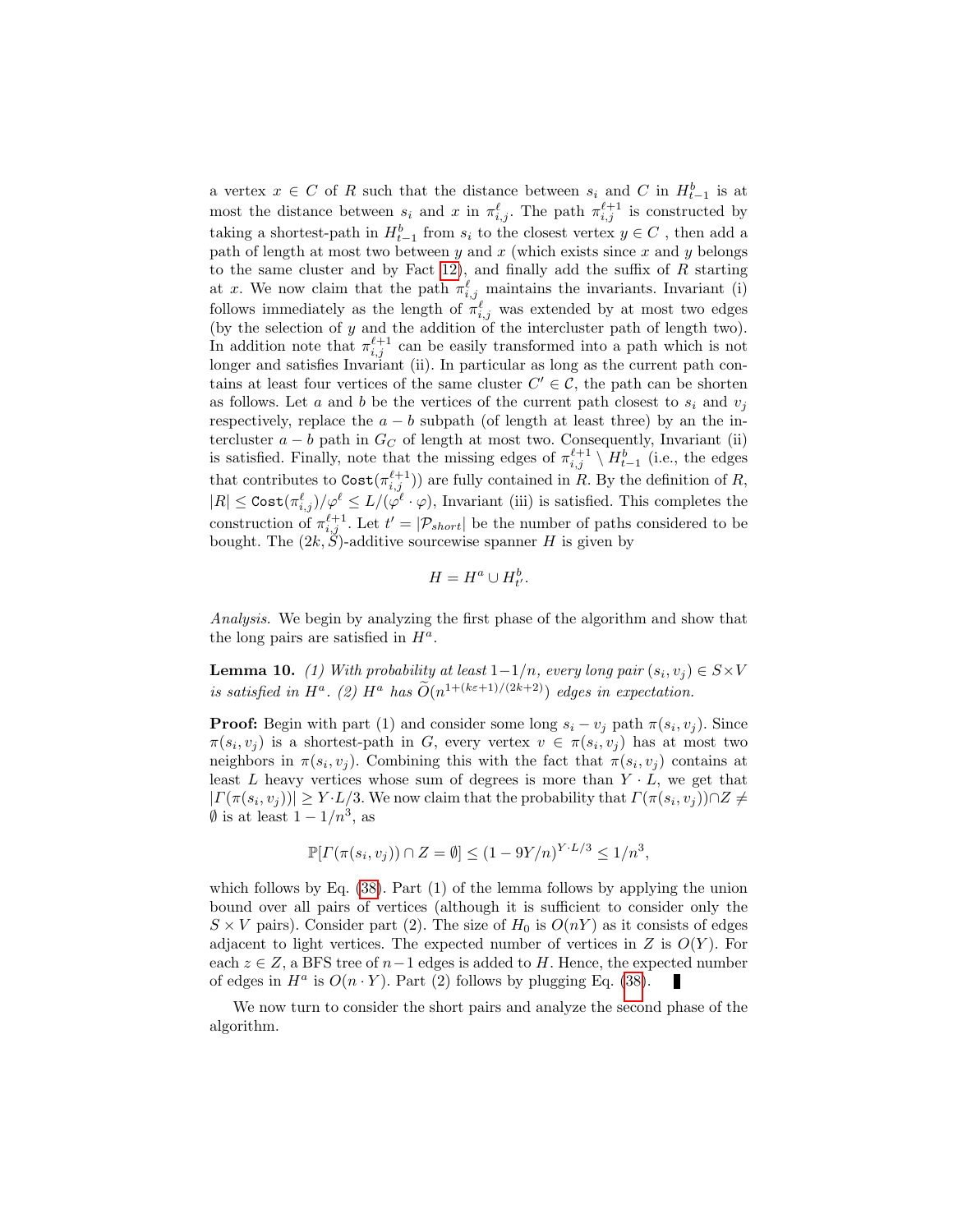a vertex  $x \in C$  of R such that the distance between  $s_i$  and C in  $H_{t-1}^b$  is at most the distance between  $s_i$  and x in  $\pi_{i,j}^{\ell}$ . The path  $\pi_{i,j}^{\ell+1}$  is constructed by taking a shortest-path in  $H_{t-1}^b$  from  $s_i$  to the closest vertex  $y \in C$ , then add a path of length at most two between  $y$  and  $x$  (which exists since  $x$  and  $y$  belongs to the same cluster and by Fact [12\)](#page-20-2), and finally add the suffix of  $R$  starting at x. We now claim that the path  $\pi_{i,j}^{\ell}$  maintains the invariants. Invariant (i) follows immediately as the length of  $\pi_{i,j}^{\ell}$  was extended by at most two edges (by the selection of  $y$  and the addition of the intercluster path of length two). In addition note that  $\pi_{i,j}^{\ell+1}$  can be easily transformed into a path which is not longer and satisfies Invariant (ii). In particular as long as the current path contains at least four vertices of the same cluster  $C' \in \mathcal{C}$ , the path can be shorten as follows. Let a and b be the vertices of the current path closest to  $s_i$  and  $v_j$ respectively, replace the  $a - b$  subpath (of length at least three) by an the intercluster  $a - b$  path in  $G_C$  of length at most two. Consequently, Invariant (ii) is satisfied. Finally, note that the missing edges of  $\pi_{i,j}^{\ell+1} \setminus H_{t-1}^b$  (i.e., the edges that contributes to  $\text{Cost}(\pi_{i,j}^{\ell+1})$  are fully contained in R. By the definition of R,  $|R| \leq \text{Cost}(\pi_{i,j}^{\ell})/\varphi^{\ell} \leq L/(\varphi^{\ell} \cdot \varphi)$ , Invariant (iii) is satisfied. This completes the construction of  $\pi_{i,j}^{\ell+1}$ . Let  $t' = |\mathcal{P}_{short}|$  be the number of paths considered to be bought. The  $(2k, S)$ -additive sourcewise spanner H is given by

<span id="page-24-0"></span>
$$
H = H^a \cup H^b_{t'}.
$$

Analysis. We begin by analyzing the first phase of the algorithm and show that the long pairs are satisfied in  $H^a$ .

**Lemma 10.** (1) With probability at least  $1-1/n$ , every long pair  $(s_i, v_j) \in S \times V$ is satisfied in  $H^a$ . (2)  $H^a$  has  $\widetilde{O}(n^{1+(k\varepsilon+1)/(2k+2)})$  edges in expectation.

**Proof:** Begin with part (1) and consider some long  $s_i - v_j$  path  $\pi(s_i, v_j)$ . Since  $\pi(s_i, v_j)$  is a shortest-path in G, every vertex  $v \in \pi(s_i, v_j)$  has at most two neighbors in  $\pi(s_i, v_j)$ . Combining this with the fact that  $\pi(s_i, v_j)$  contains at least L heavy vertices whose sum of degrees is more than  $Y \cdot L$ , we get that  $|\Gamma(\pi(s_i, v_j))| \geq Y \cdot L/3$ . We now claim that the probability that  $\Gamma(\pi(s_i, v_j)) \cap Z \neq$  $\emptyset$  is at least  $1-1/n^3$ , as

$$
\mathbb{P}[T(\pi(s_i, v_j)) \cap Z = \emptyset] \le (1 - 9Y/n)^{Y \cdot L/3} \le 1/n^3,
$$

which follows by Eq. [\(38\)](#page-17-2). Part (1) of the lemma follows by applying the union bound over all pairs of vertices (although it is sufficient to consider only the  $S \times V$  pairs). Consider part (2). The size of  $H_0$  is  $O(nY)$  as it consists of edges adjacent to light vertices. The expected number of vertices in  $Z$  is  $O(Y)$ . For each  $z \in Z$ , a BFS tree of  $n-1$  edges is added to H. Hence, the expected number of edges in  $H^a$  is  $O(n \cdot Y)$ . Part (2) follows by plugging Eq. [\(38\)](#page-17-2).

<span id="page-24-1"></span>We now turn to consider the short pairs and analyze the second phase of the algorithm.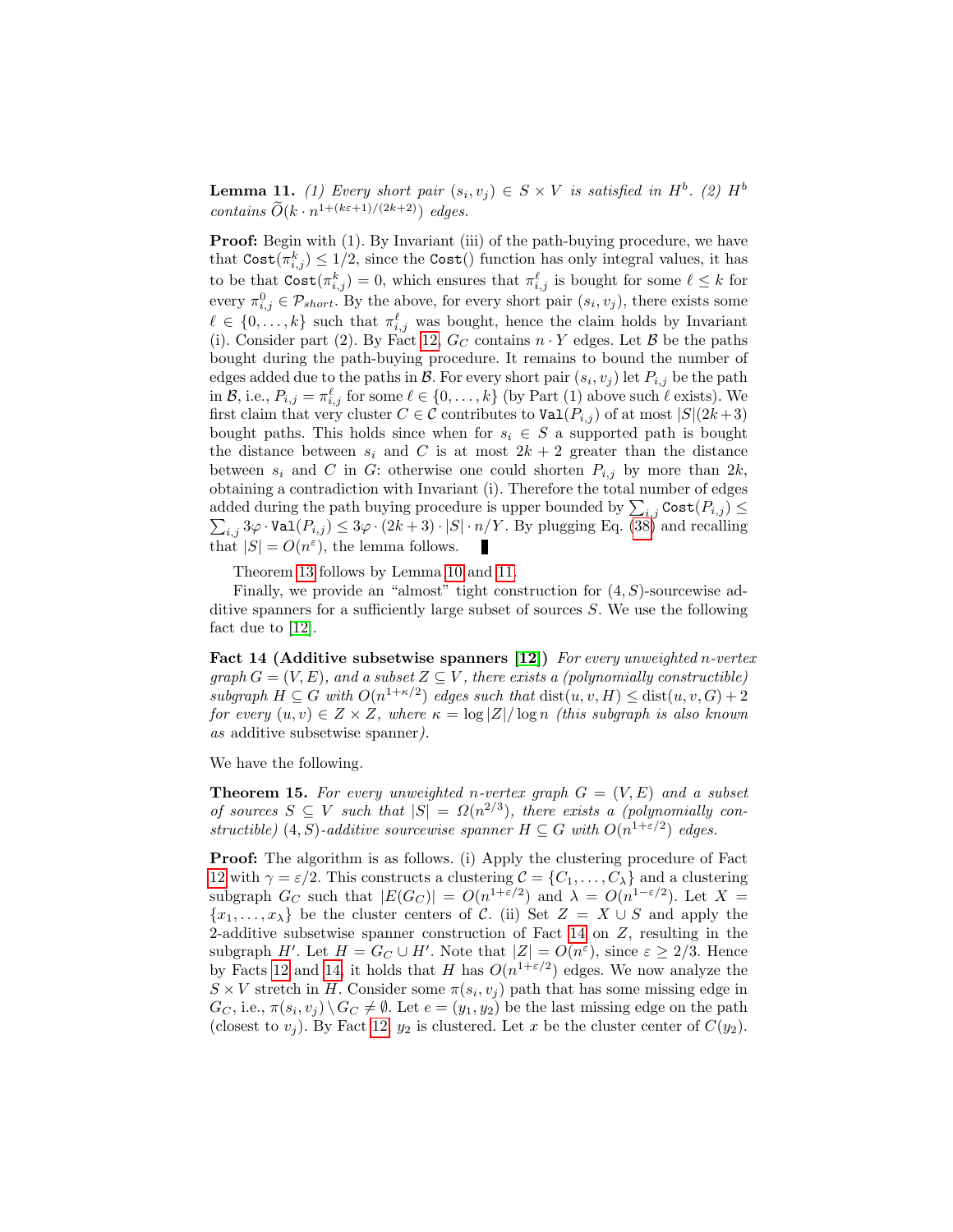**Lemma 11.** (1) Every short pair  $(s_i, v_j) \in S \times V$  is satisfied in  $H^b$ . (2)  $H^b$ contains  $\widetilde{O}(k \cdot n^{1 + (k\varepsilon + 1)/(2k+2)})$  edges.

**Proof:** Begin with (1). By Invariant (iii) of the path-buying procedure, we have that  $\text{Cost}(\pi_{i,j}^k) \leq 1/2$ , since the  $\text{Cost}()$  function has only integral values, it has to be that  $\text{Cost}(\pi_{i,j}^k) = 0$ , which ensures that  $\pi_{i,j}^{\ell}$  is bought for some  $\ell \leq k$  for every  $\pi_{i,j}^0 \in \mathcal{P}_{short}$ . By the above, for every short pair  $(s_i, v_j)$ , there exists some  $\ell \in \{0, \ldots, k\}$  such that  $\pi_{i,j}^{\ell}$  was bought, hence the claim holds by Invariant (i). Consider part (2). By Fact [12,](#page-20-2)  $G_C$  contains  $n \cdot Y$  edges. Let  $\mathcal{B}$  be the paths bought during the path-buying procedure. It remains to bound the number of edges added due to the paths in  $\mathcal{B}$ . For every short pair  $(s_i, v_j)$  let  $P_{i,j}$  be the path in B, i.e.,  $P_{i,j} = \pi_{i,j}^{\ell}$  for some  $\ell \in \{0, \ldots, k\}$  (by Part (1) above such  $\ell$  exists). We first claim that very cluster  $C \in \mathcal{C}$  contributes to  $\text{Val}(P_{i,j})$  of at most  $|S|(2k+3)$ bought paths. This holds since when for  $s_i \in S$  a supported path is bought the distance between  $s_i$  and C is at most  $2k + 2$  greater than the distance between  $s_i$  and C in G: otherwise one could shorten  $P_{i,j}$  by more than  $2k$ , obtaining a contradiction with Invariant (i). Therefore the total number of edges added during the path buying procedure is upper bounded by  $\sum_{i,j} \text{Cost}(P_{i,j}) \leq$  $\sum_{i,j} 3\varphi \cdot \text{Val}(P_{i,j}) \leq 3\varphi \cdot (2k+3) \cdot |S| \cdot n/Y$ . By plugging Eq. [\(38\)](#page-17-2) and recalling that  $|S| = O(n^{\varepsilon})$ , the lemma follows.

<span id="page-25-0"></span>Theorem [13](#page-21-0) follows by Lemma [10](#page-24-0) and [11.](#page-24-1)

Finally, we provide an "almost" tight construction for  $(4, S)$ -sourcewise additive spanners for a sufficiently large subset of sources S. We use the following fact due to [\[12\]](#page-27-15).

Fact 14 (Additive subsetwise spanners [\[12\]](#page-27-15)) For every unweighted n-vertex graph  $G = (V, E)$ , and a subset  $Z \subseteq V$ , there exists a (polynomially constructible) subgraph  $H \subseteq G$  with  $O(n^{1+\kappa/2})$  edges such that  $dist(u, v, H) \leq dist(u, v, G) + 2$ for every  $(u, v) \in Z \times Z$ , where  $\kappa = \log |Z| / \log n$  (this subgraph is also known as additive subsetwise spanner).

We have the following.

**Theorem 15.** For every unweighted n-vertex graph  $G = (V, E)$  and a subset of sources  $S \subseteq V$  such that  $|S| = \Omega(n^{2/3})$ , there exists a (polynomially constructible) (4, S)-additive sourcewise spanner  $H \subseteq G$  with  $O(n^{1+\epsilon/2})$  edges.

Proof: The algorithm is as follows. (i) Apply the clustering procedure of Fact [12](#page-20-2) with  $\gamma = \varepsilon/2$ . This constructs a clustering  $\mathcal{C} = \{C_1, \ldots, C_{\lambda}\}\$ and a clustering subgraph  $G_C$  such that  $|E(G_C)| = O(n^{1+\varepsilon/2})$  and  $\lambda = O(n^{1-\varepsilon/2})$ . Let  $X =$  ${x_1, \ldots, x_\lambda}$  be the cluster centers of C. (ii) Set  $Z = X \cup S$  and apply the 2-additive subsetwise spanner construction of Fact [14](#page-25-0) on Z, resulting in the subgraph H'. Let  $H = G_C \cup H'$ . Note that  $|Z| = O(n^{\varepsilon})$ , since  $\varepsilon \geq 2/3$ . Hence by Facts [12](#page-20-2) and [14,](#page-25-0) it holds that H has  $O(n^{1+\epsilon/2})$  edges. We now analyze the  $S \times V$  stretch in H. Consider some  $\pi(s_i, v_j)$  path that has some missing edge in  $G_C$ , i.e.,  $\pi(s_i, v_j) \setminus G_C \neq \emptyset$ . Let  $e = (y_1, y_2)$  be the last missing edge on the path (closest to  $v_j$ ). By Fact [12,](#page-20-2)  $y_2$  is clustered. Let x be the cluster center of  $C(y_2)$ .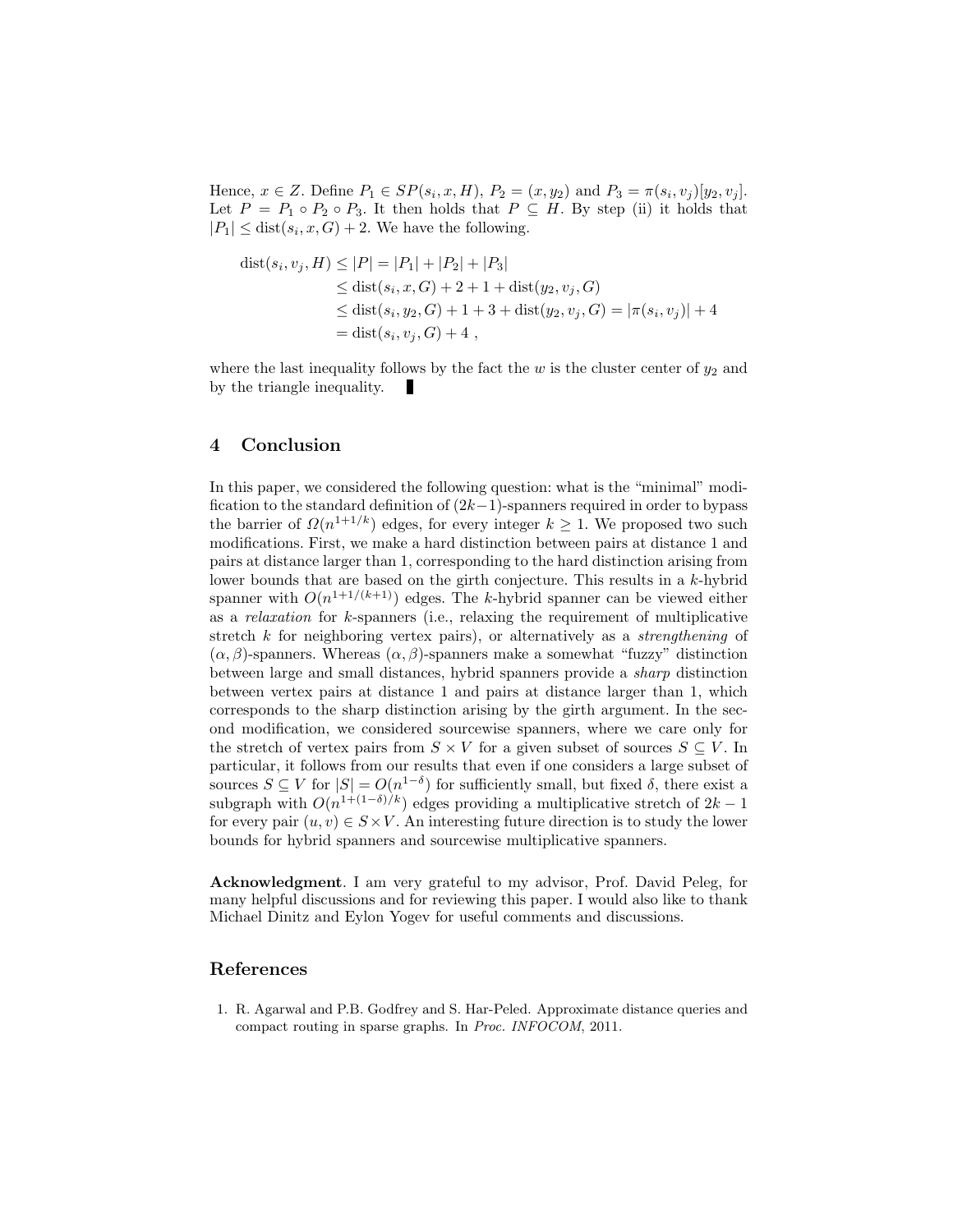Hence,  $x \in Z$ . Define  $P_1 \in SP(s_i, x, H)$ ,  $P_2 = (x, y_2)$  and  $P_3 = \pi(s_i, v_j)[y_2, v_j]$ . Let  $P = P_1 \circ P_2 \circ P_3$ . It then holds that  $P \subseteq H$ . By step (ii) it holds that  $|P_1| \leq \text{dist}(s_i, x, G) + 2$ . We have the following.

$$
dist(s_i, v_j, H) \le |P| = |P_1| + |P_2| + |P_3|
$$
  
\n
$$
\le dist(s_i, x, G) + 2 + 1 + dist(y_2, v_j, G)
$$
  
\n
$$
\le dist(s_i, y_2, G) + 1 + 3 + dist(y_2, v_j, G) = |\pi(s_i, v_j)| + 4
$$
  
\n
$$
= dist(s_i, v_j, G) + 4,
$$

where the last inequality follows by the fact the w is the cluster center of  $y_2$  and by the triangle inequality.

# 4 Conclusion

In this paper, we considered the following question: what is the "minimal" modification to the standard definition of  $(2k-1)$ -spanners required in order to bypass the barrier of  $\Omega(n^{1+1/k})$  edges, for every integer  $k \geq 1$ . We proposed two such modifications. First, we make a hard distinction between pairs at distance 1 and pairs at distance larger than 1, corresponding to the hard distinction arising from lower bounds that are based on the girth conjecture. This results in a k-hybrid spanner with  $O(n^{1+1/(k+1)})$  edges. The k-hybrid spanner can be viewed either as a relaxation for k-spanners (i.e., relaxing the requirement of multiplicative stretch k for neighboring vertex pairs), or alternatively as a *strengthening* of  $(\alpha, \beta)$ -spanners. Whereas  $(\alpha, \beta)$ -spanners make a somewhat "fuzzy" distinction between large and small distances, hybrid spanners provide a sharp distinction between vertex pairs at distance 1 and pairs at distance larger than 1, which corresponds to the sharp distinction arising by the girth argument. In the second modification, we considered sourcewise spanners, where we care only for the stretch of vertex pairs from  $S \times V$  for a given subset of sources  $S \subseteq V$ . In particular, it follows from our results that even if one considers a large subset of sources  $S \subseteq V$  for  $|S| = O(n^{1-\delta})$  for sufficiently small, but fixed  $\delta$ , there exist a subgraph with  $O(n^{1+(1-\delta)/k})$  edges providing a multiplicative stretch of  $2k-1$ for every pair  $(u, v) \in S \times V$ . An interesting future direction is to study the lower bounds for hybrid spanners and sourcewise multiplicative spanners.

Acknowledgment. I am very grateful to my advisor, Prof. David Peleg, for many helpful discussions and for reviewing this paper. I would also like to thank Michael Dinitz and Eylon Yogev for useful comments and discussions.

# References

<span id="page-26-0"></span>1. R. Agarwal and P.B. Godfrey and S. Har-Peled. Approximate distance queries and compact routing in sparse graphs. In Proc. INFOCOM, 2011.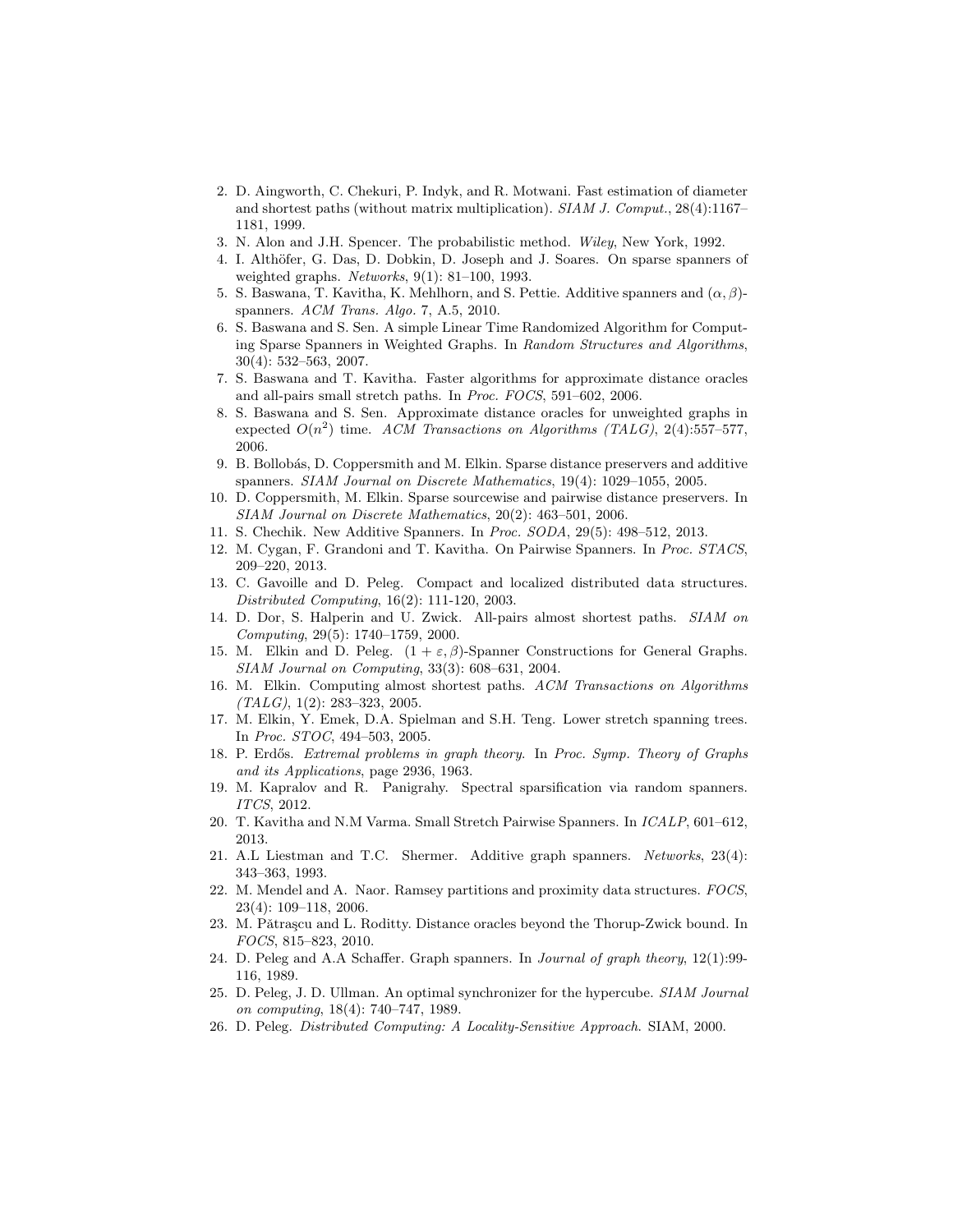- <span id="page-27-17"></span>2. D. Aingworth, C. Chekuri, P. Indyk, and R. Motwani. Fast estimation of diameter and shortest paths (without matrix multiplication). SIAM J. Comput., 28(4):1167– 1181, 1999.
- 3. N. Alon and J.H. Spencer. The probabilistic method. Wiley, New York, 1992.
- <span id="page-27-9"></span>4. I. Althöfer, G. Das, D. Dobkin, D. Joseph and J. Soares. On sparse spanners of weighted graphs. Networks,  $9(1)$ : 81–100, 1993.
- <span id="page-27-0"></span>5. S. Baswana, T. Kavitha, K. Mehlhorn, and S. Pettie. Additive spanners and  $(\alpha, \beta)$ spanners. ACM Trans. Algo. 7, A.5, 2010.
- 6. S. Baswana and S. Sen. A simple Linear Time Randomized Algorithm for Computing Sparse Spanners in Weighted Graphs. In Random Structures and Algorithms, 30(4): 532–563, 2007.
- <span id="page-27-21"></span>7. S. Baswana and T. Kavitha. Faster algorithms for approximate distance oracles and all-pairs small stretch paths. In Proc. FOCS, 591–602, 2006.
- <span id="page-27-4"></span>8. S. Baswana and S. Sen. Approximate distance oracles for unweighted graphs in expected  $O(n^2)$  time. ACM Transactions on Algorithms (TALG), 2(4):557-577, 2006.
- <span id="page-27-5"></span>9. B. Bollob´as, D. Coppersmith and M. Elkin. Sparse distance preservers and additive spanners. SIAM Journal on Discrete Mathematics, 19(4): 1029–1055, 2005.
- <span id="page-27-14"></span>10. D. Coppersmith, M. Elkin. Sparse sourcewise and pairwise distance preservers. In SIAM Journal on Discrete Mathematics, 20(2): 463–501, 2006.
- <span id="page-27-18"></span>11. S. Chechik. New Additive Spanners. In Proc. SODA, 29(5): 498–512, 2013.
- <span id="page-27-15"></span>12. M. Cygan, F. Grandoni and T. Kavitha. On Pairwise Spanners. In Proc. STACS, 209–220, 2013.
- <span id="page-27-6"></span>13. C. Gavoille and D. Peleg. Compact and localized distributed data structures. Distributed Computing, 16(2): 111-120, 2003.
- <span id="page-27-19"></span>14. D. Dor, S. Halperin and U. Zwick. All-pairs almost shortest paths. SIAM on Computing, 29(5): 1740–1759, 2000.
- <span id="page-27-11"></span>15. M. Elkin and D. Peleg.  $(1 + \varepsilon, \beta)$ -Spanner Constructions for General Graphs. SIAM Journal on Computing, 33(3): 608–631, 2004.
- <span id="page-27-13"></span>16. M. Elkin. Computing almost shortest paths. ACM Transactions on Algorithms  $(TALG), 1(2): 283-323, 2005.$
- <span id="page-27-7"></span>17. M. Elkin, Y. Emek, D.A. Spielman and S.H. Teng. Lower stretch spanning trees. In Proc. STOC, 494–503, 2005.
- <span id="page-27-10"></span>18. P. Erdős. Extremal problems in graph theory. In Proc. Symp. Theory of Graphs and its Applications, page 2936, 1963.
- <span id="page-27-8"></span>19. M. Kapralov and R. Panigrahy. Spectral sparsification via random spanners. ITCS, 2012.
- <span id="page-27-16"></span>20. T. Kavitha and N.M Varma. Small Stretch Pairwise Spanners. In ICALP, 601–612, 2013.
- <span id="page-27-12"></span>21. A.L Liestman and T.C. Shermer. Additive graph spanners. Networks, 23(4): 343–363, 1993.
- <span id="page-27-22"></span>22. M. Mendel and A. Naor. Ramsey partitions and proximity data structures. FOCS, 23(4): 109–118, 2006.
- <span id="page-27-20"></span>23. M. Pǎtraşcu and L. Roditty. Distance oracles beyond the Thorup-Zwick bound. In FOCS, 815–823, 2010.
- <span id="page-27-2"></span>24. D. Peleg and A.A Schaffer. Graph spanners. In Journal of graph theory, 12(1):99- 116, 1989.
- <span id="page-27-3"></span>25. D. Peleg, J. D. Ullman. An optimal synchronizer for the hypercube. SIAM Journal on computing, 18(4): 740–747, 1989.
- <span id="page-27-1"></span>26. D. Peleg. Distributed Computing: A Locality-Sensitive Approach. SIAM, 2000.